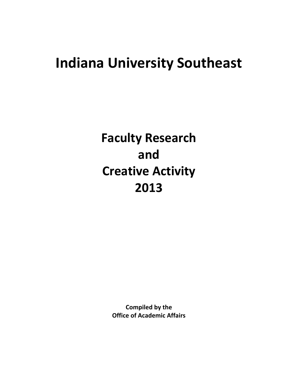# **Indiana University Southeast**

**Faculty Research and Creative Activity 2013**

> **Compiled by the Office of Academic Affairs**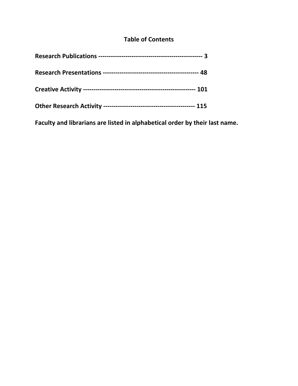### **Table of Contents**

**Faculty and librarians are listed in alphabetical order by their last name.**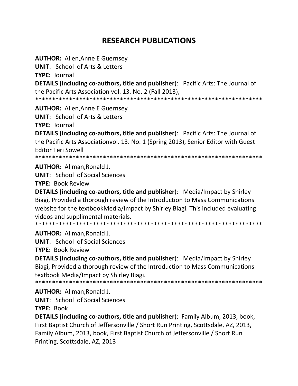## **RESEARCH PUBLICATIONS**

**AUTHOR: Allen, Anne E Guernsey** 

**UNIT: School of Arts & Letters** 

**TYPE: Journal** 

**DETAILS (including co-authors, title and publisher):** Pacific Arts: The Journal of the Pacific Arts Association vol. 13. No. 2 (Fall 2013),

**AUTHOR: Allen, Anne E Guernsey** 

**UNIT:** School of Arts & Letters

**TYPE: Journal** 

**DETAILS (including co-authors, title and publisher):** Pacific Arts: The Journal of the Pacific Arts Associationvol. 13. No. 1 (Spring 2013), Senior Editor with Guest **Editor Teri Sowell** 

**AUTHOR: Allman, Ronald J.** 

**UNIT:** School of Social Sciences

**TYPE: Book Review** 

DETAILS (including co-authors, title and publisher): Media/Impact by Shirley Biagi, Provided a thorough review of the Introduction to Mass Communications website for the textbookMedia/Impact by Shirley Biagi. This included evaluating videos and supplimental materials.

AUTHOR: Allman, Ronald J.

**UNIT:** School of Social Sciences

**TYPE: Book Review** 

**DETAILS (including co-authors, title and publisher):** Media/Impact by Shirley Biagi, Provided a thorough review of the Introduction to Mass Communications textbook Media/Impact by Shirley Biagi.

**AUTHOR: Allman, Ronald J.** 

**UNIT:** School of Social Sciences

**TYPE: Book** 

**DETAILS (including co-authors, title and publisher): Family Album, 2013, book,** First Baptist Church of Jeffersonville / Short Run Printing, Scottsdale, AZ, 2013, Family Album, 2013, book, First Baptist Church of Jeffersonville / Short Run Printing, Scottsdale, AZ, 2013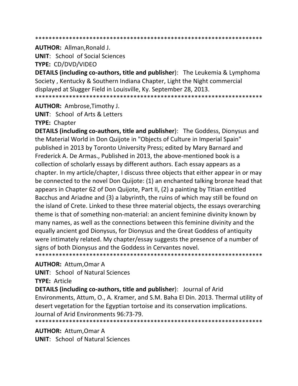#### \*\*\*\*\*\*\*\*\*\*\*\*\*\*\*\*\*\*\*\*\*\*\*\*\*\*\*\*\*\*\*\*\*\*\*\*\*\*\*\*\*\*\*\*\*\*\*\*\*\*\*\*\*\*\*\*\*\*\*\*\*\*\*\*\*\*\*

**AUTHOR:** Allman,Ronald J.

**UNIT**: School of Social Sciences

**TYPE:** CD/DVD/VIDEO

**DETAILS (including co‐authors, title and publisher**): The Leukemia & Lymphoma Society , Kentucky & Southern Indiana Chapter, Light the Night commercial displayed at Slugger Field in Louisville, Ky. September 28, 2013. \*\*\*\*\*\*\*\*\*\*\*\*\*\*\*\*\*\*\*\*\*\*\*\*\*\*\*\*\*\*\*\*\*\*\*\*\*\*\*\*\*\*\*\*\*\*\*\*\*\*\*\*\*\*\*\*\*\*\*\*\*\*\*\*\*\*\*

**AUTHOR:** Ambrose,Timothy J.

**UNIT**: School of Arts & Letters

**TYPE:** Chapter

**DETAILS (including co‐authors, title and publisher**): The Goddess, Dionysus and the Material World in Don Quijote in "Objects of Culture in Imperial Spain" published in 2013 by Toronto University Press; edited by Mary Barnard and Frederick A. De Armas., Published in 2013, the above‐mentioned book is a collection of scholarly essays by different authors. Each essay appears as a chapter. In my article/chapter, I discuss three objects that either appear in or may be connected to the novel Don Quijote: (1) an enchanted talking bronze head that appears in Chapter 62 of Don Quijote, Part II, (2) a painting by Titian entitled Bacchus and Ariadne and (3) a labyrinth, the ruins of which may still be found on the island of Crete. Linked to these three material objects, the essays overarching theme is that of something non‐material: an ancient feminine divinity known by many names, as well as the connections between this feminine divinity and the equally ancient god Dionysus, for Dionysus and the Great Goddess of antiquity were intimately related. My chapter/essay suggests the presence of a number of signs of both Dionysus and the Goddess in Cervantes novel. \*\*\*\*\*\*\*\*\*\*\*\*\*\*\*\*\*\*\*\*\*\*\*\*\*\*\*\*\*\*\*\*\*\*\*\*\*\*\*\*\*\*\*\*\*\*\*\*\*\*\*\*\*\*\*\*\*\*\*\*\*\*\*\*\*\*\*

**AUTHOR:** Attum,Omar A

**UNIT**: School of Natural Sciences

**TYPE:** Article

**DETAILS (including co‐authors, title and publisher**): Journal of Arid Environments, Attum, O., A. Kramer, and S.M. Baha El Din. 2013. Thermal utility of desert vegetation for the Egyptian tortoise and its conservation implications. Journal of Arid Environments 96:73‐79. \*\*\*\*\*\*\*\*\*\*\*\*\*\*\*\*\*\*\*\*\*\*\*\*\*\*\*\*\*\*\*\*\*\*\*\*\*\*\*\*\*\*\*\*\*\*\*\*\*\*\*\*\*\*\*\*\*\*\*\*\*\*\*\*\*\*\*

**AUTHOR:** Attum,Omar A **UNIT**: School of Natural Sciences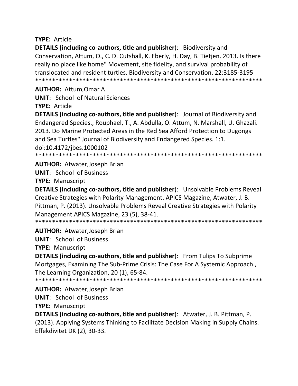#### **TYPE: Article**

**DETAILS (including co-authors, title and publisher):** Biodiversity and Conservation, Attum, O., C. D. Cutshall, K. Eberly, H. Day, B. Tietjen. 2013. Is there really no place like home" Movement, site fidelity, and survival probability of translocated and resident turtles. Biodiversity and Conservation. 22:3185-3195 

#### **AUTHOR: Attum, Omar A**

**UNIT: School of Natural Sciences** 

**TYPE: Article** 

**DETAILS (including co-authors, title and publisher)**: Journal of Biodiversity and Endangered Species., Rouphael, T., A. Abdulla, O. Attum, N. Marshall, U. Ghazali. 2013. Do Marine Protected Areas in the Red Sea Afford Protection to Dugongs and Sea Turtles" Journal of Biodiversity and Endangered Species. 1:1. doi:10.4172/jbes.1000102

**AUTHOR: Atwater, Joseph Brian** 

**UNIT: School of Business** 

**TYPE: Manuscript** 

**DETAILS (including co-authors, title and publisher):** Unsolvable Problems Reveal Creative Strategies with Polarity Management. APICS Magazine, Atwater, J. B. Pittman, P. (2013). Unsolvable Problems Reveal Creative Strategies with Polarity Management.APICS Magazine, 23 (5), 38-41.

**AUTHOR: Atwater, Joseph Brian** 

**UNIT: School of Business** 

**TYPE: Manuscript** 

**DETAILS (including co-authors, title and publisher):** From Tulips To Subprime Mortgages, Examining The Sub-Prime Crisis: The Case For A Systemic Approach., The Learning Organization, 20 (1), 65-84.

\*\*\*\*\*\*\*\*\*\*\*\*\*\*\*\*\*\*\*\*\*\*\*\*\*\*\*\*\*\*\*\*\*\*

**AUTHOR: Atwater, Joseph Brian UNIT: School of Business** 

**TYPE: Manuscript** 

**DETAILS (including co-authors, title and publisher):** Atwater, J. B. Pittman, P. (2013). Applying Systems Thinking to Facilitate Decision Making in Supply Chains. Effekdivitet DK (2), 30-33.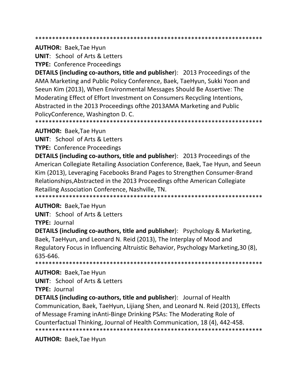**AUTHOR: Baek, Tae Hyun** 

**UNIT: School of Arts & Letters** 

**TYPE: Conference Proceedings** 

**DETAILS (including co-authors, title and publisher): 2013 Proceedings of the** AMA Marketing and Public Policy Conference, Baek, TaeHyun, Sukki Yoon and Seeun Kim (2013), When Environmental Messages Should Be Assertive: The Moderating Effect of Effort Investment on Consumers Recycling Intentions, Abstracted in the 2013 Proceedings of the 2013AMA Marketing and Public PolicyConference, Washington D.C.

**AUTHOR: Baek, Tae Hyun** 

**UNIT:** School of Arts & Letters

**TYPE: Conference Proceedings** 

**DETAILS (including co-authors, title and publisher): 2013 Proceedings of the** American Collegiate Retailing Association Conference, Baek, Tae Hyun, and Seeun Kim (2013), Leveraging Facebooks Brand Pages to Strengthen Consumer-Brand Relationships, Abstracted in the 2013 Proceedings of the American Collegiate Retailing Association Conference, Nashville, TN.

**AUTHOR: Baek, Tae Hyun** 

**UNIT: School of Arts & Letters** 

**TYPE: Journal** 

**DETAILS (including co-authors, title and publisher)**: Psychology & Marketing, Baek, TaeHyun, and Leonard N. Reid (2013), The Interplay of Mood and Regulatory Focus in Influencing Altruistic Behavior, Psychology Marketing, 30 (8), 635-646

**AUTHOR: Baek, Tae Hyun UNIT:** School of Arts & Letters TYPE: Journal

**DETAILS (including co-authors, title and publisher):** Journal of Health Communication, Baek, TaeHyun, Lijiang Shen, and Leonard N. Reid (2013), Effects of Message Framing in Anti-Binge Drinking PSAs: The Moderating Role of Counterfactual Thinking, Journal of Health Communication, 18 (4), 442-458. 

**AUTHOR: Baek, Tae Hyun**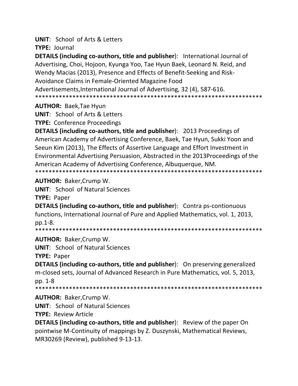**UNIT:** School of Arts & Letters

**TYPE: Journal** 

**DETAILS (including co-authors, title and publisher):** International Journal of Advertising, Choi, Hojoon, Kyunga Yoo, Tae Hyun Baek, Leonard N. Reid, and Wendy Macias (2013), Presence and Effects of Benefit-Seeking and Risk-Avoidance Claims in Female-Oriented Magazine Food Advertisements, International Journal of Advertising, 32 (4), 587-616. 

**AUTHOR: Baek, Tae Hyun** 

**UNIT:** School of Arts & Letters

**TYPE:** Conference Proceedings

**DETAILS (including co-authors, title and publisher): 2013 Proceedings of** American Academy of Advertising Conference, Baek, Tae Hyun, Sukki Yoon and Seeun Kim (2013), The Effects of Assertive Language and Effort Investment in Environmental Advertising Persuasion, Abstracted in the 2013Proceedings of the American Academy of Advertising Conference, Albuguergue, NM. 

**AUTHOR: Baker, Crump W.** 

**UNIT:** School of Natural Sciences

**TYPE: Paper** 

**DETAILS (including co-authors, title and publisher):** Contra ps-contionuous functions, International Journal of Pure and Applied Mathematics, vol. 1, 2013, pp.1-8.

**AUTHOR: Baker, Crump W.** 

**UNIT:** School of Natural Sciences

**TYPE: Paper** 

**DETAILS (including co-authors, title and publisher):** On preserving generalized m-closed sets, Journal of Advanced Research in Pure Mathematics, vol. 5, 2013, pp. 1-8

**AUTHOR: Baker, Crump W.** 

**UNIT: School of Natural Sciences** 

**TYPE: Review Article** 

**DETAILS (including co-authors, title and publisher):** Review of the paper On pointwise M-Continuity of mappings by Z. Duszynski, Mathematical Reviews, MR30269 (Review), published 9-13-13.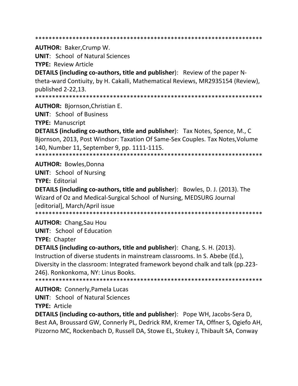**AUTHOR: Baker, Crump W.** 

**UNIT: School of Natural Sciences** 

**TYPE: Review Article** 

**DETAILS (including co-authors, title and publisher):** Review of the paper Ntheta-ward Contiuity, by H. Cakalli, Mathematical Reviews, MR2935154 (Review), published 2-22,13.

\*\*\*\*\*\*\*\*\*\*\*\*\*\*\*\*\*\*\*\*\*\* 

**AUTHOR: Bjornson, Christian E.** 

**UNIT: School of Business** 

**TYPE: Manuscript** 

**DETAILS (including co-authors, title and publisher):** Tax Notes, Spence, M., C Bjornson, 2013, Post Windsor: Taxation Of Same-Sex Couples. Tax Notes, Volume 140, Number 11, September 9, pp. 1111-1115. 

**AUTHOR: Bowles, Donna** 

**UNIT:** School of Nursing

**TYPE: Editorial** 

**DETAILS (including co-authors, title and publisher):** Bowles, D. J. (2013). The Wizard of Oz and Medical-Surgical School of Nursing, MEDSURG Journal [editorial], March/April issue

**AUTHOR:** Chang, Sau Hou

**UNIT:** School of Education

**TYPE: Chapter** 

**DETAILS (including co-authors, title and publisher):** Chang, S. H. (2013). Instruction of diverse students in mainstream classrooms. In S. Abebe (Ed.), Diversity in the classroom: Integrated framework beyond chalk and talk (pp.223-246). Ronkonkoma, NY: Linus Books.

**AUTHOR: Connerly, Pamela Lucas UNIT:** School of Natural Sciences

**TYPE: Article** 

**DETAILS (including co-authors, title and publisher):** Pope WH, Jacobs-Sera D, Best AA, Broussard GW, Connerly PL, Dedrick RM, Kremer TA, Offner S, Ogiefo AH, Pizzorno MC, Rockenbach D, Russell DA, Stowe EL, Stukey J, Thibault SA, Conway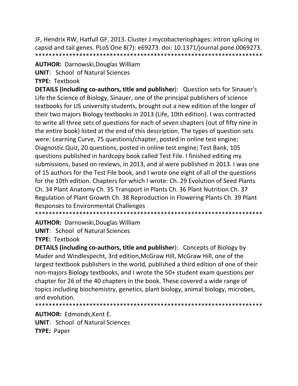JF, Hendrix RW, Hatfull GF. 2013. Cluster J mycobacteriophages: intron splicing in capsid and tail genes. PLoS One 8(7): e69273. doi: 10.1371/journal.pone.0069273. 

#### **AUTHOR: Darnowski, Douglas William**

**UNIT: School of Natural Sciences** 

**TYPE: Textbook** 

**DETAILS (including co-authors, title and publisher):** Question sets for Sinauer's Life the Science of Biology, Sinauer, one of the principal publishers of science textbooks for US university students, brought out a new edition of the longer of their two majors Biology textbooks in 2013 (Life, 10th edition). I was contracted to write all three sets of questions for each of seven chapters (out of fifty nine in the entire book) listed at the end of this description. The types of question sets were: Learning Curve, 75 questions/chapter, posted in online test engine; Diagnostic Quiz, 20 questions, posted in online test engine; Test Bank, 105 questions published in hardcopy book called Test File. I finished editing my submissions, based on reviews, in 2013, and al were published in 2013. I was one of 15 authors for the Test File book, and I wrote one eight of all of the questions for the 10th edition. Chapters for which I wrote: Ch. 29 Evolution of Seed Plants Ch. 34 Plant Anatomy Ch. 35 Transport in Plants Ch. 36 Plant Nutrition Ch. 37 Regulation of Plant Growth Ch. 38 Reproduction in Flowering Plants Ch. 39 Plant **Responses to Environmental Challenges** 

**AUTHOR: Darnowski, Douglas William** 

**UNIT: School of Natural Sciences** 

**TYPE: Textbook** 

**DETAILS (including co-authors, title and publisher):** Concepts of Biology by Mader and Windlespecht, 3rd edition, McGraw Hill, McGraw Hill, one of the largest textbook publishers in the world, published a third edition of one of their non-majors Biology textbooks, and I wrote the 50+ student exam questions per chapter for 26 of the 40 chapters in the book. These covered a wide range of topics including biochemistry, genetics, plant biology, animal biology, microbes, and evolution.

**AUTHOR: Edmonds, Kent E. UNIT: School of Natural Sciences TYPE: Paper**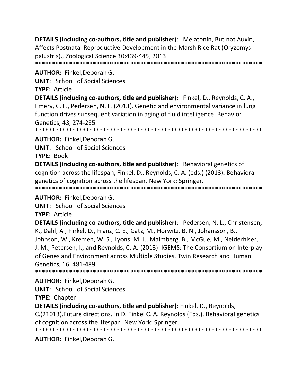**DETAILS (including co‐authors, title and publisher**): Melatonin, But not Auxin, Affects Postnatal Reproductive Development in the Marsh Rice Rat (Oryzomys palustris)., Zoological Science 30:439‐445, 2013 \*\*\*\*\*\*\*\*\*\*\*\*\*\*\*\*\*\*\*\*\*\*\*\*\*\*\*\*\*\*\*\*\*\*\*\*\*\*\*\*\*\*\*\*\*\*\*\*\*\*\*\*\*\*\*\*\*\*\*\*\*\*\*\*\*\*\*

**AUTHOR:** Finkel,Deborah G.

**UNIT**: School of Social Sciences

**TYPE:** Article

**DETAILS (including co‐authors, title and publisher**): Finkel, D., Reynolds, C. A., Emery, C. F., Pedersen, N. L. (2013). Genetic and environmental variance in lung function drives subsequent variation in aging of fluid intelligence. Behavior Genetics, 43, 274‐285

\*\*\*\*\*\*\*\*\*\*\*\*\*\*\*\*\*\*\*\*\*\*\*\*\*\*\*\*\*\*\*\*\*\*\*\*\*\*\*\*\*\*\*\*\*\*\*\*\*\*\*\*\*\*\*\*\*\*\*\*\*\*\*\*\*\*\*

**AUTHOR:** Finkel,Deborah G.

**UNIT**: School of Social Sciences

**TYPE:** Book

**DETAILS (including co‐authors, title and publisher**): Behavioral genetics of cognition across the lifespan, Finkel, D., Reynolds, C. A. (eds.) (2013). Behavioral genetics of cognition across the lifespan. New York: Springer. \*\*\*\*\*\*\*\*\*\*\*\*\*\*\*\*\*\*\*\*\*\*\*\*\*\*\*\*\*\*\*\*\*\*\*\*\*\*\*\*\*\*\*\*\*\*\*\*\*\*\*\*\*\*\*\*\*\*\*\*\*\*\*\*\*\*\*

**AUTHOR:** Finkel,Deborah G.

**UNIT**: School of Social Sciences

**TYPE:** Article

**DETAILS (including co‐authors, title and publisher**): Pedersen, N. L., Christensen, K., Dahl, A., Finkel, D., Franz, C. E., Gatz, M., Horwitz, B. N., Johansson, B., Johnson, W., Kremen, W. S., Lyons, M. J., Malmberg, B., McGue, M., Neiderhiser, J. M., Petersen, I., and Reynolds, C. A. (2013). IGEMS: The Consortium on Interplay of Genes and Environment across Multiple Studies. Twin Research and Human Genetics, 16, 481‐489.

\*\*\*\*\*\*\*\*\*\*\*\*\*\*\*\*\*\*\*\*\*\*\*\*\*\*\*\*\*\*\*\*\*\*\*\*\*\*\*\*\*\*\*\*\*\*\*\*\*\*\*\*\*\*\*\*\*\*\*\*\*\*\*\*\*\*\*

**AUTHOR:** Finkel,Deborah G.

**UNIT**: School of Social Sciences

**TYPE:** Chapter

**DETAILS (including co‐authors, title and publisher):** Finkel, D., Reynolds,

C.(21013).Future directions. In D. Finkel C. A. Reynolds (Eds.), Behavioral genetics of cognition across the lifespan. New York: Springer.

\*\*\*\*\*\*\*\*\*\*\*\*\*\*\*\*\*\*\*\*\*\*\*\*\*\*\*\*\*\*\*\*\*\*\*\*\*\*\*\*\*\*\*\*\*\*\*\*\*\*\*\*\*\*\*\*\*\*\*\*\*\*\*\*\*\*\*

**AUTHOR:** Finkel,Deborah G.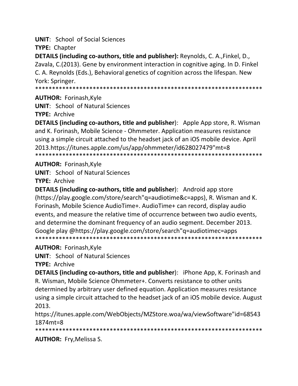**UNIT:** School of Social Sciences

**TYPE: Chapter** 

DETAILS (including co-authors, title and publisher): Reynolds, C. A., Finkel, D., Zavala, C.(2013). Gene by environment interaction in cognitive aging. In D. Finkel C. A. Reynolds (Eds.), Behavioral genetics of cognition across the lifespan. New York: Springer.

#### **AUTHOR: Forinash, Kyle**

**UNIT:** School of Natural Sciences

**TYPE: Archive** 

**DETAILS (including co-authors, title and publisher):** Apple App store, R. Wisman and K. Forinash, Mobile Science - Ohmmeter. Application measures resistance using a simple circuit attached to the headset jack of an iOS mobile device. April 2013.https://itunes.apple.com/us/app/ohmmeter/id628027479"mt=8 

#### **AUTHOR: Forinash, Kyle**

**UNIT:** School of Natural Sciences

**TYPE: Archive** 

**DETAILS (including co-authors, title and publisher):** Android app store (https://play.google.com/store/search"q=audiotime&c=apps), R. Wisman and K. Forinash, Mobile Science AudioTime+. AudioTime+ can record, display audio events, and measure the relative time of occurrence between two audio events, and determine the dominant frequency of an audio segment. December 2013. Google play @https://play.google.com/store/search"g=audiotimec=apps 

#### **AUTHOR: Forinash, Kyle**

**UNIT:** School of Natural Sciences

**TYPE: Archive** 

**DETAILS (including co-authors, title and publisher):** iPhone App, K. Forinash and R. Wisman, Mobile Science Ohmmeter+. Converts resistance to other units determined by arbitrary user defined equation. Application measures resistance using a simple circuit attached to the headset jack of an iOS mobile device. August 2013.

https://itunes.apple.com/WebObjects/MZStore.woa/wa/viewSoftware"id=68543  $1874mt = 8$ 

**AUTHOR:** Fry, Melissa S.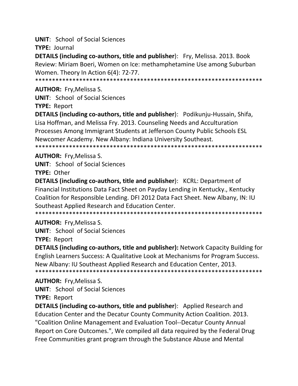**UNIT:** School of Social Sciences

TYPE: Journal

**DETAILS (including co-authors, title and publisher):** Fry, Melissa. 2013. Book Review: Miriam Boeri, Women on Ice: methamphetamine Use among Suburban Women. Theory In Action 6(4): 72-77.

#### **AUTHOR: Fry, Melissa S.**

**UNIT:** School of Social Sciences

**TYPE: Report** 

**DETAILS (including co-authors, title and publisher)**: Podikunju-Hussain, Shifa, Lisa Hoffman, and Melissa Fry. 2013. Counseling Needs and Acculturation Processes Among Immigrant Students at Jefferson County Public Schools ESL Newcomer Academy. New Albany: Indiana University Southeast. 

#### **AUTHOR:** Fry, Melissa S.

**UNIT:** School of Social Sciences

TYPE: Other

**DETAILS (including co-authors, title and publisher):** KCRL: Department of Financial Institutions Data Fact Sheet on Payday Lending in Kentucky., Kentucky Coalition for Responsible Lending. DFI 2012 Data Fact Sheet. New Albany, IN: IU Southeast Applied Research and Education Center.

#### **AUTHOR:** Fry, Melissa S.

**UNIT:** School of Social Sciences

**TYPE: Report** 

**DETAILS (including co-authors, title and publisher):** Network Capacity Building for English Learners Success: A Qualitative Look at Mechanisms for Program Success. New Albany: IU Southeast Applied Research and Education Center, 2013. 

#### **AUTHOR: Fry, Melissa S.**

**UNIT:** School of Social Sciences

**TYPE: Report** 

**DETAILS (including co-authors, title and publisher):** Applied Research and Education Center and the Decatur County Community Action Coalition. 2013. "Coalition Online Management and Evaluation Tool--Decatur County Annual Report on Core Outcomes.", We compiled all data required by the Federal Drug Free Communities grant program through the Substance Abuse and Mental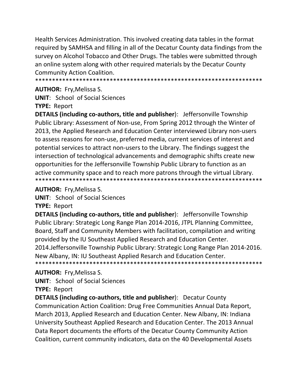Health Services Administration. This involved creating data tables in the format required by SAMHSA and filling in all of the Decatur County data findings from the survey on Alcohol Tobacco and Other Drugs. The tables were submitted through an online system along with other required materials by the Decatur County **Community Action Coalition.** 

#### **AUTHOR: Fry, Melissa S.**

**UNIT:** School of Social Sciences

**TYPE: Report** 

**DETAILS (including co-authors, title and publisher):** Jeffersonville Township Public Library: Assessment of Non-use, From Spring 2012 through the Winter of 2013, the Applied Research and Education Center interviewed Library non-users to assess reasons for non-use, preferred media, current services of interest and potential services to attract non-users to the Library. The findings suggest the intersection of technological advancements and demographic shifts create new opportunities for the Jeffersonville Township Public Library to function as an active community space and to reach more patrons through the virtual Library. 

#### **AUTHOR: Fry, Melissa S.**

**UNIT:** School of Social Sciences

**TYPE: Report** 

**DETAILS (including co-authors, title and publisher):** Jeffersonville Township Public Library: Strategic Long Range Plan 2014-2016, JTPL Planning Committee, Board, Staff and Community Members with facilitation, compilation and writing provided by the IU Southeast Applied Research and Education Center. 2014. Jeffersonville Township Public Library: Strategic Long Range Plan 2014-2016. New Albany, IN: IU Southeast Applied Resarch and Education Center.

#### **AUTHOR:** Fry, Melissa S.

**UNIT:** School of Social Sciences

**TYPE: Report** 

**DETAILS (including co-authors, title and publisher):** Decatur County Communication Action Coalition: Drug Free Communities Annual Data Report, March 2013, Applied Research and Education Center. New Albany, IN: Indiana University Southeast Applied Research and Education Center. The 2013 Annual Data Report documents the efforts of the Decatur County Community Action Coalition, current community indicators, data on the 40 Developmental Assets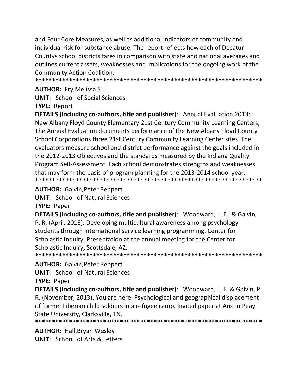and Four Core Measures, as well as additional indicators of community and individual risk for substance abuse. The report reflects how each of Decatur Countys school districts fares in comparison with state and national averages and outlines current assets, weaknesses and implications for the ongoing work of the **Community Action Coalition.** 

#### **AUTHOR: Fry, Melissa S.**

**UNIT:** School of Social Sciences **TYPE: Report** 

**DETAILS (including co-authors, title and publisher):** Annual Evaluation 2013: New Albany Floyd County Elementary 21st Century Community Learning Centers, The Annual Evaluation documents performance of the New Albany Floyd County School Corporations three 21st Century Community Learning Center sites. The evaluators measure school and district performance against the goals included in the 2012-2013 Objectives and the standards measured by the Indiana Quality Program Self-Assessment. Each school demonstrates strengths and weaknesses that may form the basis of program planning for the 2013-2014 school year. 

**AUTHOR: Galvin, Peter Reppert** 

**UNIT: School of Natural Sciences** 

**TYPE: Paper** 

**DETAILS (including co-authors, title and publisher):** Woodward, L. E., & Galvin, P. R. (April, 2013). Developing multicultural awareness among psychology students through international service learning programming. Center for Scholastic Inquiry. Presentation at the annual meeting for the Center for Scholastic Inquiry, Scottsdale, AZ. 

**AUTHOR: Galvin, Peter Reppert** 

**UNIT:** School of Natural Sciences

**TYPE: Paper** 

DETAILS (including co-authors, title and publisher): Woodward, L. E. & Galvin, P. R. (November, 2013). You are here: Psychological and geographical displacement of former Liberian child soldiers in a refugee camp. Invited paper at Austin Peay State University, Clarksville, TN.

**AUTHOR: Hall, Bryan Wesley UNIT:** School of Arts & Letters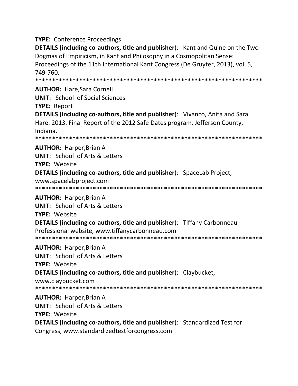**TYPE: Conference Proceedings** 

**DETAILS (including co-authors, title and publisher):** Kant and Quine on the Two Dogmas of Empiricism, in Kant and Philosophy in a Cosmopolitan Sense: Proceedings of the 11th International Kant Congress (De Gruyter, 2013), vol. 5, 749-760.

#### **AUTHOR: Hare Sara Cornell**

**UNIT:** School of Social Sciences

**TYPE: Report** 

**DETAILS (including co-authors, title and publisher):** Vivanco, Anita and Sara Hare. 2013. Final Report of the 2012 Safe Dates program, Jefferson County, Indiana.

**AUTHOR: Harper, Brian A** 

**UNIT:** School of Arts & Letters TYPE: Website

**DETAILS (including co-authors, title and publisher):** SpaceLab Project,

www.spacelabproject.com

**AUTHOR: Harper, Brian A** 

**UNIT:** School of Arts & Letters

**TYPE: Website** 

**DETAILS (including co-authors, title and publisher):** Tiffany Carbonneau -

Professional website. www.tiffanycarbonneau.com

**AUTHOR: Harper, Brian A** 

**UNIT:** School of Arts & Letters

**TYPE: Website** 

**DETAILS (including co-authors, title and publisher):** Claybucket,

www.claybucket.com

**AUTHOR: Harper, Brian A** 

**UNIT: School of Arts & Letters** 

**TYPE: Website** 

**DETAILS (including co-authors, title and publisher):** Standardized Test for

Congress, www.standardizedtestforcongress.com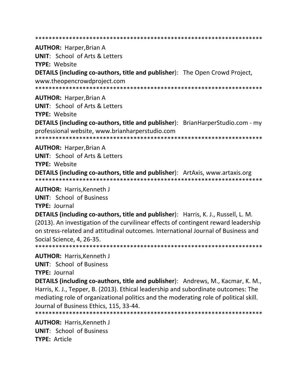**AUTHOR: Harper, Brian A UNIT: School of Arts & Letters TYPE: Website DETAILS (including co-authors, title and publisher):** The Open Crowd Project, www.theopencrowdproject.com **AUTHOR: Harper, Brian A UNIT: School of Arts & Letters TYPE: Website DETAILS (including co-authors, title and publisher)**: BrianHarperStudio.com - my professional website, www.brianharperstudio.com **AUTHOR: Harper, Brian A UNIT:** School of Arts & Letters TYPE: Website **DETAILS (including co-authors, title and publisher):** ArtAxis, www.artaxis.org **AUTHOR: Harris, Kenneth J UNIT: School of Business** TYPE: Journal **DETAILS (including co-authors, title and publisher):** Harris, K. J., Russell, L. M. (2013). An investigation of the curvilinear effects of contingent reward leadership on stress-related and attitudinal outcomes. International Journal of Business and Social Science, 4, 26-35. **AUTHOR: Harris, Kenneth J UNIT: School of Business TYPE: Journal DETAILS (including co-authors, title and publisher):** Andrews, M., Kacmar, K. M., Harris, K. J., Tepper, B. (2013). Ethical leadership and subordinate outcomes: The mediating role of organizational politics and the moderating role of political skill. Journal of Business Ethics, 115, 33-44. **AUTHOR: Harris.Kenneth J UNIT:** School of Business **TYPE: Article**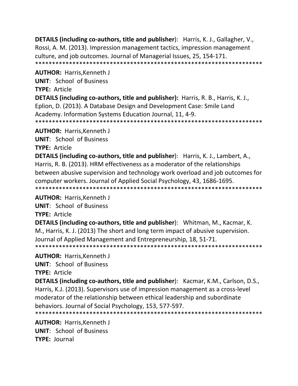**DETAILS (including co‐authors, title and publisher**): Harris, K. J., Gallagher, V., Rossi, A. M. (2013). Impression management tactics, impression management culture, and job outcomes. Journal of Managerial Issues, 25, 154‐171. \*\*\*\*\*\*\*\*\*\*\*\*\*\*\*\*\*\*\*\*\*\*\*\*\*\*\*\*\*\*\*\*\*\*\*\*\*\*\*\*\*\*\*\*\*\*\*\*\*\*\*\*\*\*\*\*\*\*\*\*\*\*\*\*\*\*\*

**AUTHOR:** Harris,Kenneth J

**UNIT**: School of Business

**TYPE:** Article

**DETAILS (including co‐authors, title and publisher):** Harris, R. B., Harris, K. J., Eplion, D. (2013). A Database Design and Development Case: Smile Land Academy. Information Systems Education Journal, 11, 4‐9. \*\*\*\*\*\*\*\*\*\*\*\*\*\*\*\*\*\*\*\*\*\*\*\*\*\*\*\*\*\*\*\*\*\*\*\*\*\*\*\*\*\*\*\*\*\*\*\*\*\*\*\*\*\*\*\*\*\*\*\*\*\*\*\*\*\*\*

**AUTHOR:** Harris,Kenneth J

**UNIT**: School of Business

**TYPE:** Article

**DETAILS (including co‐authors, title and publisher**): Harris, K. J., Lambert, A., Harris, R. B. (2013). HRM effectiveness as a moderator of the relationships between abusive supervision and technology work overload and job outcomes for computer workers. Journal of Applied Social Psychology, 43, 1686‐1695. \*\*\*\*\*\*\*\*\*\*\*\*\*\*\*\*\*\*\*\*\*\*\*\*\*\*\*\*\*\*\*\*\*\*\*\*\*\*\*\*\*\*\*\*\*\*\*\*\*\*\*\*\*\*\*\*\*\*\*\*\*\*\*\*\*\*\*

**AUTHOR:** Harris,Kenneth J

**UNIT**: School of Business

**TYPE:** Article

**DETAILS (including co‐authors, title and publisher**): Whitman, M., Kacmar, K. M., Harris, K. J. (2013) The short and long term impact of abusive supervision. Journal of Applied Management and Entrepreneurship, 18, 51‐71. \*\*\*\*\*\*\*\*\*\*\*\*\*\*\*\*\*\*\*\*\*\*\*\*\*\*\*\*\*\*\*\*\*\*\*\*\*\*\*\*\*\*\*\*\*\*\*\*\*\*\*\*\*\*\*\*\*\*\*\*\*\*\*\*\*\*\*

**AUTHOR:** Harris,Kenneth J

**UNIT**: School of Business

**TYPE:** Article

**DETAILS (including co‐authors, title and publisher**): Kacmar, K.M., Carlson, D.S., Harris, K.J. (2013). Supervisors use of impression management as a cross‐level moderator of the relationship between ethical leadership and subordinate behaviors. Journal of Social Psychology, 153, 577‐597.

\*\*\*\*\*\*\*\*\*\*\*\*\*\*\*\*\*\*\*\*\*\*\*\*\*\*\*\*\*\*\*\*\*\*\*\*\*\*\*\*\*\*\*\*\*\*\*\*\*\*\*\*\*\*\*\*\*\*\*\*\*\*\*\*\*\*\*

**AUTHOR:** Harris,Kenneth J **UNIT**: School of Business **TYPE:** Journal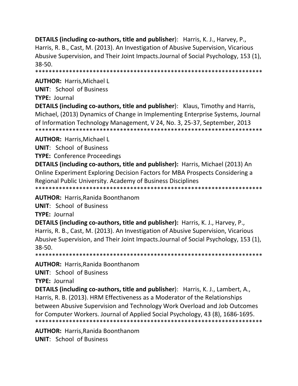**DETAILS (including co‐authors, title and publisher**): Harris, K. J., Harvey, P., Harris, R. B., Cast, M. (2013). An Investigation of Abusive Supervision, Vicarious Abusive Supervision, and Their Joint Impacts.Journal of Social Psychology, 153 (1), 38‐50.

\*\*\*\*\*\*\*\*\*\*\*\*\*\*\*\*\*\*\*\*\*\*\*\*\*\*\*\*\*\*\*\*\*\*\*\*\*\*\*\*\*\*\*\*\*\*\*\*\*\*\*\*\*\*\*\*\*\*\*\*\*\*\*\*\*\*\*

**AUTHOR:** Harris,Michael L

**UNIT**: School of Business

**TYPE:** Journal

**DETAILS (including co‐authors, title and publisher**): Klaus, Timothy and Harris, Michael, (2013) Dynamics of Change in Implementing Enterprise Systems, Journal of Information Technology Management, V 24, No. 3, 25‐37, September, 2013 \*\*\*\*\*\*\*\*\*\*\*\*\*\*\*\*\*\*\*\*\*\*\*\*\*\*\*\*\*\*\*\*\*\*\*\*\*\*\*\*\*\*\*\*\*\*\*\*\*\*\*\*\*\*\*\*\*\*\*\*\*\*\*\*\*\*\*

**AUTHOR:** Harris,Michael L

**UNIT**: School of Business

**TYPE:** Conference Proceedings

**DETAILS (including co‐authors, title and publisher):** Harris, Michael (2013) An Online Experiment Exploring Decision Factors for MBA Prospects Considering a Regional Public University. Academy of Business Disciplines \*\*\*\*\*\*\*\*\*\*\*\*\*\*\*\*\*\*\*\*\*\*\*\*\*\*\*\*\*\*\*\*\*\*\*\*\*\*\*\*\*\*\*\*\*\*\*\*\*\*\*\*\*\*\*\*\*\*\*\*\*\*\*\*\*\*\*

**AUTHOR:** Harris,Ranida Boonthanom

**UNIT**: School of Business

**TYPE:** Journal

**DETAILS (including co‐authors, title and publisher):** Harris, K. J., Harvey, P., Harris, R. B., Cast, M. (2013). An Investigation of Abusive Supervision, Vicarious Abusive Supervision, and Their Joint Impacts.Journal of Social Psychology, 153 (1), 38‐50.

\*\*\*\*\*\*\*\*\*\*\*\*\*\*\*\*\*\*\*\*\*\*\*\*\*\*\*\*\*\*\*\*\*\*\*\*\*\*\*\*\*\*\*\*\*\*\*\*\*\*\*\*\*\*\*\*\*\*\*\*\*\*\*\*\*\*\*

**AUTHOR:** Harris,Ranida Boonthanom

**UNIT**: School of Business

**TYPE:** Journal

**DETAILS (including co‐authors, title and publisher**): Harris, K. J., Lambert, A., Harris, R. B. (2013). HRM Effectiveness as a Moderator of the Relationships between Abusive Supervision and Technology Work Overload and Job Outcomes for Computer Workers. Journal of Applied Social Psychology, 43 (8), 1686‐1695. \*\*\*\*\*\*\*\*\*\*\*\*\*\*\*\*\*\*\*\*\*\*\*\*\*\*\*\*\*\*\*\*\*\*\*\*\*\*\*\*\*\*\*\*\*\*\*\*\*\*\*\*\*\*\*\*\*\*\*\*\*\*\*\*\*\*\*

**AUTHOR:** Harris,Ranida Boonthanom **UNIT**: School of Business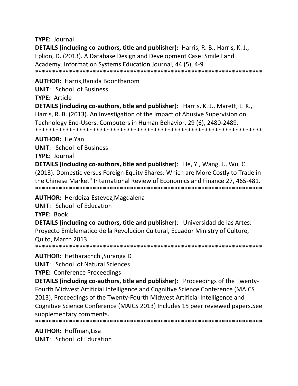#### **TYPE: Journal**

**DETAILS (including co-authors, title and publisher):** Harris, R. B., Harris, K. J., Eplion, D. (2013). A Database Design and Development Case: Smile Land Academy. Information Systems Education Journal, 44 (5), 4-9. 

**AUTHOR: Harris, Ranida Boonthanom** 

**UNIT: School of Business** 

**TYPE: Article** 

**DETAILS (including co-authors, title and publisher):** Harris, K. J., Marett, L. K., Harris, R. B. (2013). An Investigation of the Impact of Abusive Supervision on Technology End-Users. Computers in Human Behavior, 29 (6), 2480-2489. 

**AUTHOR: He, Yan** 

**UNIT: School of Business** 

**TYPE: Journal** 

**DETAILS (including co-authors, title and publisher):** He, Y., Wang, J., Wu, C. (2013). Domestic versus Foreign Equity Shares: Which are More Costly to Trade in the Chinese Market" International Review of Economics and Finance 27, 465-481. 

**AUTHOR:** Herdoiza-Estevez, Magdalena

UNIT: School of Education

**TYPE: Book** 

**DETAILS (including co-authors, title and publisher):** Universidad de las Artes: Proyecto Emblematico de la Revolucion Cultural, Ecuador Ministry of Culture, Quito, March 2013.

**AUTHOR:** Hettiarachchi, Suranga D

**UNIT:** School of Natural Sciences

**TYPE: Conference Proceedings** 

**DETAILS (including co-authors, title and publisher):** Proceedings of the Twenty-Fourth Midwest Artificial Intelligence and Cognitive Science Conference (MAICS 2013), Proceedings of the Twenty-Fourth Midwest Artificial Intelligence and Cognitive Science Conference (MAICS 2013) Includes 15 peer reviewed papers. See supplementary comments.

**AUTHOR: Hoffman, Lisa UNIT:** School of Education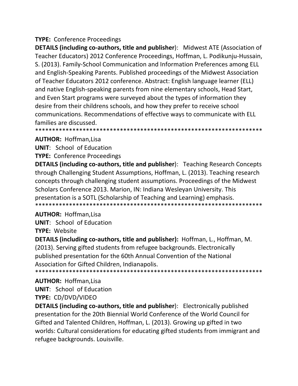#### **TYPE: Conference Proceedings**

**DETAILS (including co-authors, title and publisher):** Midwest ATE (Association of Teacher Educators) 2012 Conference Proceedings, Hoffman, L. Podikunju-Hussain, S. (2013). Family-School Communication and Information Preferences among ELL and English-Speaking Parents. Published proceedings of the Midwest Association of Teacher Educators 2012 conference. Abstract: English language learner (ELL) and native English-speaking parents from nine elementary schools, Head Start, and Even Start programs were surveyed about the types of information they desire from their childrens schools, and how they prefer to receive school communications. Recommendations of effective ways to communicate with ELL families are discussed. 

#### **AUTHOR: Hoffman, Lisa**

**UNIT:** School of Education

**TYPE: Conference Proceedings** 

**DETAILS (including co-authors, title and publisher):** Teaching Research Concepts through Challenging Student Assumptions, Hoffman, L. (2013). Teaching research concepts through challenging student assumptions. Proceedings of the Midwest Scholars Conference 2013. Marion, IN: Indiana Wesleyan University. This presentation is a SOTL (Scholarship of Teaching and Learning) emphasis. 

#### **AUTHOR: Hoffman, Lisa**

**UNIT:** School of Education **TYPE: Website** 

**DETAILS (including co-authors, title and publisher):** Hoffman, L., Hoffman, M. (2013). Serving gifted students from refugee backgrounds. Electronically published presentation for the 60th Annual Convention of the National Association for Gifted Children, Indianapolis.

#### **AUTHOR: Hoffman, Lisa**

**UNIT:** School of Education

#### TYPE: CD/DVD/VIDEO

**DETAILS (including co-authors, title and publisher):** Electronically published presentation for the 20th Biennial World Conference of the World Council for Gifted and Talented Children, Hoffman, L. (2013). Growing up gifted in two worlds: Cultural considerations for educating gifted students from immigrant and refugee backgrounds. Louisville.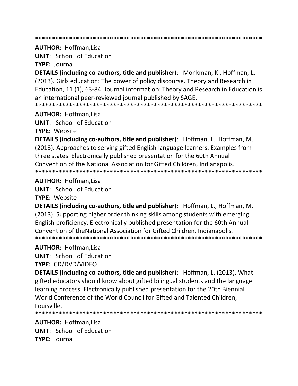**AUTHOR: Hoffman.Lisa** 

**UNIT:** School of Education

**TYPE: Journal** 

**DETAILS (including co-authors, title and publisher):** Monkman, K., Hoffman, L. (2013). Girls education: The power of policy discourse. Theory and Research in Education, 11 (1), 63-84. Journal information: Theory and Research in Education is an international peer-reviewed journal published by SAGE. 

**AUTHOR: Hoffman, Lisa** 

**UNIT:** School of Education TYPE: Website

**DETAILS (including co-authors, title and publisher):** Hoffman, L., Hoffman, M. (2013). Approaches to serving gifted English language learners: Examples from three states. Electronically published presentation for the 60th Annual Convention of the National Association for Gifted Children, Indianapolis. 

#### **AUTHOR: Hoffman, Lisa**

**UNIT:** School of Education

**TYPE: Website** 

**DETAILS (including co-authors, title and publisher):** Hoffman, L., Hoffman, M. (2013). Supporting higher order thinking skills among students with emerging English proficiency. Electronically published presentation for the 60th Annual Convention of the National Association for Gifted Children. Indianapolis. 

#### **AUTHOR: Hoffman, Lisa**

**UNIT:** School of Education

**TYPE: CD/DVD/VIDEO** 

**DETAILS (including co-authors, title and publisher):** Hoffman, L. (2013). What gifted educators should know about gifted bilingual students and the language learning process. Electronically published presentation for the 20th Biennial World Conference of the World Council for Gifted and Talented Children, Louisville.

**AUTHOR: Hoffman.Lisa UNIT:** School of Education **TYPE: Journal**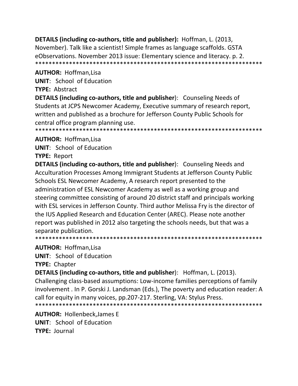DETAILS (including co-authors, title and publisher): Hoffman, L. (2013, November). Talk like a scientist! Simple frames as language scaffolds. GSTA eObservations. November 2013 issue: Elementary science and literacy. p. 2. 

#### **AUTHOR: Hoffman, Lisa**

**UNIT:** School of Education

#### **TYPE: Abstract**

DETAILS (including co-authors, title and publisher): Counseling Needs of Students at JCPS Newcomer Academy, Executive summary of research report, written and published as a brochure for Jefferson County Public Schools for central office program planning use. 

#### **AUTHOR: Hoffman.Lisa**

**UNIT:** School of Education

#### **TYPE: Report**

**DETAILS (including co-authors, title and publisher):** Counseling Needs and Acculturation Processes Among Immigrant Students at Jefferson County Public Schools ESL Newcomer Academy, A research report presented to the administration of ESL Newcomer Academy as well as a working group and steering committee consisting of around 20 district staff and principals working with ESL services in Jefferson County. Third author Melissa Fry is the director of the IUS Applied Research and Education Center (AREC). Please note another report was published in 2012 also targeting the schools needs, but that was a separate publication.

#### **AUTHOR: Hoffman, Lisa**

**UNIT:** School of Education

**TYPE: Chapter** 

**DETAILS (including co-authors, title and publisher)**: Hoffman, L. (2013). Challenging class-based assumptions: Low-income families perceptions of family involvement . In P. Gorski J. Landsman (Eds.), The poverty and education reader: A call for equity in many voices, pp.207-217. Sterling, VA: Stylus Press. 

**AUTHOR: Hollenbeck, James E UNIT:** School of Education TYPF: lournal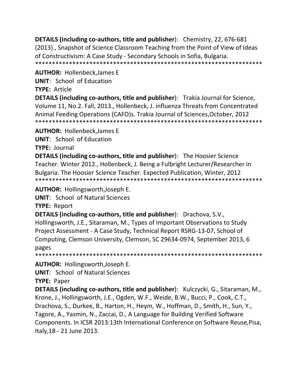**DETAILS (including co‐authors, title and publisher**): Chemistry, 22, 676‐681 (2013)., Snapshot of Science Classroom Teaching from the Point of View of Ideas of Constructivism: A Case Study ‐ Secondary Schools in Sofia, Bulgaria. \*\*\*\*\*\*\*\*\*\*\*\*\*\*\*\*\*\*\*\*\*\*\*\*\*\*\*\*\*\*\*\*\*\*\*\*\*\*\*\*\*\*\*\*\*\*\*\*\*\*\*\*\*\*\*\*\*\*\*\*\*\*\*\*\*\*\*

**AUTHOR:** Hollenbeck,James E

**UNIT**: School of Education

**TYPE:** Article

**DETAILS (including co‐authors, title and publisher**): Trakia Journal for Science, Volume 11, No.2. Fall, 2013., Hollenbeck, J. influenza Threats from Concentrated Animal Feeding Operations (CAFO)s. Trakia Journal of Sciences,October, 2012 \*\*\*\*\*\*\*\*\*\*\*\*\*\*\*\*\*\*\*\*\*\*\*\*\*\*\*\*\*\*\*\*\*\*\*\*\*\*\*\*\*\*\*\*\*\*\*\*\*\*\*\*\*\*\*\*\*\*\*\*\*\*\*\*\*\*\*

**AUTHOR:** Hollenbeck,James E

**UNIT**: School of Education

**TYPE:** Journal

**DETAILS (including co‐authors, title and publisher**): The Hoosier Science Teacher. Winter 2012., Hollenbeck, J. Being a Fulbright Lecturer/Researcher in Bulgaria. The Hoosier Science Teacher. Expected Publication, Winter, 2012 \*\*\*\*\*\*\*\*\*\*\*\*\*\*\*\*\*\*\*\*\*\*\*\*\*\*\*\*\*\*\*\*\*\*\*\*\*\*\*\*\*\*\*\*\*\*\*\*\*\*\*\*\*\*\*\*\*\*\*\*\*\*\*\*\*\*\*

**AUTHOR:** Hollingsworth,Joseph E.

**UNIT**: School of Natural Sciences

**TYPE:** Report

**DETAILS (including co‐authors, title and publisher**): Drachova, S.V.,

Hollingsworth, J.E., Sitaraman, M., Types of Important Observations to Study Project Assessment ‐ A Case Study, Technical Report RSRG‐13‐07, School of Computing, Clemson University, Clemson, SC 29634‐0974, September 2013, 6 pages \*\*\*\*\*\*\*\*\*\*\*\*\*\*\*\*\*\*\*\*\*\*\*\*\*\*\*\*\*\*\*\*\*\*\*\*\*\*\*\*\*\*\*\*\*\*\*\*\*\*\*\*\*\*\*\*\*\*\*\*\*\*\*\*\*\*\*

**AUTHOR:** Hollingsworth,Joseph E.

**UNIT**: School of Natural Sciences

**TYPE:** Paper

**DETAILS (including co‐authors, title and publisher**): Kulczycki, G., Sitaraman, M., Krone, J., Hollingsworth, J.E., Ogden, W.F., Weide, B.W., Bucci, P., Cook, C.T., Drachova, S., Durkee, B., Harton, H., Heym, W., Hoffman, D., Smith, H., Sun, Y., Tagore, A., Yasmin, N., Zaccai, D., A Language for Building Verified Software Components. In ICSR 2013:13th International Conference on Software Reuse,Pisa, Italy,18 ‐ 21 June 2013.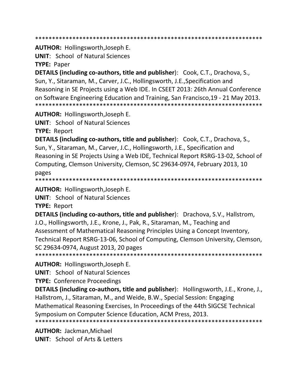\*\*\*\*\*\*\*\*\*\*\*\*\*\*\*\*\*\*\*\*\*\*\*\*\*\*\*\*\*\*\*\*\*\*\*\*\*\*\*\*\*\*\*\*\*\*\*\*\*\*\*\*\*\*\*\*\*\*\*\*\*\*\*\*\*\*\*

#### **AUTHOR:** Hollingsworth,Joseph E.

**UNIT**: School of Natural Sciences

**TYPE:** Paper

**DETAILS (including co‐authors, title and publisher**): Cook, C.T., Drachova, S., Sun, Y., Sitaraman, M., Carver, J.C., Hollingsworth, J.E.,Specification and Reasoning in SE Projects using a Web IDE. In CSEET 2013: 26th Annual Conference on Software Engineering Education and Training, San Francisco,19 ‐ 21 May 2013. \*\*\*\*\*\*\*\*\*\*\*\*\*\*\*\*\*\*\*\*\*\*\*\*\*\*\*\*\*\*\*\*\*\*\*\*\*\*\*\*\*\*\*\*\*\*\*\*\*\*\*\*\*\*\*\*\*\*\*\*\*\*\*\*\*\*\*

**AUTHOR:** Hollingsworth,Joseph E.

**UNIT**: School of Natural Sciences

**TYPE:** Report

**DETAILS (including co‐authors, title and publisher**): Cook, C.T., Drachova, S., Sun, Y., Sitaraman, M., Carver, J.C., Hollingsworth, J.E., Specification and Reasoning in SE Projects Using a Web IDE, Technical Report RSRG‐13‐02, School of Computing, Clemson University, Clemson, SC 29634‐0974, February 2013, 10 pages

\*\*\*\*\*\*\*\*\*\*\*\*\*\*\*\*\*\*\*\*\*\*\*\*\*\*\*\*\*\*\*\*\*\*\*\*\*\*\*\*\*\*\*\*\*\*\*\*\*\*\*\*\*\*\*\*\*\*\*\*\*\*\*\*\*\*\*

**AUTHOR:** Hollingsworth,Joseph E.

**UNIT**: School of Natural Sciences

**TYPE:** Report

**DETAILS (including co‐authors, title and publisher**): Drachova, S.V., Hallstrom, J.O., Hollingsworth, J.E., Krone, J., Pak, R., Sitaraman, M., Teaching and Assessment of Mathematical Reasoning Principles Using a Concept Inventory, Technical Report RSRG‐13‐06, School of Computing, Clemson University, Clemson, SC 29634‐0974, August 2013, 20 pages

\*\*\*\*\*\*\*\*\*\*\*\*\*\*\*\*\*\*\*\*\*\*\*\*\*\*\*\*\*\*\*\*\*\*\*\*\*\*\*\*\*\*\*\*\*\*\*\*\*\*\*\*\*\*\*\*\*\*\*\*\*\*\*\*\*\*\*

**AUTHOR:** Hollingsworth,Joseph E.

**UNIT**: School of Natural Sciences

**TYPE:** Conference Proceedings

**DETAILS (including co‐authors, title and publisher**): Hollingsworth, J.E., Krone, J., Hallstrom, J., Sitaraman, M., and Weide, B.W., Special Session: Engaging Mathematical Reasoning Exercises, In Proceedings of the 44th SIGCSE Technical Symposium on Computer Science Education, ACM Press, 2013.

\*\*\*\*\*\*\*\*\*\*\*\*\*\*\*\*\*\*\*\*\*\*\*\*\*\*\*\*\*\*\*\*\*\*\*\*\*\*\*\*\*\*\*\*\*\*\*\*\*\*\*\*\*\*\*\*\*\*\*\*\*\*\*\*\*\*\*

**AUTHOR:** Jackman,Michael **UNIT**: School of Arts & Letters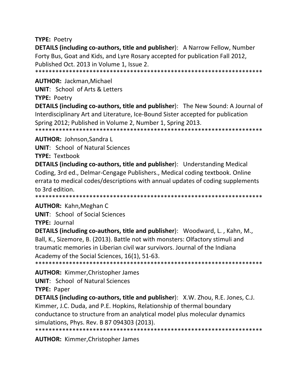**TYPE:** Poetry

**DETAILS (including co‐authors, title and publisher**): A Narrow Fellow, Number Forty Bus, Goat and Kids, and Lyre Rosary accepted for publication Fall 2012, Published Oct. 2013 in Volume 1, Issue 2. \*\*\*\*\*\*\*\*\*\*\*\*\*\*\*\*\*\*\*\*\*\*\*\*\*\*\*\*\*\*\*\*\*\*\*\*\*\*\*\*\*\*\*\*\*\*\*\*\*\*\*\*\*\*\*\*\*\*\*\*\*\*\*\*\*\*\*

**AUTHOR:** Jackman,Michael

**UNIT**: School of Arts & Letters

**TYPE: Poetry** 

**DETAILS (including co‐authors, title and publisher**): The New Sound: A Journal of Interdisciplinary Art and Literature, Ice‐Bound Sister accepted for publication Spring 2012; Published in Volume 2, Number 1, Spring 2013. \*\*\*\*\*\*\*\*\*\*\*\*\*\*\*\*\*\*\*\*\*\*\*\*\*\*\*\*\*\*\*\*\*\*\*\*\*\*\*\*\*\*\*\*\*\*\*\*\*\*\*\*\*\*\*\*\*\*\*\*\*\*\*\*\*\*\*

**AUTHOR:** Johnson,Sandra L

**UNIT**: School of Natural Sciences

**TYPE:** Textbook

**DETAILS (including co‐authors, title and publisher**): Understanding Medical Coding, 3rd ed., Delmar‐Cengage Publishers., Medical coding textbook. Online errata to medical codes/descriptions with annual updates of coding supplements to 3rd edition.

\*\*\*\*\*\*\*\*\*\*\*\*\*\*\*\*\*\*\*\*\*\*\*\*\*\*\*\*\*\*\*\*\*\*\*\*\*\*\*\*\*\*\*\*\*\*\*\*\*\*\*\*\*\*\*\*\*\*\*\*\*\*\*\*\*\*\*

**AUTHOR:** Kahn,Meghan C

**UNIT**: School of Social Sciences

**TYPE:** Journal

**DETAILS (including co‐authors, title and publisher**): Woodward, L. , Kahn, M., Ball, K., Sizemore, B. (2013). Battle not with monsters: Olfactory stimuli and traumatic memories in Liberian civil war survivors. Journal of the Indiana Academy of the Social Sciences, 16(1), 51‐63. \*\*\*\*\*\*\*\*\*\*\*\*\*\*\*\*\*\*\*\*\*\*\*\*\*\*\*\*\*\*\*\*\*\*\*\*\*\*\*\*\*\*\*\*\*\*\*\*\*\*\*\*\*\*\*\*\*\*\*\*\*\*\*\*\*\*\*

**AUTHOR:** Kimmer,Christopher James

**UNIT**: School of Natural Sciences

**TYPE:** Paper

**DETAILS (including co‐authors, title and publisher**): X.W. Zhou, R.E. Jones, C.J. Kimmer, J.C. Duda, and P.E. Hopkins, Relationship of thermal boundary conductance to structure from an analytical model plus molecular dynamics simulations, Phys. Rev. B 87 094303 (2013). \*\*\*\*\*\*\*\*\*\*\*\*\*\*\*\*\*\*\*\*\*\*\*\*\*\*\*\*\*\*\*\*\*\*\*\*\*\*\*\*\*\*\*\*\*\*\*\*\*\*\*\*\*\*\*\*\*\*\*\*\*\*\*\*\*\*\*

**AUTHOR:** Kimmer,Christopher James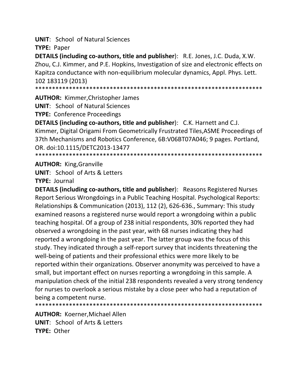**UNIT: School of Natural Sciences** 

**TYPE: Paper** 

**DETAILS (including co-authors, title and publisher):** R.E. Jones, J.C. Duda, X.W. Zhou, C.J. Kimmer, and P.E. Hopkins, Investigation of size and electronic effects on Kapitza conductance with non-equilibrium molecular dynamics, Appl. Phys. Lett. 102 183119 (2013)

**AUTHOR: Kimmer, Christopher James** 

**UNIT: School of Natural Sciences** 

**TYPE: Conference Proceedings** 

**DETAILS (including co-authors, title and publisher):** C.K. Harnett and C.J. Kimmer, Digital Origami From Geometrically Frustrated Tiles, ASME Proceedings of 37th Mechanisms and Robotics Conference, 6B:V06BT07A046; 9 pages. Portland, OR. doi:10.1115/DETC2013-13477 

**AUTHOR: King, Granville** 

**UNIT:** School of Arts & Letters

**TYPE: Journal** 

**DETAILS (including co-authors, title and publisher):** Reasons Registered Nurses Report Serious Wrongdoings in a Public Teaching Hospital. Psychological Reports: Relationships & Communication (2013), 112 (2), 626-636., Summary: This study examined reasons a registered nurse would report a wrongdoing within a public teaching hospital. Of a group of 238 initial respondents, 30% reported they had observed a wrongdoing in the past year, with 68 nurses indicating they had reported a wrongdoing in the past year. The latter group was the focus of this study. They indicated through a self-report survey that incidents threatening the well-being of patients and their professional ethics were more likely to be reported within their organizations. Observer anonymity was perceived to have a small, but important effect on nurses reporting a wrongdoing in this sample. A manipulation check of the initial 238 respondents revealed a very strong tendency for nurses to overlook a serious mistake by a close peer who had a reputation of being a competent nurse.

**AUTHOR: Koerner, Michael Allen UNIT:** School of Arts & Letters TYPF: Other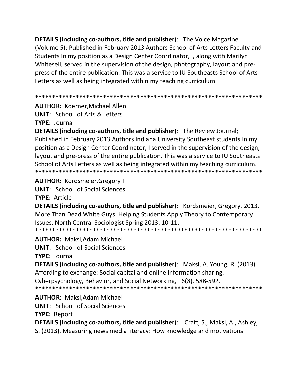**DETAILS (including co-authors, title and publisher):** The Voice Magazine (Volume 5); Published in February 2013 Authors School of Arts Letters Faculty and Students In my position as a Design Center Coordinator, I, along with Marilyn Whitesell, served in the supervision of the design, photography, layout and prepress of the entire publication. This was a service to IU Southeasts School of Arts Letters as well as being integrated within my teaching curriculum.

**AUTHOR: Koerner, Michael Allen UNIT:** School of Arts & Letters

**TYPE: Journal** 

**DETAILS (including co-authors, title and publisher):** The Review Journal; Published in February 2013 Authors Indiana University Southeast students In my position as a Design Center Coordinator, I served in the supervision of the design, layout and pre-press of the entire publication. This was a service to IU Southeasts School of Arts Letters as well as being integrated within my teaching curriculum. 

**AUTHOR: Kordsmeier, Gregory T** 

**UNIT:** School of Social Sciences

**TYPE: Article** 

**DETAILS (including co-authors, title and publisher):** Kordsmeier, Gregory. 2013. More Than Dead White Guys: Helping Students Apply Theory to Contemporary Issues. North Central Sociologist Spring 2013. 10-11. 

**AUTHOR: Maksl, Adam Michael** 

**UNIT:** School of Social Sciences **TYPE: Journal** 

**DETAILS (including co-authors, title and publisher):** Maksl, A. Young, R. (2013). Affording to exchange: Social capital and online information sharing. Cyberpsychology, Behavior, and Social Networking, 16(8), 588-592. 

**AUTHOR: Maksl, Adam Michael UNIT:** School of Social Sciences **TYPE: Report DETAILS (including co-authors, title and publisher):** Craft, S., Maksl, A., Ashley, S. (2013). Measuring news media literacy: How knowledge and motivations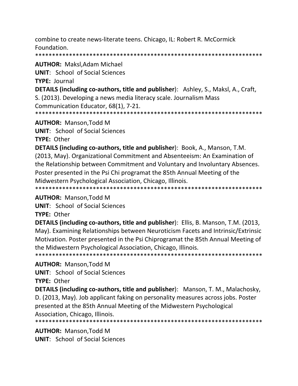combine to create news-literate teens. Chicago, IL: Robert R. McCormick Foundation.

**AUTHOR: Maksl, Adam Michael** 

**UNIT:** School of Social Sciences

**TYPE: Journal** 

DETAILS (including co-authors, title and publisher): Ashley, S., Maksl, A., Craft,

S. (2013). Developing a news media literacy scale. Journalism Mass Communication Educator, 68(1), 7-21.

**AUTHOR: Manson, Todd M** 

**UNIT:** School of Social Sciences

**TYPE: Other** 

**DETAILS (including co-authors, title and publisher): Book, A., Manson, T.M.** (2013, May). Organizational Commitment and Absenteeism: An Examination of the Relationship between Commitment and Voluntary and Involuntary Absences. Poster presented in the Psi Chi programat the 85th Annual Meeting of the Midwestern Psychological Association, Chicago, Illinois. 

**AUTHOR: Manson, Todd M** 

**UNIT:** School of Social Sciences

**TYPE: Other** 

**DETAILS (including co-authors, title and publisher):** Ellis, B. Manson, T.M. (2013, May). Examining Relationships between Neuroticism Facets and Intrinsic/Extrinsic Motivation. Poster presented in the Psi Chiprogramat the 85th Annual Meeting of the Midwestern Psychological Association, Chicago, Illinois. 

**AUTHOR: Manson, Todd M** 

**UNIT:** School of Social Sciences

TYPE: Other

DETAILS (including co-authors, title and publisher): Manson, T. M., Malachosky, D. (2013, May). Job applicant faking on personality measures across jobs. Poster presented at the 85th Annual Meeting of the Midwestern Psychological Association, Chicago, Illinois.

**AUTHOR: Manson, Todd M UNIT:** School of Social Sciences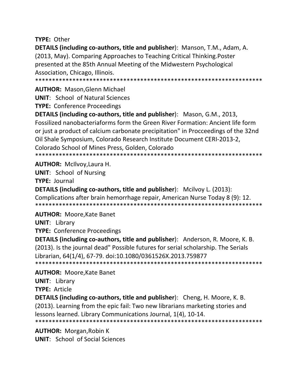**TYPE: Other** 

**DETAILS (including co‐authors, title and publisher**): Manson, T.M., Adam, A. (2013, May). Comparing Approaches to Teaching Critical Thinking.Poster presented at the 85th Annual Meeting of the Midwestern Psychological Association, Chicago, Illinois.

\*\*\*\*\*\*\*\*\*\*\*\*\*\*\*\*\*\*\*\*\*\*\*\*\*\*\*\*\*\*\*\*\*\*\*\*\*\*\*\*\*\*\*\*\*\*\*\*\*\*\*\*\*\*\*\*\*\*\*\*\*\*\*\*\*\*\*

**AUTHOR:** Mason,Glenn Michael

**UNIT**: School of Natural Sciences

**TYPE:** Conference Proceedings

**DETAILS (including co‐authors, title and publisher**): Mason, G.M., 2013, Fossilized nanobacteriaforms form the Green River Formation: Ancient life form or just a product of calcium carbonate precipitation" in Procceedings of the 32nd Oil Shale Symposium, Colorado Research Institute Document CERI‐2013‐2, Colorado School of Mines Press, Golden, Colorado

\*\*\*\*\*\*\*\*\*\*\*\*\*\*\*\*\*\*\*\*\*\*\*\*\*\*\*\*\*\*\*\*\*\*\*\*\*\*\*\*\*\*\*\*\*\*\*\*\*\*\*\*\*\*\*\*\*\*\*\*\*\*\*\*\*\*\*

**AUTHOR:** McIlvoy,Laura H.

**UNIT**: School of Nursing

**TYPE:** Journal

**DETAILS (including co‐authors, title and publisher**): Mcilvoy L. (2013): Complications after brain hemorrhage repair, American Nurse Today 8 (9): 12. \*\*\*\*\*\*\*\*\*\*\*\*\*\*\*\*\*\*\*\*\*\*\*\*\*\*\*\*\*\*\*\*\*\*\*\*\*\*\*\*\*\*\*\*\*\*\*\*\*\*\*\*\*\*\*\*\*\*\*\*\*\*\*\*\*\*\*

**AUTHOR:** Moore,Kate Banet

**UNIT**: Library

**TYPE:** Conference Proceedings

**DETAILS (including co‐authors, title and publisher**): Anderson, R. Moore, K. B. (2013). Is the journal dead" Possible futures for serial scholarship. The Serials Librarian, 64(1/4), 67‐79. doi:10.1080/0361526X.2013.759877 \*\*\*\*\*\*\*\*\*\*\*\*\*\*\*\*\*\*\*\*\*\*\*\*\*\*\*\*\*\*\*\*\*\*\*\*\*\*\*\*\*\*\*\*\*\*\*\*\*\*\*\*\*\*\*\*\*\*\*\*\*\*\*\*\*\*\*

**AUTHOR:** Moore,Kate Banet

**UNIT**: Library

**TYPE:** Article

**DETAILS (including co‐authors, title and publisher**): Cheng, H. Moore, K. B.

(2013). Learning from the epic fail: Two new librarians marketing stories and lessons learned. Library Communications Journal, 1(4), 10‐14.

\*\*\*\*\*\*\*\*\*\*\*\*\*\*\*\*\*\*\*\*\*\*\*\*\*\*\*\*\*\*\*\*\*\*\*\*\*\*\*\*\*\*\*\*\*\*\*\*\*\*\*\*\*\*\*\*\*\*\*\*\*\*\*\*\*\*\*

**AUTHOR:** Morgan,Robin K **UNIT**: School of Social Sciences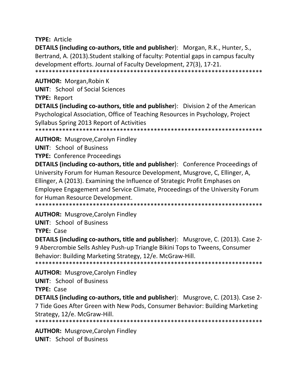**TYPE: Article** 

**DETAILS (including co-authors, title and publisher):** Morgan, R.K., Hunter, S., Bertrand, A. (2013). Student stalking of faculty: Potential gaps in campus faculty development efforts. Journal of Faculty Development, 27(3), 17-21. 

**AUTHOR:** Morgan, Robin K

**UNIT:** School of Social Sciences

**TYPE: Report** 

**DETAILS (including co-authors, title and publisher):** Division 2 of the American Psychological Association, Office of Teaching Resources in Psychology, Project Syllabus Spring 2013 Report of Activities 

**AUTHOR:** Musgrove, Carolyn Findley

**UNIT: School of Business** 

**TYPE: Conference Proceedings** 

**DETAILS (including co-authors, title and publisher):** Conference Proceedings of University Forum for Human Resource Development, Musgrove, C, Ellinger, A, Ellinger, A (2013). Examining the Influence of Strategic Profit Emphases on Employee Engagement and Service Climate, Proceedings of the University Forum for Human Resource Development.

**AUTHOR: Musgrove, Carolyn Findley** 

**UNIT: School of Business** 

**TYPE: Case** 

**DETAILS (including co-authors, title and publisher):** Musgrove, C. (2013). Case 2-9 Abercrombie Sells Ashley Push-up Triangle Bikini Tops to Tweens, Consumer Behavior: Building Marketing Strategy, 12/e. McGraw-Hill. 

**AUTHOR:** Musgrove, Carolyn Findley

**UNIT: School of Business** 

TYPE: Case

**DETAILS (including co-authors, title and publisher):** Musgrove, C. (2013). Case 2-7 Tide Goes After Green with New Pods, Consumer Behavior: Building Marketing Strategy, 12/e. McGraw-Hill.

**AUTHOR:** Musgrove, Carolyn Findley **UNIT:** School of Business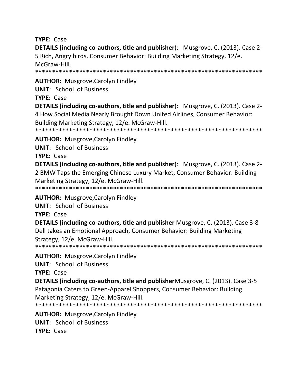**TYPE: Case** 

**DETAILS (including co-authors, title and publisher):** Musgrove, C. (2013). Case 2-5 Rich, Angry birds, Consumer Behavior: Building Marketing Strategy, 12/e. McGraw-Hill. 

**AUTHOR:** Musgrove, Carolyn Findley

**UNIT: School of Business** 

TYPF: Case

**DETAILS (including co-authors, title and publisher):** Musgrove, C. (2013). Case 2-4 How Social Media Nearly Brought Down United Airlines, Consumer Behavior: Building Marketing Strategy, 12/e. McGraw-Hill. 

**AUTHOR:** Musgrove, Carolyn Findley

**UNIT:** School of Business

**TYPE: Case** 

**DETAILS (including co-authors, title and publisher):** Musgrove, C. (2013). Case 2-2 BMW Taps the Emerging Chinese Luxury Market, Consumer Behavior: Building Marketing Strategy, 12/e. McGraw-Hill.

**AUTHOR:** Musgrove, Carolyn Findley

**UNIT:** School of Business

**TYPE: Case** 

**DETAILS (including co-authors, title and publisher Musgrove, C. (2013). Case 3-8** Dell takes an Emotional Approach, Consumer Behavior: Building Marketing Strategy, 12/e. McGraw-Hill.

**AUTHOR:** Musgrove, Carolyn Findley

**UNIT: School of Business** 

**TYPE: Case** 

**DETAILS (including co-authors, title and publisher** Musgrove, C. (2013). Case 3-5 Patagonia Caters to Green-Apparel Shoppers, Consumer Behavior: Building Marketing Strategy, 12/e. McGraw-Hill.

**AUTHOR:** Musgrove, Carolyn Findley **UNIT: School of Business TYPE: Case**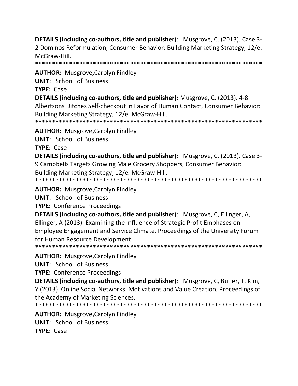**DETAILS (including co-authors, title and publisher):** Musgrove, C. (2013). Case 3-2 Dominos Reformulation, Consumer Behavior: Building Marketing Strategy, 12/e. McGraw-Hill.

**AUTHOR: Musgrove, Carolyn Findley** 

**UNIT: School of Business** 

TYPE: Case

**DETAILS (including co-authors, title and publisher):** Musgrove, C. (2013). 4-8

Albertsons Ditches Self-checkout in Favor of Human Contact, Consumer Behavior: Building Marketing Strategy, 12/e. McGraw-Hill.

**AUTHOR: Musgrove, Carolyn Findley** 

**UNIT: School of Business** 

**TYPE: Case** 

**DETAILS (including co-authors, title and publisher):** Musgrove, C. (2013). Case 3-9 Campbells Targets Growing Male Grocery Shoppers, Consumer Behavior: Building Marketing Strategy, 12/e. McGraw-Hill.

**AUTHOR: Musgrove, Carolyn Findley** 

**UNIT:** School of Business

**TYPE: Conference Proceedings** 

**DETAILS (including co-authors, title and publisher):** Musgrove, C, Ellinger, A, Ellinger, A (2013). Examining the Influence of Strategic Profit Emphases on Employee Engagement and Service Climate, Proceedings of the University Forum for Human Resource Development.

**AUTHOR:** Musgrove, Carolyn Findley

**UNIT: School of Business** 

**TYPE: Conference Proceedings** 

**DETAILS (including co-authors, title and publisher):** Musgrove, C, Butler, T, Kim, Y (2013). Online Social Networks: Motivations and Value Creation, Proceedings of the Academy of Marketing Sciences.

**AUTHOR:** Musgrove, Carolyn Findley **UNIT: School of Business TYPE: Case**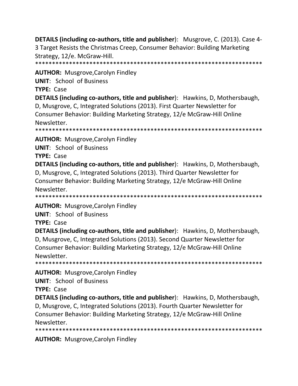**DETAILS (including co‐authors, title and publisher**): Musgrove, C. (2013). Case 4‐ 3 Target Resists the Christmas Creep, Consumer Behavior: Building Marketing Strategy, 12/e. McGraw‐Hill.

\*\*\*\*\*\*\*\*\*\*\*\*\*\*\*\*\*\*\*\*\*\*\*\*\*\*\*\*\*\*\*\*\*\*\*\*\*\*\*\*\*\*\*\*\*\*\*\*\*\*\*\*\*\*\*\*\*\*\*\*\*\*\*\*\*\*\*

**AUTHOR:** Musgrove,Carolyn Findley

**UNIT**: School of Business

**TYPE:** Case

**DETAILS (including co‐authors, title and publisher**): Hawkins, D, Mothersbaugh, D, Musgrove, C, Integrated Solutions (2013). First Quarter Newsletter for Consumer Behavior: Building Marketing Strategy, 12/e McGraw‐Hill Online Newsletter.

\*\*\*\*\*\*\*\*\*\*\*\*\*\*\*\*\*\*\*\*\*\*\*\*\*\*\*\*\*\*\*\*\*\*\*\*\*\*\*\*\*\*\*\*\*\*\*\*\*\*\*\*\*\*\*\*\*\*\*\*\*\*\*\*\*\*\*

**AUTHOR:** Musgrove,Carolyn Findley

**UNIT**: School of Business

**TYPE:** Case

**DETAILS (including co‐authors, title and publisher**): Hawkins, D, Mothersbaugh, D, Musgrove, C, Integrated Solutions (2013). Third Quarter Newsletter for Consumer Behavior: Building Marketing Strategy, 12/e McGraw‐Hill Online Newsletter.

\*\*\*\*\*\*\*\*\*\*\*\*\*\*\*\*\*\*\*\*\*\*\*\*\*\*\*\*\*\*\*\*\*\*\*\*\*\*\*\*\*\*\*\*\*\*\*\*\*\*\*\*\*\*\*\*\*\*\*\*\*\*\*\*\*\*\*

**AUTHOR:** Musgrove,Carolyn Findley

**UNIT**: School of Business

**TYPE:** Case

**DETAILS (including co‐authors, title and publisher**): Hawkins, D, Mothersbaugh, D, Musgrove, C, Integrated Solutions (2013). Second Quarter Newsletter for Consumer Behavior: Building Marketing Strategy, 12/e McGraw‐Hill Online Newsletter.

\*\*\*\*\*\*\*\*\*\*\*\*\*\*\*\*\*\*\*\*\*\*\*\*\*\*\*\*\*\*\*\*\*\*\*\*\*\*\*\*\*\*\*\*\*\*\*\*\*\*\*\*\*\*\*\*\*\*\*\*\*\*\*\*\*\*\*

**AUTHOR:** Musgrove,Carolyn Findley

**UNIT**: School of Business

**TYPE:** Case

**DETAILS (including co‐authors, title and publisher**): Hawkins, D, Mothersbaugh, D, Musgrove, C, Integrated Solutions (2013). Fourth Quarter Newsletter for Consumer Behavior: Building Marketing Strategy, 12/e McGraw‐Hill Online Newsletter.

\*\*\*\*\*\*\*\*\*\*\*\*\*\*\*\*\*\*\*\*\*\*\*\*\*\*\*\*\*\*\*\*\*\*\*\*\*\*\*\*\*\*\*\*\*\*\*\*\*\*\*\*\*\*\*\*\*\*\*\*\*\*\*\*\*\*\*

**AUTHOR:** Musgrove,Carolyn Findley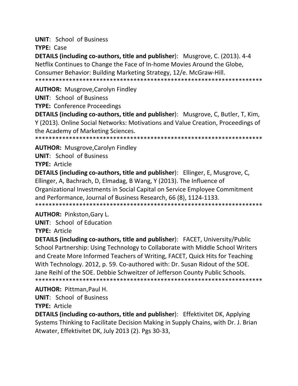**UNIT**: School of Business

**TYPE:** Case

**DETAILS (including co‐authors, title and publisher**): Musgrove, C. (2013). 4‐4 Netflix Continues to Change the Face of In‐home Movies Around the Globe, Consumer Behavior: Building Marketing Strategy, 12/e. McGraw‐Hill. \*\*\*\*\*\*\*\*\*\*\*\*\*\*\*\*\*\*\*\*\*\*\*\*\*\*\*\*\*\*\*\*\*\*\*\*\*\*\*\*\*\*\*\*\*\*\*\*\*\*\*\*\*\*\*\*\*\*\*\*\*\*\*\*\*\*\*

**AUTHOR:** Musgrove,Carolyn Findley

**UNIT**: School of Business

**TYPE:** Conference Proceedings

**DETAILS (including co‐authors, title and publisher**): Musgrove, C, Butler, T, Kim, Y (2013). Online Social Networks: Motivations and Value Creation, Proceedings of the Academy of Marketing Sciences.

\*\*\*\*\*\*\*\*\*\*\*\*\*\*\*\*\*\*\*\*\*\*\*\*\*\*\*\*\*\*\*\*\*\*\*\*\*\*\*\*\*\*\*\*\*\*\*\*\*\*\*\*\*\*\*\*\*\*\*\*\*\*\*\*\*\*\*

**AUTHOR:** Musgrove,Carolyn Findley

**UNIT**: School of Business **TYPE:** Article

**DETAILS (including co‐authors, title and publisher**): Ellinger, E, Musgrove, C, Ellinger, A, Bachrach, D, Elmadag, B Wang, Y (2013). The Influence of Organizational Investments in Social Capital on Service Employee Commitment and Performance, Journal of Business Research, 66 (8), 1124‐1133. \*\*\*\*\*\*\*\*\*\*\*\*\*\*\*\*\*\*\*\*\*\*\*\*\*\*\*\*\*\*\*\*\*\*\*\*\*\*\*\*\*\*\*\*\*\*\*\*\*\*\*\*\*\*\*\*\*\*\*\*\*\*\*\*\*\*\*

**AUTHOR:** Pinkston,Gary L.

**UNIT**: School of Education **TYPE:** Article

**DETAILS (including co‐authors, title and publisher**): FACET, University/Public School Partnership: Using Technology to Collaborate with Middle School Writers and Create More Informed Teachers of Writing, FACET, Quick Hits for Teaching With Technology. 2012, p. 59. Co-authored with: Dr. Susan Ridout of the SOE. Jane Reihl of the SOE. Debbie Schweitzer of Jefferson County Public Schools. \*\*\*\*\*\*\*\*\*\*\*\*\*\*\*\*\*\*\*\*\*\*\*\*\*\*\*\*\*\*\*\*\*\*\*\*\*\*\*\*\*\*\*\*\*\*\*\*\*\*\*\*\*\*\*\*\*\*\*\*\*\*\*\*\*\*\*

**AUTHOR:** Pittman,Paul H.

**UNIT**: School of Business

**TYPE:** Article

**DETAILS (including co‐authors, title and publisher**): Effektivitet DK, Applying Systems Thinking to Facilitate Decision Making in Supply Chains, with Dr. J. Brian Atwater, Effektivitet DK, July 2013 (2). Pgs 30‐33,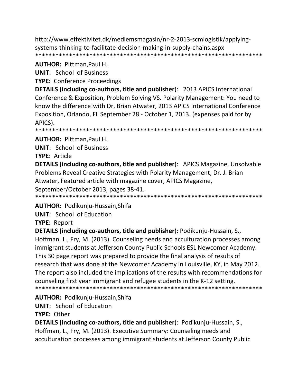http://www.effektivitet.dk/medlemsmagasin/nr-2-2013-scmlogistik/applyingsystems-thinking-to-facilitate-decision-making-in-supply-chains.aspx 

#### **AUTHOR: Pittman, Paul H.**

**UNIT: School of Business** 

**TYPE: Conference Proceedings** 

**DETAILS (including co-authors, title and publisher): 2013 APICS International** Conference & Exposition, Problem Solving VS. Polarity Management: You need to know the difference! with Dr. Brian Atwater, 2013 APICS International Conference Exposition, Orlando, FL September 28 - October 1, 2013. (expenses paid for by APICS).

**AUTHOR: Pittman, Paul H.** 

**UNIT: School of Business** 

**TYPE: Article** 

**DETAILS (including co-authors, title and publisher):** APICS Magazine, Unsolvable Problems Reveal Creative Strategies with Polarity Management, Dr. J. Brian Atwater, Featured article with magazine cover, APICS Magazine, September/October 2013, pages 38-41.

**AUTHOR: Podikunju-Hussain, Shifa** 

**UNIT:** School of Education

**TYPE: Report** 

DETAILS (including co-authors, title and publisher): Podikunju-Hussain, S., Hoffman, L., Fry, M. (2013). Counseling needs and acculturation processes among immigrant students at Jefferson County Public Schools ESL Newcomer Academy. This 30 page report was prepared to provide the final analysis of results of research that was done at the Newcomer Academy in Louisville, KY, in May 2012. The report also included the implications of the results with recommendations for counseling first year immigrant and refugee students in the K-12 setting. 

**AUTHOR: Podikunju-Hussain, Shifa** 

**UNIT:** School of Education

**TYPE: Other** 

**DETAILS (including co-authors, title and publisher): Podikunju-Hussain, S.,** Hoffman, L., Fry, M. (2013). Executive Summary: Counseling needs and acculturation processes among immigrant students at Jefferson County Public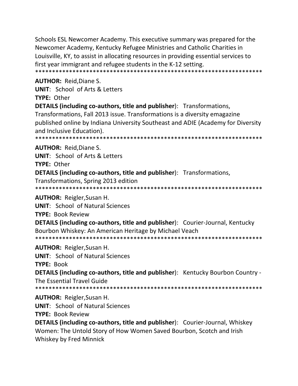Schools ESL Newcomer Academy. This executive summary was prepared for the Newcomer Academy, Kentucky Refugee Ministries and Catholic Charities in Louisville, KY, to assist in allocating resources in providing essential services to first year immigrant and refugee students in the K-12 setting. 

#### **AUTHOR: Reid, Diane S.**

**UNIT:** School of Arts & Letters

TYPF: Other

**DETAILS (including co-authors, title and publisher):** Transformations,

Transformations, Fall 2013 issue. Transformations is a diversity emagazine published online by Indiana University Southeast and ADIE (Academy for Diversity and Inclusive Education).

\*\*\*\*\*\*\*\*\*\*\*\*\*\*\*\*\*\* 

**AUTHOR: Reid.Diane S.** 

**UNIT:** School of Arts & Letters TYPE: Other

**DETAILS (including co-authors, title and publisher):** Transformations,

Transformations, Spring 2013 edition

**AUTHOR:** Reigler, Susan H.

**UNIT:** School of Natural Sciences

**TYPE: Book Review** 

**DETAILS (including co-authors, title and publisher):** Courier-Journal, Kentucky Bourbon Whiskey: An American Heritage by Michael Veach 

**AUTHOR: Reigler, Susan H.** 

**UNIT:** School of Natural Sciences

**TYPE: Book** 

**DETAILS (including co-authors, title and publisher):** Kentucky Bourbon Country -The Essential Travel Guide

**AUTHOR: Reigler, Susan H.** 

**UNIT: School of Natural Sciences** 

**TYPE: Book Review** 

**DETAILS (including co-authors, title and publisher): Courier-Journal, Whiskey** Women: The Untold Story of How Women Saved Bourbon, Scotch and Irish Whiskey by Fred Minnick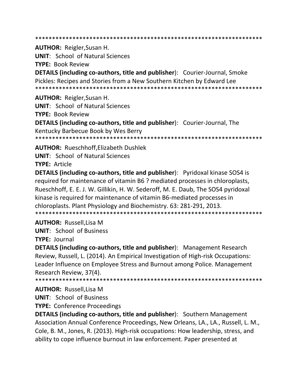**AUTHOR: Reigler, Susan H. UNIT: School of Natural Sciences TYPE: Book Review DETAILS (including co-authors, title and publisher): Courier-Journal, Smoke** Pickles: Recipes and Stories from a New Southern Kitchen by Edward Lee **AUTHOR: Reigler, Susan H. UNIT: School of Natural Sciences** 

**TYPE: Book Review** 

**DETAILS (including co-authors, title and publisher):** Courier-Journal, The Kentucky Barbecue Book by Wes Berry

\*\*\*\*\*\*\*\*\*\*\*\*\*\*\*\*\*\*\*\*\*\*\*\* \*\*\*\*\*\*\*\*\*\*\*\*\*\*\*\*\*\*\*\*\*\*\*\*\*\*\*\*\*\*\*\*\*\*\*\*

**AUTHOR: Rueschhoff.Elizabeth Dushlek** 

**UNIT:** School of Natural Sciences

TYPE: Article

**DETAILS (including co-authors, title and publisher):** Pyridoxal kinase SOS4 is required for maintenance of vitamin B6 ? mediated processes in chloroplasts, Rueschhoff, E. E. J. W. Gillikin, H. W. Sederoff, M. E. Daub, The SOS4 pyridoxal kinase is required for maintenance of vitamin B6-mediated processes in chloroplasts. Plant Physiology and Biochemistry. 63: 281-291, 2013. 

**AUTHOR: Russell, Lisa M** 

**UNIT: School of Business** 

**TYPE: Journal** 

**DETAILS (including co-authors, title and publisher):** Management Research Review, Russell, L. (2014). An Empirical Investigation of High-risk Occupations: Leader Influence on Employee Stress and Burnout among Police. Management Research Review, 37(4).

**AUTHOR: Russell, Lisa M** 

**UNIT:** School of Business

**TYPE: Conference Proceedings** 

**DETAILS (including co-authors, title and publisher):** Southern Management Association Annual Conference Proceedings, New Orleans, LA., LA., Russell, L. M., Cole, B. M., Jones, R. (2013). High-risk occupations: How leadership, stress, and ability to cope influence burnout in law enforcement. Paper presented at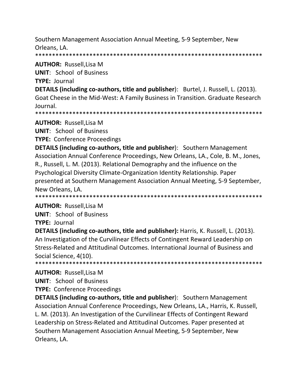Southern Management Association Annual Meeting, 5‐9 September, New Orleans, LA.

\*\*\*\*\*\*\*\*\*\*\*\*\*\*\*\*\*\*\*\*\*\*\*\*\*\*\*\*\*\*\*\*\*\*\*\*\*\*\*\*\*\*\*\*\*\*\*\*\*\*\*\*\*\*\*\*\*\*\*\*\*\*\*\*\*\*\*

**AUTHOR:** Russell,Lisa M

**UNIT**: School of Business

**TYPE:** Journal

**DETAILS (including co‐authors, title and publisher**): Burtel, J. Russell, L. (2013). Goat Cheese in the Mid‐West: A Family Business in Transition. Graduate Research Journal.

\*\*\*\*\*\*\*\*\*\*\*\*\*\*\*\*\*\*\*\*\*\*\*\*\*\*\*\*\*\*\*\*\*\*\*\*\*\*\*\*\*\*\*\*\*\*\*\*\*\*\*\*\*\*\*\*\*\*\*\*\*\*\*\*\*\*\*

**AUTHOR:** Russell,Lisa M

**UNIT**: School of Business

**TYPE:** Conference Proceedings

**DETAILS (including co‐authors, title and publisher**): Southern Management Association Annual Conference Proceedings, New Orleans, LA., Cole, B. M., Jones, R., Russell, L. M. (2013). Relational Demography and the influence on the Psychological Diversity Climate‐Organization Identity Relationship. Paper presented at Southern Management Association Annual Meeting, 5‐9 September, New Orleans, LA.

\*\*\*\*\*\*\*\*\*\*\*\*\*\*\*\*\*\*\*\*\*\*\*\*\*\*\*\*\*\*\*\*\*\*\*\*\*\*\*\*\*\*\*\*\*\*\*\*\*\*\*\*\*\*\*\*\*\*\*\*\*\*\*\*\*\*\*

**AUTHOR:** Russell,Lisa M

**UNIT**: School of Business

**TYPE:** Journal

**DETAILS (including co‐authors, title and publisher):** Harris, K. Russell, L. (2013). An Investigation of the Curvilinear Effects of Contingent Reward Leadership on Stress‐Related and Attitudinal Outcomes. International Journal of Business and Social Science, 4(10). \*\*\*\*\*\*\*\*\*\*\*\*\*\*\*\*\*\*\*\*\*\*\*\*\*\*\*\*\*\*\*\*\*\*\*\*\*\*\*\*\*\*\*\*\*\*\*\*\*\*\*\*\*\*\*\*\*\*\*\*\*\*\*\*\*\*\*

**AUTHOR:** Russell,Lisa M

**UNIT**: School of Business

**TYPE:** Conference Proceedings

**DETAILS (including co‐authors, title and publisher**): Southern Management Association Annual Conference Proceedings, New Orleans, LA., Harris, K. Russell, L. M. (2013). An Investigation of the Curvilinear Effects of Contingent Reward Leadership on Stress‐Related and Attitudinal Outcomes. Paper presented at Southern Management Association Annual Meeting, 5‐9 September, New Orleans, LA.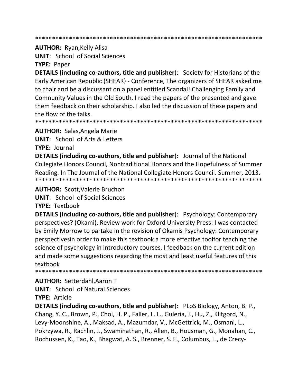#### 

#### **AUTHOR: Ryan, Kelly Alisa**

**UNIT:** School of Social Sciences

**TYPE: Paper** 

**DETAILS (including co-authors, title and publisher):** Society for Historians of the Early American Republic (SHEAR) - Conference, The organizers of SHEAR asked me to chair and be a discussant on a panel entitled Scandal! Challenging Family and Comnunity Values in the Old South. I read the papers of the presented and gave them feedback on their scholarship. I also led the discussion of these papers and the flow of the talks.

**AUTHOR: Salas, Angela Marie** 

**UNIT: School of Arts & Letters** 

**TYPE: Journal** 

**DETAILS (including co-authors, title and publisher):** Journal of the National Collegiate Honors Council, Nontraditional Honors and the Hopefulness of Summer Reading. In The Journal of the National Collegiate Honors Council. Summer, 2013. 

**AUTHOR: Scott, Valerie Bruchon** 

**UNIT:** School of Social Sciences

**TYPE: Textbook** 

**DETAILS (including co-authors, title and publisher):** Psychology: Contemporary perspectives? (Okami), Review work for Oxford University Press: I was contacted by Emily Morrow to partake in the revision of Okamis Psychology: Contemporary perspectivesin order to make this textbook a more effective toolfor teaching the science of psychology in introductory courses. I feedback on the current edition and made some suggestions regarding the most and least useful features of this textbook

\*\*\*\*\*\*\*\*\*\*\*\* 

**AUTHOR: Setterdahl, Aaron T** 

**UNIT:** School of Natural Sciences

**TYPE: Article** 

**DETAILS (including co-authors, title and publisher):** PLoS Biology, Anton, B. P., Chang, Y. C., Brown, P., Choi, H. P., Faller, L. L., Guleria, J., Hu, Z., Klitgord, N., Levy-Moonshine, A., Maksad, A., Mazumdar, V., McGettrick, M., Osmani, L., Pokrzywa, R., Rachlin, J., Swaminathan, R., Allen, B., Housman, G., Monahan, C., Rochussen, K., Tao, K., Bhagwat, A. S., Brenner, S. E., Columbus, L., de Crecy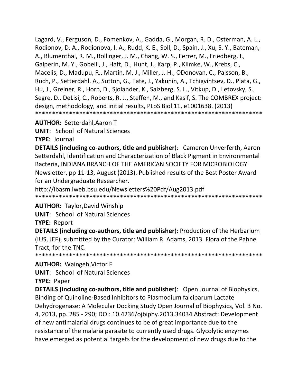Lagard, V., Ferguson, D., Fomenkov, A., Gadda, G., Morgan, R. D., Osterman, A. L., Rodionov, D. A., Rodionova, I. A., Rudd, K. E., Soll, D., Spain, J., Xu, S. Y., Bateman, A., Blumenthal, R. M., Bollinger, J. M., Chang, W. S., Ferrer, M., Friedberg, I., Galperin, M. Y., Gobeill, J., Haft, D., Hunt, J., Karp, P., Klimke, W., Krebs, C., Macelis, D., Madupu, R., Martin, M. J., Miller, J. H., ODonovan, C., Palsson, B., Ruch, P., Setterdahl, A., Sutton, G., Tate, J., Yakunin, A., Tchigvintsev, D., Plata, G., Hu, J., Greiner, R., Horn, D., Sjolander, K., Salzberg, S. L., Vitkup, D., Letovsky, S., Segre, D., DeLisi, C., Roberts, R. J., Steffen, M., and Kasif, S. The COMBREX project: design, methodology, and initial results, PLoS Biol 11, e1001638. (2013) \*\*\*\*\*\*\*\*\*\*\*\*\*\*\*\*\*\*\*\*\*\*\*\*\*\*\*\*\*\*\*\*\*\*\*\*\*\*\*\*\*\*\*\*\*\*\*\*\*\*\*\*\*\*\*\*\*\*\*\*\*\*\*\*\*\*\*

**AUTHOR:** Setterdahl,Aaron T

**UNIT**: School of Natural Sciences

**TYPE:** Journal

**DETAILS (including co‐authors, title and publisher**): Cameron Unverferth, Aaron Setterdahl, Identification and Characterization of Black Pigment in Environmental Bacteria, INDIANA BRANCH OF THE AMERICAN SOCIETY FOR MICROBIOLOGY Newsletter, pp 11‐13, August (2013). Published results of the Best Poster Award for an Undergraduate Researcher.

http://ibasm.iweb.bsu.edu/Newsletters%20Pdf/Aug2013.pdf \*\*\*\*\*\*\*\*\*\*\*\*\*\*\*\*\*\*\*\*\*\*\*\*\*\*\*\*\*\*\*\*\*\*\*\*\*\*\*\*\*\*\*\*\*\*\*\*\*\*\*\*\*\*\*\*\*\*\*\*\*\*\*\*\*\*\*

**AUTHOR:** Taylor,David Winship

**UNIT**: School of Natural Sciences

**TYPE: Report** 

**DETAILS (including co‐authors, title and publisher**): Production of the Herbarium (IUS, JEF), submitted by the Curator: William R. Adams, 2013. Flora of the Pahne Tract, for the TNC. \*\*\*\*\*\*\*\*\*\*\*\*\*\*\*\*\*\*\*\*\*\*\*\*\*\*\*\*\*\*\*\*\*\*\*\*\*\*\*\*\*\*\*\*\*\*\*\*\*\*\*\*\*\*\*\*\*\*\*\*\*\*\*\*\*\*\*

**AUTHOR:** Waingeh,Victor F

**UNIT**: School of Natural Sciences

**TYPE:** Paper

**DETAILS (including co‐authors, title and publisher**): Open Journal of Biophysics, Binding of Quinoline‐Based Inhibitors to Plasmodium falciparum Lactate Dehydrogenase: A Molecular Docking Study Open Journal of Biophysics, Vol. 3 No. 4, 2013, pp. 285 ‐ 290; DOI: 10.4236/ojbiphy.2013.34034 Abstract: Development of new antimalarial drugs continues to be of great importance due to the resistance of the malaria parasite to currently used drugs. Glycolytic enzymes have emerged as potential targets for the development of new drugs due to the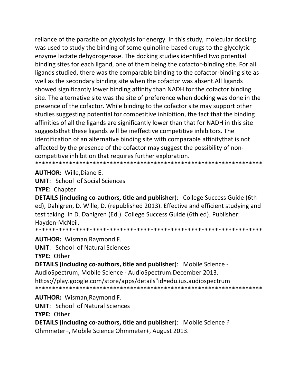reliance of the parasite on glycolysis for energy. In this study, molecular docking was used to study the binding of some quinoline-based drugs to the glycolytic enzyme lactate dehydrogenase. The docking studies identified two potential binding sites for each ligand, one of them being the cofactor-binding site. For all ligands studied, there was the comparable binding to the cofactor-binding site as well as the secondary binding site when the cofactor was absent. All ligands showed significantly lower binding affinity than NADH for the cofactor binding site. The alternative site was the site of preference when docking was done in the presence of the cofactor. While binding to the cofactor site may support other studies suggesting potential for competitive inhibition, the fact that the binding affinities of all the ligands are significantly lower than that for NADH in this site suggeststhat these ligands will be ineffective competitive inhibitors. The identification of an alternative binding site with comparable affinity that is not affected by the presence of the cofactor may suggest the possibility of noncompetitive inhibition that requires further exploration. 

**AUTHOR: Wille, Diane E.** 

**UNIT:** School of Social Sciences **TYPE: Chapter** 

**DETAILS (including co-authors, title and publisher):** College Success Guide (6th ed), Dahlgren, D. Wille, D. (republished 2013). Effective and efficient studying and test taking. In D. Dahlgren (Ed.). College Success Guide (6th ed). Publisher: Hayden-McNeil.

\*\*\*\*\*\*\*\*\*\*\*\*\*\*\*\*\* 

**AUTHOR: Wisman, Raymond F.** 

**UNIT:** School of Natural Sciences TYPE: Other

**DETAILS (including co-authors, title and publisher):** Mobile Science -AudioSpectrum, Mobile Science - AudioSpectrum.December 2013. https://play.google.com/store/apps/details"id=edu.ius.audiospectrum 

**AUTHOR: Wisman, Raymond F. UNIT: School of Natural Sciences TYPE: Other** DETAILS (including co-authors, title and publisher): Mobile Science? Ohmmeter+, Mobile Science Ohmmeter+, August 2013.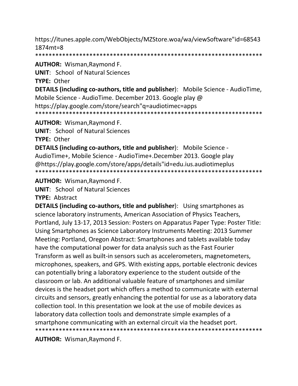https://itunes.apple.com/WebObjects/MZStore.woa/wa/viewSoftware"id=68543  $1874mt = 8$ 

\*\*\*\*\*\*\*\*\*\*\*\*\*\* 

**AUTHOR: Wisman, Raymond F.** 

**UNIT: School of Natural Sciences** 

**TYPE: Other** 

**DETAILS (including co-authors, title and publisher):** Mobile Science - AudioTime, Mobile Science - AudioTime. December 2013. Google play @ https://play.google.com/store/search"g=audiotimec=apps 

AUTHOR: Wisman, Raymond F.

**UNIT:** School of Natural Sciences

**TYPE: Other** 

**DETAILS (including co-authors, title and publisher):** Mobile Science -AudioTime+, Mobile Science - AudioTime+.December 2013. Google play @https://play.google.com/store/apps/details"id=edu.ius.audiotimeplus 

**AUTHOR: Wisman, Raymond F.** 

**UNIT: School of Natural Sciences** 

**TYPE: Abstract** 

**DETAILS (including co-authors, title and publisher):** Using smartphones as science laboratory instruments, American Association of Physics Teachers, Portland, July 13-17, 2013 Session: Posters on Apparatus Paper Type: Poster Title: Using Smartphones as Science Laboratory Instruments Meeting: 2013 Summer Meeting: Portland, Oregon Abstract: Smartphones and tablets available today have the computational power for data analysis such as the Fast Fourier Transform as well as built-in sensors such as accelerometers, magnetometers, microphones, speakers, and GPS. With existing apps, portable electronic devices can potentially bring a laboratory experience to the student outside of the classroom or lab. An additional valuable feature of smartphones and similar devices is the headset port which offers a method to communicate with external circuits and sensors, greatly enhancing the potential for use as a laboratory data collection tool. In this presentation we look at the use of mobile devices as laboratory data collection tools and demonstrate simple examples of a smartphone communicating with an external circuit via the headset port. 

**AUTHOR:** Wisman, Raymond F.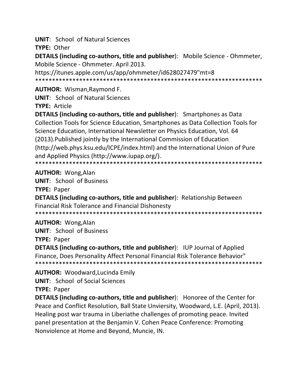**UNIT:** School of Natural Sciences

TYPE: Other

DETAILS (including co-authors, title and publisher): Mobile Science - Ohmmeter, Mobile Science - Ohmmeter. April 2013.

https://itunes.apple.com/us/app/ohmmeter/id628027479"mt=8 

**AUTHOR: Wisman, Raymond F.** 

**UNIT: School of Natural Sciences** 

**TYPE: Article** 

**DETAILS (including co-authors, title and publisher):** Smartphones as Data Collection Tools for Science Education, Smartphones as Data Collection Tools for Science Education, International Newsletter on Physics Education, Vol. 64 (2013). Published jointly by the International Commission of Education (http://web.phys.ksu.edu/ICPE/index.html) and the International Union of Pure and Applied Physics (http://www.iupap.org/). 

**AUTHOR: Wong, Alan** 

**UNIT: School of Business** 

**TYPE: Paper** 

**DETAILS (including co-authors, title and publisher)**: Relationship Between **Financial Risk Tolerance and Financial Dishonesty** 

**AUTHOR: Wong, Alan** 

**UNIT: School of Business** 

**TYPE: Paper** 

**DETAILS (including co-authors, title and publisher): IUP Journal of Applied** Finance, Does Personality Affect Personal Financial Risk Tolerance Behavior" 

**AUTHOR:** Woodward, Lucinda Emily

**UNIT:** School of Social Sciences

**TYPE: Paper** 

**DETAILS (including co-authors, title and publisher):** Honoree of the Center for Peace and Conflict Resolution, Ball State Unviersity, Woodward, L.E. (April, 2013). Healing post war trauma in Liberiathe challenges of promoting peace. Invited panel presentation at the Benjamin V. Cohen Peace Conference: Promoting Nonviolence at Home and Beyond, Muncie, IN.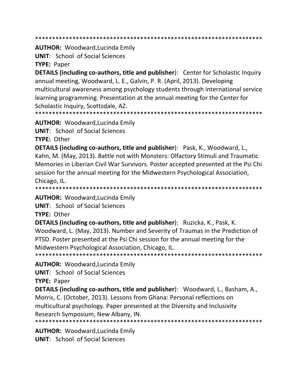\*\*\*\*\*\*\*\*\*\*\*\*\*\*\*\*\*\*\*\*\*\*\*\*\*\*\*\*\*\*\*\*\*\*\*\*\*\*\*\*\*\*\*\*\*\*\*\*\*\*\*\*\*\*\*\*\*\*\*\*\*\*\*\*\*\*\*

**AUTHOR:** Woodward,Lucinda Emily

**UNIT**: School of Social Sciences

**TYPE:** Paper

**DETAILS (including co‐authors, title and publisher**): Center for Scholastic Inquiry annual meeting, Woodward, L. E., Galvin, P. R. (April, 2013). Developing multicultural awareness among psychology students through international service learning programming. Presentation at the annual meeting for the Center for Scholastic Inquiry, Scottsdale, AZ.

\*\*\*\*\*\*\*\*\*\*\*\*\*\*\*\*\*\*\*\*\*\*\*\*\*\*\*\*\*\*\*\*\*\*\*\*\*\*\*\*\*\*\*\*\*\*\*\*\*\*\*\*\*\*\*\*\*\*\*\*\*\*\*\*\*\*\*

**AUTHOR:** Woodward,Lucinda Emily

**UNIT**: School of Social Sciences

**TYPE:** Other

**DETAILS (including co‐authors, title and publisher**): Pask, K., Woodward, L., Kahn, M. (May, 2013). Battle not with Monsters: Olfactory Stimuli and Traumatic Memories in Liberian Civil War Survivors. Poster accepted presented at the Psi Chi session for the annual meeting for the Midwestern Psychological Association, Chicago, IL.

\*\*\*\*\*\*\*\*\*\*\*\*\*\*\*\*\*\*\*\*\*\*\*\*\*\*\*\*\*\*\*\*\*\*\*\*\*\*\*\*\*\*\*\*\*\*\*\*\*\*\*\*\*\*\*\*\*\*\*\*\*\*\*\*\*\*\*

**AUTHOR:** Woodward,Lucinda Emily

**UNIT**: School of Social Sciences

**TYPE:** Other

**DETAILS (including co‐authors, title and publisher**): Ruzicka, K., Pask, K. Woodward, L. (May, 2013). Number and Severity of Traumas in the Prediction of PTSD. Poster presented at the Psi Chi session for the annual meeting for the Midwestern Psychological Association, Chicago, IL. \*\*\*\*\*\*\*\*\*\*\*\*\*\*\*\*\*\*\*\*\*\*\*\*\*\*\*\*\*\*\*\*\*\*\*\*\*\*\*\*\*\*\*\*\*\*\*\*\*\*\*\*\*\*\*\*\*\*\*\*\*\*\*\*\*\*\*

**AUTHOR:** Woodward,Lucinda Emily

**UNIT**: School of Social Sciences

**TYPE:** Paper

**DETAILS (including co‐authors, title and publisher**): Woodward, L., Basham, A., Morris, C. (October, 2013). Lessons from Ghana: Personal reflections on multicultural psychology. Paper presented at the Diversity and Inclusivity Research Symposium, New Albany, IN.

\*\*\*\*\*\*\*\*\*\*\*\*\*\*\*\*\*\*\*\*\*\*\*\*\*\*\*\*\*\*\*\*\*\*\*\*\*\*\*\*\*\*\*\*\*\*\*\*\*\*\*\*\*\*\*\*\*\*\*\*\*\*\*\*\*\*\*

**AUTHOR:** Woodward,Lucinda Emily **UNIT**: School of Social Sciences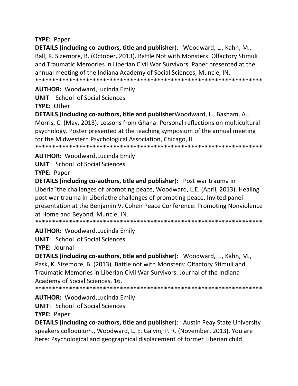# **TYPE:** Paper

**DETAILS (including co‐authors, title and publisher**): Woodward, L., Kahn, M., Ball, K. Sizemore, B. (October, 2013). Battle Not with Monsters: Olfactory Stimuli and Traumatic Memories in Liberian Civil War Survivors. Paper presented at the annual meeting of the Indiana Academy of Social Sciences, Muncie, IN. \*\*\*\*\*\*\*\*\*\*\*\*\*\*\*\*\*\*\*\*\*\*\*\*\*\*\*\*\*\*\*\*\*\*\*\*\*\*\*\*\*\*\*\*\*\*\*\*\*\*\*\*\*\*\*\*\*\*\*\*\*\*\*\*\*\*\*

**AUTHOR:** Woodward,Lucinda Emily

**UNIT**: School of Social Sciences **TYPE:** Other

**DETAILS (including co‐authors, title and publisher**Woodward, L., Basham, A., Morris, C. (May, 2013). Lessons from Ghana: Personal reflections on multicultural psychology. Poster presented at the teaching symposium of the annual meeting for the Midwestern Psychological Association, Chicago, IL. \*\*\*\*\*\*\*\*\*\*\*\*\*\*\*\*\*\*\*\*\*\*\*\*\*\*\*\*\*\*\*\*\*\*\*\*\*\*\*\*\*\*\*\*\*\*\*\*\*\*\*\*\*\*\*\*\*\*\*\*\*\*\*\*\*\*\*

**AUTHOR:** Woodward,Lucinda Emily

**UNIT**: School of Social Sciences

**TYPE:** Paper

**DETAILS (including co‐authors, title and publisher**): Post war trauma in Liberia?the challenges of promoting peace, Woodward, L.E. (April, 2013). Healing post war trauma in Liberiathe challenges of promoting peace. Invited panel presentation at the Benjamin V. Cohen Peace Conference: Promoting Nonviolence at Home and Beyond, Muncie, IN.

\*\*\*\*\*\*\*\*\*\*\*\*\*\*\*\*\*\*\*\*\*\*\*\*\*\*\*\*\*\*\*\*\*\*\*\*\*\*\*\*\*\*\*\*\*\*\*\*\*\*\*\*\*\*\*\*\*\*\*\*\*\*\*\*\*\*\*

**AUTHOR:** Woodward,Lucinda Emily

**UNIT**: School of Social Sciences **TYPE:** Journal

**DETAILS (including co‐authors, title and publisher**): Woodward, L., Kahn, M., Pask, K. Sizemore, B. (2013). Battle not with Monsters: Olfactory Stimuli and Traumatic Memories in Liberian Civil War Survivors. Journal of the Indiana Academy of Social Sciences, 16.

\*\*\*\*\*\*\*\*\*\*\*\*\*\*\*\*\*\*\*\*\*\*\*\*\*\*\*\*\*\*\*\*\*\*\*\*\*\*\*\*\*\*\*\*\*\*\*\*\*\*\*\*\*\*\*\*\*\*\*\*\*\*\*\*\*\*\*

**AUTHOR:** Woodward,Lucinda Emily

**UNIT**: School of Social Sciences

**TYPE:** Paper

**DETAILS (including co‐authors, title and publisher**): Austin Peay State University speakers colloquium., Woodward, L. E. Galvin, P. R. (November, 2013). You are here: Psychological and geographical displacement of former Liberian child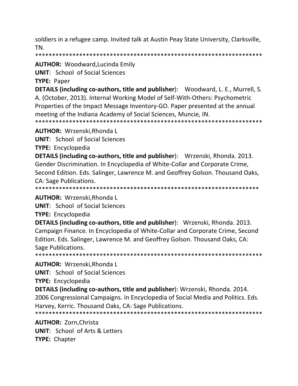soldiers in a refugee camp. Invited talk at Austin Peay State University, Clarksville, TN.

\*\*\*\*\*\*\*\*\*\*\*\*\*\*\*\*\*\*\*\*\*\*\*\*\*\*\*\*\*\*\*\*\*\*\*\*\*\*\*\*\*\*\*\*\*\*\*\*\*\*\*\*\*\*\*\*\*\*\*\*\*\*\*\*\*\*\*

**AUTHOR:** Woodward,Lucinda Emily

**UNIT**: School of Social Sciences

**TYPE:** Paper

**DETAILS (including co‐authors, title and publisher**): Woodward, L. E., Murrell, S. A. (October, 2013). Internal Working Model of Self‐With‐Others: Psychometric Properties of the Impact Message Inventory‐GO. Paper presented at the annual meeting of the Indiana Academy of Social Sciences, Muncie, IN.

\*\*\*\*\*\*\*\*\*\*\*\*\*\*\*\*\*\*\*\*\*\*\*\*\*\*\*\*\*\*\*\*\*\*\*\*\*\*\*\*\*\*\*\*\*\*\*\*\*\*\*\*\*\*\*\*\*\*\*\*\*\*\*\*\*\*\*

**AUTHOR:** Wrzenski,Rhonda L

**UNIT**: School of Social Sciences

**TYPE: Encyclopedia** 

**DETAILS (including co‐authors, title and publisher**): Wrzenski, Rhonda. 2013. Gender Discrimination. In Encyclopedia of White‐Collar and Corporate Crime, Second Edition. Eds. Salinger, Lawrence M. and Geoffrey Golson. Thousand Oaks, CA: Sage Publications.

\*\*\*\*\*\*\*\*\*\*\*\*\*\*\*\*\*\*\*\*\*\*\*\*\*\*\*\*\*\*\*\*\*\*\*\*\*\*\*\*\*\*\*\*\*\*\*\*\*\*\*\*\*\*\*\*\*\*\*\*\*\*\*\*\*\*

**AUTHOR:** Wrzenski,Rhonda L

**UNIT**: School of Social Sciences

**TYPE:** Encyclopedia

**DETAILS (including co‐authors, title and publisher**): Wrzenski, Rhonda. 2013. Campaign Finance. In Encyclopedia of White‐Collar and Corporate Crime, Second Edition. Eds. Salinger, Lawrence M. and Geoffrey Golson. Thousand Oaks, CA: Sage Publications.

\*\*\*\*\*\*\*\*\*\*\*\*\*\*\*\*\*\*\*\*\*\*\*\*\*\*\*\*\*\*\*\*\*\*\*\*\*\*\*\*\*\*\*\*\*\*\*\*\*\*\*\*\*\*\*\*\*\*\*\*\*\*\*\*\*\*\*

**AUTHOR:** Wrzenski,Rhonda L

**UNIT**: School of Social Sciences

**TYPE:** Encyclopedia

**DETAILS (including co‐authors, title and publisher**): Wrzenski, Rhonda. 2014. 2006 Congressional Campaigns. In Encyclopedia of Social Media and Politics. Eds. Harvey, Kerric. Thousand Oaks, CA: Sage Publications.

\*\*\*\*\*\*\*\*\*\*\*\*\*\*\*\*\*\*\*\*\*\*\*\*\*\*\*\*\*\*\*\*\*\*\*\*\*\*\*\*\*\*\*\*\*\*\*\*\*\*\*\*\*\*\*\*\*\*\*\*\*\*\*\*\*\*\*

**AUTHOR:** Zorn,Christa

**UNIT**: School of Arts & Letters **TYPE:** Chapter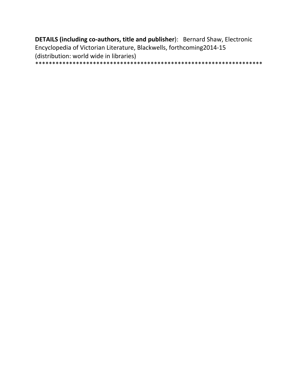DETAILS (including co-authors, title and publisher): Bernard Shaw, Electronic Encyclopedia of Victorian Literature, Blackwells, forthcoming2014-15 (distribution: world wide in libraries)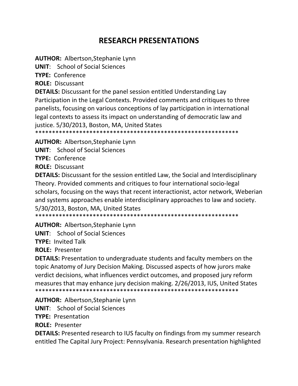# **RESEARCH PRESENTATIONS**

**AUTHOR:** Albertson, Stephanie Lynn

**UNIT:** School of Social Sciences

TYPE: Conference

**ROLE: Discussant** 

**DETAILS:** Discussant for the panel session entitled Understanding Lay Participation in the Legal Contexts. Provided comments and critiques to three panelists, focusing on various conceptions of lay participation in international legal contexts to assess its impact on understanding of democratic law and justice. 5/30/2013, Boston, MA, United States

**AUTHOR: Albertson, Stephanie Lynn** 

**UNIT:** School of Social Sciences

**TYPE: Conference** 

**ROLE: Discussant** 

**DETAILS:** Discussant for the session entitled Law, the Social and Interdisciplinary Theory. Provided comments and critiques to four international socio-legal scholars, focusing on the ways that recent interactionist, actor network, Weberian and systems approaches enable interdisciplinary approaches to law and society. 5/30/2013, Boston, MA, United States

**AUTHOR: Albertson, Stephanie Lynn** 

**UNIT:** School of Social Sciences

**TYPE: Invited Talk** 

**ROLE: Presenter** 

**DETAILS:** Presentation to undergraduate students and faculty members on the topic Anatomy of Jury Decision Making. Discussed aspects of how jurors make verdict decisions, what influences verdict outcomes, and proposed jury reform measures that may enhance jury decision making. 2/26/2013, IUS, United States 

**AUTHOR: Albertson, Stephanie Lynn** 

**UNIT:** School of Social Sciences

**TYPE: Presentation** 

**ROLE: Presenter** 

**DETAILS:** Presented research to IUS faculty on findings from my summer research entitled The Capital Jury Project: Pennsylvania. Research presentation highlighted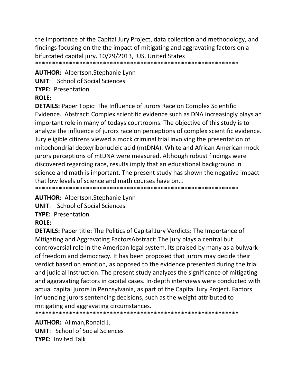the importance of the Capital Jury Project, data collection and methodology, and findings focusing on the the impact of mitigating and aggravating factors on a bifurcated capital jury. 10/29/2013, IUS, United States \*\*\*\*\*\*\*\*\*\*\*\*\*\*\*\*\*\*\*\*\*\*\*\*\*\*\*\*\*\*\*\*\*\*\*\*\*\*\*\*\*\*\*\*\*\*\*\*\*\*\*\*\*\*\*\*\*\*\*\*

**AUTHOR:** Albertson,Stephanie Lynn **UNIT**: School of Social Sciences **TYPE:** Presentation **ROLE:**

**DETAILS:** Paper Topic: The Influence of Jurors Race on Complex Scientific Evidence. Abstract: Complex scientific evidence such as DNA increasingly plays an important role in many of todays courtrooms. The objective of this study is to analyze the influence of jurors race on perceptions of complex scientific evidence. Jury eligible citizens viewed a mock criminal trial involving the presentation of mitochondrial deoxyribonucleic acid (mtDNA). White and African American mock jurors perceptions of mtDNA were measured. Although robust findings were discovered regarding race, results imply that an educational background in science and math is important. The present study has shown the negative impact that low levels of science and math courses have on...

\*\*\*\*\*\*\*\*\*\*\*\*\*\*\*\*\*\*\*\*\*\*\*\*\*\*\*\*\*\*\*\*\*\*\*\*\*\*\*\*\*\*\*\*\*\*\*\*\*\*\*\*\*\*\*\*\*\*\*\*

**AUTHOR:** Albertson,Stephanie Lynn

**UNIT**: School of Social Sciences

**TYPE:** Presentation

#### **ROLE:**

**DETAILS:** Paper title: The Politics of Capital Jury Verdicts: The Importance of Mitigating and Aggravating FactorsAbstract: The jury plays a central but controversial role in the American legal system. Its praised by many as a bulwark of freedom and democracy. It has been proposed that jurors may decide their verdict based on emotion, as opposed to the evidence presented during the trial and judicial instruction. The present study analyzes the significance of mitigating and aggravating factors in capital cases. In‐depth interviews were conducted with actual capital jurors in Pennsylvania, as part of the Capital Jury Project. Factors influencing jurors sentencing decisions, such as the weight attributed to mitigating and aggravating circumstances.

\*\*\*\*\*\*\*\*\*\*\*\*\*\*\*\*\*\*\*\*\*\*\*\*\*\*\*\*\*\*\*\*\*\*\*\*\*\*\*\*\*\*\*\*\*\*\*\*\*\*\*\*\*\*\*\*\*\*\*\*

**AUTHOR:** Allman,Ronald J. **UNIT**: School of Social Sciences **TYPE:** Invited Talk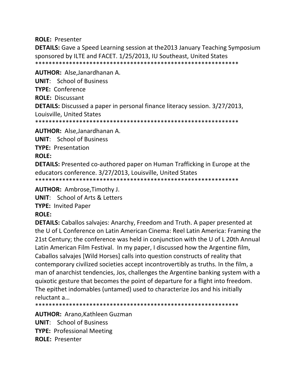#### **ROLE: Presenter**

**DETAILS:** Gave a Speed Learning session at the 2013 January Teaching Symposium sponsored by ILTE and FACET. 1/25/2013, IU Southeast, United States 

AUTHOR: Alse, Janardhanan A. **UNIT:** School of Business TYPE: Conference **ROLE: Discussant DETAILS:** Discussed a paper in personal finance literacy session. 3/27/2013, Louisville, United States 

**AUTHOR: Alse, Janardhanan A.** 

**UNIT:** School of Business

**TYPE: Presentation** 

## **ROLE:**

**DETAILS:** Presented co-authored paper on Human Trafficking in Europe at the educators conference. 3/27/2013, Louisville, United States 

**AUTHOR: Ambrose, Timothy J.** 

**UNIT:** School of Arts & Letters

**TYPE: Invited Paper** 

# **ROLE:**

**DETAILS:** Caballos salvajes: Anarchy, Freedom and Truth. A paper presented at the U of L Conference on Latin American Cinema: Reel Latin America: Framing the 21st Century; the conference was held in conjunction with the U of L 20th Annual Latin American Film Festival. In my paper, I discussed how the Argentine film, Caballos salvajes [Wild Horses] calls into question constructs of reality that contemporary civilized societies accept incontrovertibly as truths. In the film, a man of anarchist tendencies, Jos, challenges the Argentine banking system with a quixotic gesture that becomes the point of departure for a flight into freedom. The epithet indomables (untamed) used to characterize Jos and his initially reluctant a...

**AUTHOR: Arano, Kathleen Guzman UNIT:** School of Business **TYPE: Professional Meeting ROLE: Presenter**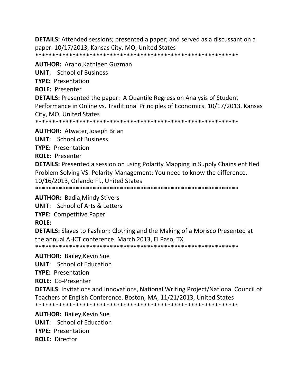**DETAILS:** Attended sessions; presented a paper; and served as a discussant on a paper. 10/17/2013, Kansas City, MO, United States 

**AUTHOR: Arano, Kathleen Guzman UNIT:** School of Business **TYPE: Presentation ROLE: Presenter DETAILS:** Presented the paper: A Quantile Regression Analysis of Student Performance in Online vs. Traditional Principles of Economics. 10/17/2013, Kansas City, MO, United States 

**AUTHOR: Atwater, Joseph Brian** 

**UNIT:** School of Business

**TYPE: Presentation** 

**ROLE: Presenter** 

**DETAILS:** Presented a session on using Polarity Mapping in Supply Chains entitled Problem Solving VS. Polarity Management: You need to know the difference. 10/16/2013, Orlando Fl., United States

**AUTHOR: Badia, Mindy Stivers** 

**UNIT:** School of Arts & Letters

**TYPE: Competitive Paper** 

**ROLE:** 

**DETAILS:** Slaves to Fashion: Clothing and the Making of a Morisco Presented at the annual AHCT conference. March 2013, El Paso, TX 

**AUTHOR: Bailey, Kevin Sue** 

**UNIT:** School of Education

**TYPE: Presentation** 

**ROLE: Co-Presenter** 

**DETAILS:** Invitations and Innovations, National Writing Project/National Council of Teachers of English Conference. Boston, MA, 11/21/2013, United States 

**AUTHOR: Bailey, Kevin Sue UNIT:** School of Education **TYPE: Presentation ROLE: Director**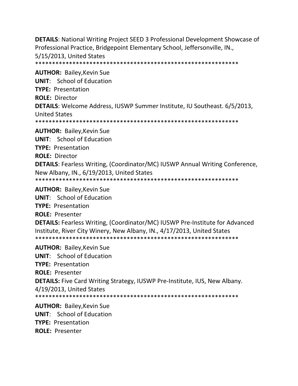**DETAILS**: National Writing Project SEED 3 Professional Development Showcase of Professional Practice, Bridgepoint Elementary School, Jeffersonville, IN., 5/15/2013, United States \*\*\*\*\*\*\*\*\*\*\*\*\*\*\*\*\*\*\*\*\*\*\*\*\*\*\*\*\*\*\*\*\*\*\*\*\*\*\*\*\*\*\*\*\*\*\*\*\*\*\*\*\*\*\*\*\*\*\*\* **AUTHOR:** Bailey,Kevin Sue **UNIT**: School of Education **TYPE:** Presentation **ROLE:** Director **DETAILS**: Welcome Address, IUSWP Summer Institute, IU Southeast. 6/5/2013, United States \*\*\*\*\*\*\*\*\*\*\*\*\*\*\*\*\*\*\*\*\*\*\*\*\*\*\*\*\*\*\*\*\*\*\*\*\*\*\*\*\*\*\*\*\*\*\*\*\*\*\*\*\*\*\*\*\*\*\*\* **AUTHOR:** Bailey,Kevin Sue **UNIT**: School of Education **TYPE:** Presentation **ROLE:** Director **DETAILS**: Fearless Writing, (Coordinator/MC) IUSWP Annual Writing Conference, New Albany, IN., 6/19/2013, United States \*\*\*\*\*\*\*\*\*\*\*\*\*\*\*\*\*\*\*\*\*\*\*\*\*\*\*\*\*\*\*\*\*\*\*\*\*\*\*\*\*\*\*\*\*\*\*\*\*\*\*\*\*\*\*\*\*\*\*\* **AUTHOR:** Bailey,Kevin Sue **UNIT**: School of Education **TYPE:** Presentation **ROLE:** Presenter **DETAILS:** Fearless Writing, (Coordinator/MC) IUSWP Pre‐Institute for Advanced Institute, River City Winery, New Albany, IN., 4/17/2013, United States \*\*\*\*\*\*\*\*\*\*\*\*\*\*\*\*\*\*\*\*\*\*\*\*\*\*\*\*\*\*\*\*\*\*\*\*\*\*\*\*\*\*\*\*\*\*\*\*\*\*\*\*\*\*\*\*\*\*\*\* **AUTHOR:** Bailey,Kevin Sue **UNIT**: School of Education **TYPE:** Presentation **ROLE:** Presenter **DETAILS:** Five Card Writing Strategy, IUSWP Pre‐Institute, IUS, New Albany. 4/19/2013, United States

\*\*\*\*\*\*\*\*\*\*\*\*\*\*\*\*\*\*\*\*\*\*\*\*\*\*\*\*\*\*\*\*\*\*\*\*\*\*\*\*\*\*\*\*\*\*\*\*\*\*\*\*\*\*\*\*\*\*\*\*

**AUTHOR:** Bailey,Kevin Sue **UNIT**: School of Education **TYPE:** Presentation **ROLE:** Presenter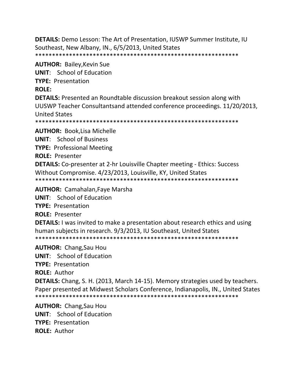**DETAILS:** Demo Lesson: The Art of Presentation, IUSWP Summer Institute, IU Southeast, New Albany, IN., 6/5/2013, United States \*\*\*\*\*\*\*\*\*\*\*\*\*\*\*\*\*\*\*\*\*\*\*\*\*\*\*\*\*\*\*\*\*\*\*\*\*\*\*\*\*\*\*\*\*\*\*\*\*\*\*\*\*\*\*\*\*\*\*\*

**AUTHOR:** Bailey,Kevin Sue **UNIT**: School of Education **TYPE:** Presentation **ROLE: DETAILS:** Presented an Roundtable discussion breakout session along with UUSWP Teacher Consultantsand attended conference proceedings. 11/20/2013, United States \*\*\*\*\*\*\*\*\*\*\*\*\*\*\*\*\*\*\*\*\*\*\*\*\*\*\*\*\*\*\*\*\*\*\*\*\*\*\*\*\*\*\*\*\*\*\*\*\*\*\*\*\*\*\*\*\*\*\*\* **AUTHOR:** Book,Lisa Michelle **UNIT**: School of Business **TYPE:** Professional Meeting **ROLE:** Presenter **DETAILS:** Co‐presenter at 2‐hr Louisville Chapter meeting ‐ Ethics: Success Without Compromise. 4/23/2013, Louisville, KY, United States \*\*\*\*\*\*\*\*\*\*\*\*\*\*\*\*\*\*\*\*\*\*\*\*\*\*\*\*\*\*\*\*\*\*\*\*\*\*\*\*\*\*\*\*\*\*\*\*\*\*\*\*\*\*\*\*\*\*\*\* **AUTHOR:** Camahalan,Faye Marsha

**UNIT**: School of Education

**TYPE:** Presentation

**ROLE:** Presenter

**DETAILS:** I was invited to make a presentation about research ethics and using human subjects in research. 9/3/2013, IU Southeast, United States \*\*\*\*\*\*\*\*\*\*\*\*\*\*\*\*\*\*\*\*\*\*\*\*\*\*\*\*\*\*\*\*\*\*\*\*\*\*\*\*\*\*\*\*\*\*\*\*\*\*\*\*\*\*\*\*\*\*\*\*

**AUTHOR:** Chang,Sau Hou

**UNIT**: School of Education

**TYPE:** Presentation

**ROLE:** Author

**DETAILS:** Chang, S. H. (2013, March 14‐15). Memory strategies used by teachers. Paper presented at Midwest Scholars Conference, Indianapolis, IN., United States \*\*\*\*\*\*\*\*\*\*\*\*\*\*\*\*\*\*\*\*\*\*\*\*\*\*\*\*\*\*\*\*\*\*\*\*\*\*\*\*\*\*\*\*\*\*\*\*\*\*\*\*\*\*\*\*\*\*\*\*

**AUTHOR:** Chang,Sau Hou **UNIT**: School of Education **TYPE:** Presentation **ROLE:** Author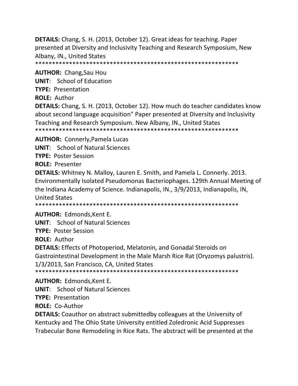**DETAILS:** Chang, S. H. (2013, October 12). Great ideas for teaching. Paper presented at Diversity and Inclusivity Teaching and Research Symposium, New Albany, IN., United States

**AUTHOR:** Chang, Sau Hou **UNIT:** School of Education **TYPE: Presentation ROLE: Author** 

**DETAILS:** Chang, S. H. (2013, October 12). How much do teacher candidates know about second language acquisition" Paper presented at Diversity and Inclusivity Teaching and Research Symposium. New Albany, IN., United States 

**AUTHOR: Connerly, Pamela Lucas** 

**UNIT:** School of Natural Sciences

**TYPE: Poster Session** 

**ROLE: Presenter** 

**DETAILS:** Whitney N. Malloy, Lauren E. Smith, and Pamela L. Connerly. 2013. Environmentally Isolated Pseudomonas Bacteriophages. 129th Annual Meeting of the Indiana Academy of Science. Indianapolis, IN., 3/9/2013, Indianapolis, IN, **United States** 

**AUTHOR: Edmonds, Kent E.** 

**UNIT:** School of Natural Sciences

**TYPE: Poster Session** 

**ROLE: Author** 

**DETAILS:** Effects of Photoperiod, Melatonin, and Gonadal Steroids on Gastrointestinal Development in the Male Marsh Rice Rat (Oryzomys palustris). 1/3/2013, San Francisco, CA, United States

**AUTHOR: Edmonds, Kent E.** 

**UNIT:** School of Natural Sciences

**TYPE: Presentation** 

**ROLE: Co-Author** 

**DETAILS:** Coauthor on abstract submittedby colleagues at the University of Kentucky and The Ohio State University entitled Zoledronic Acid Suppresses Trabecular Bone Remodeling in Rice Rats. The abstract will be presented at the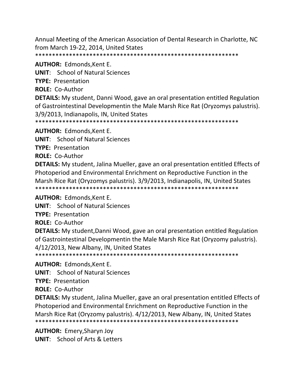Annual Meeting of the American Association of Dental Research in Charlotte, NC from March 19-22, 2014, United States 

**AUTHOR: Edmonds, Kent E.** 

**UNIT:** School of Natural Sciences

**TYPE: Presentation** 

**ROLE: Co-Author** 

DETAILS: My student, Danni Wood, gave an oral presentation entitled Regulation of Gastrointestinal Developmentin the Male Marsh Rice Rat (Oryzomys palustris). 3/9/2013, Indianapolis, IN, United States

**AUTHOR: Edmonds, Kent E.** 

**UNIT:** School of Natural Sciences

**TYPE: Presentation** 

**ROLE: Co-Author** 

**DETAILS:** My student, Jalina Mueller, gave an oral presentation entitled Effects of Photoperiod and Environmental Enrichment on Reproductive Function in the Marsh Rice Rat (Oryzomys palustris). 3/9/2013, Indianapolis, IN, United States 

**AUTHOR: Edmonds, Kent E.** 

**UNIT:** School of Natural Sciences

**TYPE: Presentation** 

**ROLE: Co-Author** 

**DETAILS:** My student, Danni Wood, gave an oral presentation entitled Regulation of Gastrointestinal Developmentin the Male Marsh Rice Rat (Oryzomy palustris). 4/12/2013, New Albany, IN, United States

**AUTHOR: Edmonds, Kent E.** 

**UNIT:** School of Natural Sciences

**TYPE: Presentation** 

**ROLE: Co-Author** 

**DETAILS:** My student, Jalina Mueller, gave an oral presentation entitled Effects of Photoperiod and Environmental Enrichment on Reproductive Function in the Marsh Rice Rat (Oryzomy palustris). 4/12/2013, New Albany, IN, United States 

**AUTHOR: Emery, Sharyn Joy UNIT:** School of Arts & Letters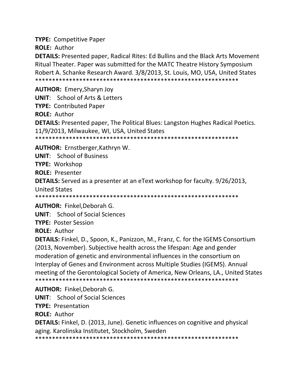**TYPE:** Competitive Paper

**ROLE:** Author

**DETAILS:** Presented paper, Radical Rites: Ed Bullins and the Black Arts Movement Ritual Theater. Paper was submitted for the MATC Theatre History Symposium Robert A. Schanke Research Award. 3/8/2013, St. Louis, MO, USA, United States \*\*\*\*\*\*\*\*\*\*\*\*\*\*\*\*\*\*\*\*\*\*\*\*\*\*\*\*\*\*\*\*\*\*\*\*\*\*\*\*\*\*\*\*\*\*\*\*\*\*\*\*\*\*\*\*\*\*\*\*

**AUTHOR:** Emery,Sharyn Joy

**UNIT**: School of Arts & Letters

**TYPE:** Contributed Paper

**ROLE:** Author

**DETAILS:** Presented paper, The Political Blues: Langston Hughes Radical Poetics. 11/9/2013, Milwaukee, WI, USA, United States

\*\*\*\*\*\*\*\*\*\*\*\*\*\*\*\*\*\*\*\*\*\*\*\*\*\*\*\*\*\*\*\*\*\*\*\*\*\*\*\*\*\*\*\*\*\*\*\*\*\*\*\*\*\*\*\*\*\*\*\*

**AUTHOR:** Ernstberger,Kathryn W.

**UNIT**: School of Business

**TYPE:** Workshop

**ROLE:** Presenter

**DETAILS:** Served as a presenter at an eText workshop for faculty. 9/26/2013, United States

\*\*\*\*\*\*\*\*\*\*\*\*\*\*\*\*\*\*\*\*\*\*\*\*\*\*\*\*\*\*\*\*\*\*\*\*\*\*\*\*\*\*\*\*\*\*\*\*\*\*\*\*\*\*\*\*\*\*\*\*

**AUTHOR:** Finkel,Deborah G.

**UNIT**: School of Social Sciences

**TYPE:** Poster Session

**ROLE:** Author

**DETAILS:** Finkel, D., Spoon, K., Panizzon, M., Franz, C. for the IGEMS Consortium (2013, November). Subjective health across the lifespan: Age and gender moderation of genetic and environmental influences in the consortium on Interplay of Genes and Environment across Multiple Studies (IGEMS). Annual meeting of the Gerontological Society of America, New Orleans, LA., United States \*\*\*\*\*\*\*\*\*\*\*\*\*\*\*\*\*\*\*\*\*\*\*\*\*\*\*\*\*\*\*\*\*\*\*\*\*\*\*\*\*\*\*\*\*\*\*\*\*\*\*\*\*\*\*\*\*\*\*\*

**AUTHOR:** Finkel,Deborah G.

**UNIT**: School of Social Sciences

**TYPE:** Presentation

**ROLE:** Author

**DETAILS:** Finkel, D. (2013, June). Genetic influences on cognitive and physical aging. Karolinska Institutet, Stockholm, Sweden

\*\*\*\*\*\*\*\*\*\*\*\*\*\*\*\*\*\*\*\*\*\*\*\*\*\*\*\*\*\*\*\*\*\*\*\*\*\*\*\*\*\*\*\*\*\*\*\*\*\*\*\*\*\*\*\*\*\*\*\*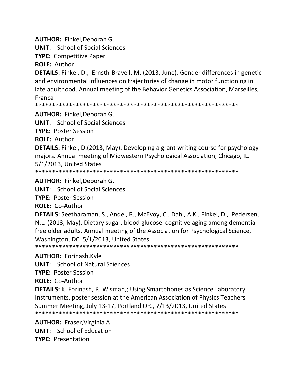**AUTHOR:** Finkel,Deborah G.

**UNIT**: School of Social Sciences

**TYPE:** Competitive Paper

**ROLE:** Author

**DETAILS:** Finkel, D., Ernsth‐Bravell, M. (2013, June). Gender differences in genetic and environmental influences on trajectories of change in motor functioning in late adulthood. Annual meeting of the Behavior Genetics Association, Marseilles, France

\*\*\*\*\*\*\*\*\*\*\*\*\*\*\*\*\*\*\*\*\*\*\*\*\*\*\*\*\*\*\*\*\*\*\*\*\*\*\*\*\*\*\*\*\*\*\*\*\*\*\*\*\*\*\*\*\*\*\*\*

**AUTHOR:** Finkel,Deborah G.

**UNIT**: School of Social Sciences

**TYPE:** Poster Session

**ROLE:** Author

**DETAILS:** Finkel, D.(2013, May). Developing a grant writing course for psychology majors. Annual meeting of Midwestern Psychological Association, Chicago, IL. 5/1/2013, United States

\*\*\*\*\*\*\*\*\*\*\*\*\*\*\*\*\*\*\*\*\*\*\*\*\*\*\*\*\*\*\*\*\*\*\*\*\*\*\*\*\*\*\*\*\*\*\*\*\*\*\*\*\*\*\*\*\*\*\*\*

**AUTHOR:** Finkel,Deborah G.

**UNIT**: School of Social Sciences

**TYPE:** Poster Session

**ROLE:** Co‐Author

**DETAILS:** Seetharaman, S., Andel, R., McEvoy, C., Dahl, A.K., Finkel, D., Pedersen, N.L. (2013, May). Dietary sugar, blood glucose cognitive aging among dementia‐ free older adults. Annual meeting of the Association for Psychological Science, Washington, DC. 5/1/2013, United States

\*\*\*\*\*\*\*\*\*\*\*\*\*\*\*\*\*\*\*\*\*\*\*\*\*\*\*\*\*\*\*\*\*\*\*\*\*\*\*\*\*\*\*\*\*\*\*\*\*\*\*\*\*\*\*\*\*\*\*\*

**AUTHOR:** Forinash,Kyle

**UNIT**: School of Natural Sciences

**TYPE:** Poster Session

**ROLE:** Co‐Author

**DETAILS:** K. Forinash, R. Wisman,; Using Smartphones as Science Laboratory Instruments, poster session at the American Association of Physics Teachers Summer Meeting, July 13‐17, Portland OR., 7/13/2013, United States \*\*\*\*\*\*\*\*\*\*\*\*\*\*\*\*\*\*\*\*\*\*\*\*\*\*\*\*\*\*\*\*\*\*\*\*\*\*\*\*\*\*\*\*\*\*\*\*\*\*\*\*\*\*\*\*\*\*\*\*

**AUTHOR:** Fraser,Virginia A **UNIT**: School of Education **TYPE:** Presentation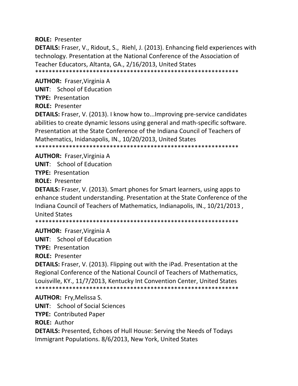**ROLE:** Presenter

**DETAILS:** Fraser, V., Ridout, S., Riehl, J. (2013). Enhancing field experiences with technology. Presentation at the National Conference of the Association of Teacher Educators, Altanta, GA., 2/16/2013, United States \*\*\*\*\*\*\*\*\*\*\*\*\*\*\*\*\*\*\*\*\*\*\*\*\*\*\*\*\*\*\*\*\*\*\*\*\*\*\*\*\*\*\*\*\*\*\*\*\*\*\*\*\*\*\*\*\*\*\*\*

**AUTHOR:** Fraser,Virginia A

**UNIT**: School of Education

**TYPE:** Presentation

**ROLE:** Presenter

**DETAILS:** Fraser, V. (2013). I know how to...Improving pre‐service candidates abilities to create dynamic lessons using general and math‐specific software. Presentation at the State Conference of the Indiana Council of Teachers of Mathematics, Inidanapolis, IN., 10/20/2013, United States \*\*\*\*\*\*\*\*\*\*\*\*\*\*\*\*\*\*\*\*\*\*\*\*\*\*\*\*\*\*\*\*\*\*\*\*\*\*\*\*\*\*\*\*\*\*\*\*\*\*\*\*\*\*\*\*\*\*\*\*

**AUTHOR:** Fraser,Virginia A

**UNIT**: School of Education

**TYPE:** Presentation

**ROLE:** Presenter

**DETAILS:** Fraser, V. (2013). Smart phones for Smart learners, using apps to enhance student understanding. Presentation at the State Conference of the Indiana Council of Teachers of Mathematics, Indianapolis, IN., 10/21/2013 , United States

\*\*\*\*\*\*\*\*\*\*\*\*\*\*\*\*\*\*\*\*\*\*\*\*\*\*\*\*\*\*\*\*\*\*\*\*\*\*\*\*\*\*\*\*\*\*\*\*\*\*\*\*\*\*\*\*\*\*\*\*

**AUTHOR:** Fraser,Virginia A

**UNIT**: School of Education

**TYPE:** Presentation

**ROLE:** Presenter

**DETAILS:** Fraser, V. (2013). Flipping out with the iPad. Presentation at the Regional Conference of the National Council of Teachers of Mathematics, Louisville, KY., 11/7/2013, Kentucky Int Convention Center, United States \*\*\*\*\*\*\*\*\*\*\*\*\*\*\*\*\*\*\*\*\*\*\*\*\*\*\*\*\*\*\*\*\*\*\*\*\*\*\*\*\*\*\*\*\*\*\*\*\*\*\*\*\*\*\*\*\*\*\*\*

**AUTHOR:** Fry,Melissa S.

**UNIT**: School of Social Sciences

**TYPE:** Contributed Paper

**ROLE:** Author

**DETAILS:** Presented, Echoes of Hull House: Serving the Needs of Todays Immigrant Populations. 8/6/2013, New York, United States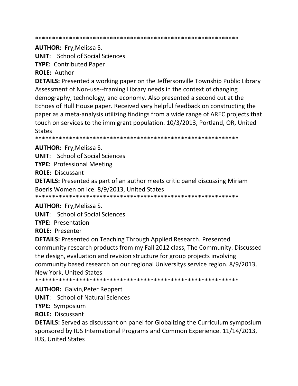**AUTHOR:** Fry, Melissa S.

**UNIT:** School of Social Sciences

**TYPE: Contributed Paper** 

**ROLE: Author** 

**DETAILS:** Presented a working paper on the Jeffersonville Township Public Library Assessment of Non-use--framing Library needs in the context of changing demography, technology, and economy. Also presented a second cut at the Echoes of Hull House paper. Received very helpful feedback on constructing the paper as a meta-analysis utilizing findings from a wide range of AREC projects that touch on services to the immigrant population. 10/3/2013, Portland, OR, United **States** 

**AUTHOR: Fry, Melissa S.** 

**UNIT:** School of Social Sciences

**TYPE: Professional Meeting** 

**ROLE: Discussant** 

**DETAILS:** Presented as part of an author meets critic panel discussing Miriam Boeris Women on Ice. 8/9/2013, United States

**AUTHOR: Fry, Melissa S.** 

**UNIT:** School of Social Sciences

**TYPE: Presentation** 

**ROLE: Presenter** 

**DETAILS:** Presented on Teaching Through Applied Research. Presented community research products from my Fall 2012 class, The Community. Discussed the design, evaluation and revision structure for group projects involving community based research on our regional Universitys service region. 8/9/2013, New York, United States

**AUTHOR: Galvin, Peter Reppert** 

**UNIT:** School of Natural Sciences

**TYPE: Symposium** 

**ROLE: Discussant** 

**DETAILS:** Served as discussant on panel for Globalizing the Curriculum symposium sponsored by IUS International Programs and Common Experience. 11/14/2013, **IUS, United States**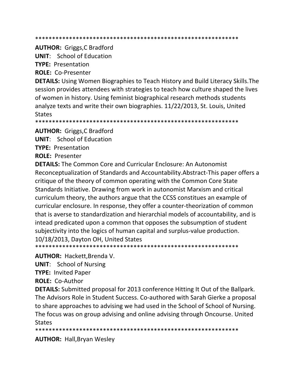#### 

**AUTHOR:** Griggs, C Bradford

**UNIT:** School of Education

**TYPE: Presentation** 

**ROLE: Co-Presenter** 

**DETAILS:** Using Women Biographies to Teach History and Build Literacy Skills. The session provides attendees with strategies to teach how culture shaped the lives of women in history. Using feminist biographical research methods students analyze texts and write their own biographies. 11/22/2013, St. Louis, United **States** 

**AUTHOR: Griggs, C Bradford** 

**UNIT:** School of Education

**TYPE: Presentation** 

**ROLE: Presenter** 

**DETAILS:** The Common Core and Curricular Enclosure: An Autonomist Reconceptualization of Standards and Accountability. Abstract-This paper offers a critique of the theory of common operating with the Common Core State Standards Initiative. Drawing from work in autonomist Marxism and critical curriculum theory, the authors argue that the CCSS constitues an example of curricular enclosure. In response, they offer a counter-theorization of common that is averse to standardization and hierarchial models of accountability, and is intead predicated upon a common that opposes the subsumption of student subjectivity into the logics of human capital and surplus-value production. 10/18/2013, Dayton OH, United States

**AUTHOR: Hackett, Brenda V.** 

**UNIT:** School of Nursing

**TYPE: Invited Paper** 

**ROLE: Co-Author** 

**DETAILS:** Submitted proposal for 2013 conference Hitting It Out of the Ballpark. The Advisors Role in Student Success. Co-authored with Sarah Gierke a proposal to share approaches to advising we had used in the School of School of Nursing. The focus was on group advising and online advising through Oncourse. United **States** 

**AUTHOR: Hall, Bryan Wesley**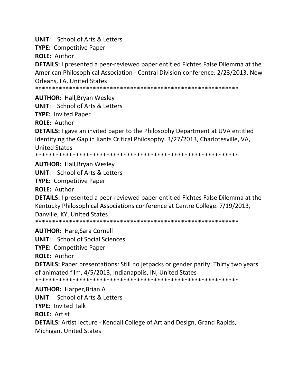**UNIT:** School of Arts & Letters

**TYPE: Competitive Paper** 

**ROLE: Author** 

**DETAILS:** I presented a peer-reviewed paper entitled Fichtes False Dilemma at the American Philosophical Association - Central Division conference. 2/23/2013, New **Orleans, LA, United States** 

**AUTHOR: Hall, Bryan Wesley** 

**UNIT:** School of Arts & Letters

**TYPE: Invited Paper** 

**ROLE: Author** 

**DETAILS:** I gave an invited paper to the Philosophy Department at UVA entitled Identifying the Gap in Kants Critical Philosophy. 3/27/2013, Charlotesville, VA, **United States** 

**AUTHOR: Hall, Bryan Wesley** 

**UNIT:** School of Arts & Letters

**TYPE: Competitive Paper** 

**ROLE: Author** 

DETAILS: I presented a peer-reviewed paper entitled Fichtes False Dilemma at the Kentucky Philosophical Associations conference at Centre College. 7/19/2013, Danville, KY, United States

**AUTHOR: Hare.Sara Cornell** 

**UNIT:** School of Social Sciences

**TYPE: Competitive Paper** 

**ROLE: Author** 

**DETAILS:** Paper presentations: Still no jetpacks or gender parity: Thirty two years of animated film, 4/5/2013, Indianapolis, IN, United States

**AUTHOR: Harper, Brian A UNIT:** School of Arts & Letters **TYPE: Invited Talk ROLE: Artist DETAILS:** Artist lecture - Kendall College of Art and Design, Grand Rapids, Michigan. United States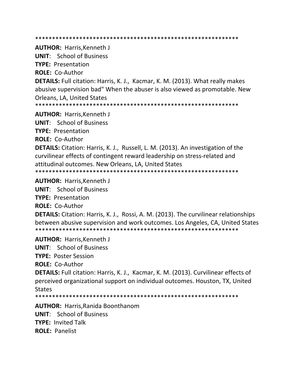\*\*\*\*\*\*\*\*\*\*\*\*\*\*\*\*\*\*\*\*\*\*\*\*\*\*\*\*\*\*\*\*\*\*\*\*\*\*\*\*\*\*\*\*\*\*\*\*\*\*\*\*\*\*\*\*\*\*\*\* **AUTHOR:** Harris,Kenneth J **UNIT**: School of Business **TYPE:** Presentation **ROLE:** Co‐Author **DETAILS:** Full citation: Harris, K. J., Kacmar, K. M. (2013). What really makes abusive supervision bad" When the abuser is also viewed as promotable. New Orleans, LA, United States \*\*\*\*\*\*\*\*\*\*\*\*\*\*\*\*\*\*\*\*\*\*\*\*\*\*\*\*\*\*\*\*\*\*\*\*\*\*\*\*\*\*\*\*\*\*\*\*\*\*\*\*\*\*\*\*\*\*\*\* **AUTHOR:** Harris,Kenneth J **UNIT**: School of Business **TYPE:** Presentation **ROLE:** Co‐Author **DETAILS:** Citation: Harris, K. J., Russell, L. M. (2013). An investigation of the curvilinear effects of contingent reward leadership on stress‐related and attitudinal outcomes. New Orleans, LA, United States \*\*\*\*\*\*\*\*\*\*\*\*\*\*\*\*\*\*\*\*\*\*\*\*\*\*\*\*\*\*\*\*\*\*\*\*\*\*\*\*\*\*\*\*\*\*\*\*\*\*\*\*\*\*\*\*\*\*\*\* **AUTHOR:** Harris,Kenneth J **UNIT**: School of Business **TYPE:** Presentation **ROLE:** Co‐Author **DETAILS:** Citation: Harris, K. J., Rossi, A. M. (2013). The curvilinear relationships between abusive supervision and work outcomes. Los Angeles, CA, United States \*\*\*\*\*\*\*\*\*\*\*\*\*\*\*\*\*\*\*\*\*\*\*\*\*\*\*\*\*\*\*\*\*\*\*\*\*\*\*\*\*\*\*\*\*\*\*\*\*\*\*\*\*\*\*\*\*\*\*\* **AUTHOR:** Harris,Kenneth J **UNIT**: School of Business **TYPE:** Poster Session **ROLE:** Co‐Author **DETAILS:** Full citation: Harris, K. J., Kacmar, K. M. (2013). Curvilinear effects of perceived organizational support on individual outcomes. Houston, TX, United **States** \*\*\*\*\*\*\*\*\*\*\*\*\*\*\*\*\*\*\*\*\*\*\*\*\*\*\*\*\*\*\*\*\*\*\*\*\*\*\*\*\*\*\*\*\*\*\*\*\*\*\*\*\*\*\*\*\*\*\*\* **AUTHOR:** Harris,Ranida Boonthanom **UNIT**: School of Business **TYPE:** Invited Talk **ROLE:** Panelist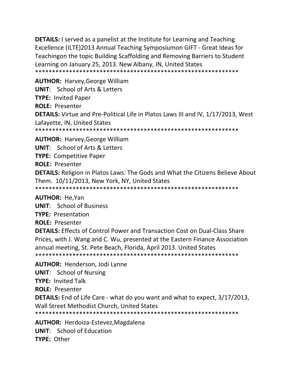**DETAILS:** I served as a panelist at the Institute for Learning and Teaching Excellence (ILTE)2013 Annual Teaching Symposiumon GIFT - Great Ideas for Teachingon the topic Building Scaffolding and Removing Barriers to Student Learning on January 25, 2013. New Albany, IN, United States 

**AUTHOR: Harvey, George William UNIT:** School of Arts & Letters **TYPE: Invited Paper ROLE: Presenter** DETAILS: Virtue and Pre-Political Life in Platos Laws III and IV, 1/17/2013, West Lafayette, IN, United States 

**AUTHOR: Harvey, George William UNIT:** School of Arts & Letters **TYPE: Competitive Paper ROLE: Presenter DETAILS:** Religion in Platos Laws: The Gods and What the Citizens Believe About Them. 10/11/2013, New York, NY, United States 

**AUTHOR: He, Yan UNIT:** School of Business **TYPE: Presentation ROLE: Presenter DETAILS:** Effects of Control Power and Transaction Cost on Dual-Class Share Prices, with J. Wang and C. Wu, presented at the Eastern Finance Association annual meeting, St. Pete Beach, Florida, April 2013. United States **AUTHOR: Henderson, Jodi Lynne UNIT:** School of Nursing **TYPE: Invited Talk ROLE: Presenter DETAILS:** End of Life Care - what do you want and what to expect, 3/17/2013, Wall Street Methodist Church, United States **AUTHOR: Herdoiza-Estevez, Magdalena** 

**UNIT:** School of Education

**TYPE: Other**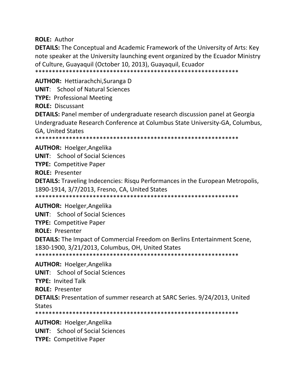**ROLE: Author** 

**DETAILS:** The Conceptual and Academic Framework of the University of Arts: Key note speaker at the University launching event organized by the Ecuador Ministry of Culture, Guayaquil (October 10, 2013), Guayaquil, Ecuador

**AUTHOR: Hettiarachchi, Suranga D** 

**UNIT:** School of Natural Sciences

**TYPE: Professional Meeting** 

**ROLE: Discussant** 

**DETAILS:** Panel member of undergraduate research discussion panel at Georgia Undergraduate Research Conference at Columbus State University-GA, Columbus, **GA. United States** 

\*\*\*\*\*\*\*\*\*\*\*\* 

**AUTHOR: Hoelger, Angelika** 

**UNIT:** School of Social Sciences

**TYPE: Competitive Paper** 

**ROLE: Presenter** 

**DETAILS:** Traveling Indecencies: Risqu Performances in the European Metropolis, 1890-1914, 3/7/2013, Fresno, CA, United States

**AUTHOR: Hoelger, Angelika** 

**UNIT:** School of Social Sciences

**TYPE: Competitive Paper** 

**ROLE: Presenter** 

**DETAILS:** The Impact of Commercial Freedom on Berlins Entertainment Scene, 1830-1900, 3/21/2013, Columbus, OH, United States 

**AUTHOR: Hoelger, Angelika** 

**UNIT:** School of Social Sciences

**TYPE: Invited Talk** 

**ROLE: Presenter** 

**DETAILS:** Presentation of summer research at SARC Series. 9/24/2013, United **States** 

**AUTHOR: Hoelger, Angelika** 

**UNIT:** School of Social Sciences

**TYPE: Competitive Paper**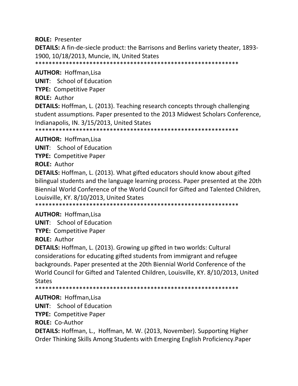### **ROLE:** Presenter

**DETAILS:** A fin-de-siecle product: the Barrisons and Berlins variety theater, 1893– 1900, 10/18/2013, Muncie, IN, United States

\*\*\*\*\*\*\*\*\*\*\*\*\*\*\*\*\*\*\*\*\*\*\*\*\*\*\*\*\*\*\*\*\*\*\*\*\*\*\*\*\*\*\*\*\*\*\*\*\*\*\*\*\*\*\*\*\*\*\*\*

### **AUTHOR:** Hoffman,Lisa

**UNIT**: School of Education **TYPE:** Competitive Paper **ROLE:** Author **DETAILS:** Hoffman, L. (2013). Teaching research concepts through challenging student assumptions. Paper presented to the 2013 Midwest Scholars Conference, Indianapolis, IN. 3/15/2013, United States \*\*\*\*\*\*\*\*\*\*\*\*\*\*\*\*\*\*\*\*\*\*\*\*\*\*\*\*\*\*\*\*\*\*\*\*\*\*\*\*\*\*\*\*\*\*\*\*\*\*\*\*\*\*\*\*\*\*\*\*

**AUTHOR:** Hoffman,Lisa

**UNIT**: School of Education

**TYPE:** Competitive Paper

**ROLE:** Author

**DETAILS:** Hoffman, L. (2013). What gifted educators should know about gifted bilingual students and the language learning process. Paper presented at the 20th Biennial World Conference of the World Council for Gifted and Talented Children, Louisville, KY. 8/10/2013, United States

\*\*\*\*\*\*\*\*\*\*\*\*\*\*\*\*\*\*\*\*\*\*\*\*\*\*\*\*\*\*\*\*\*\*\*\*\*\*\*\*\*\*\*\*\*\*\*\*\*\*\*\*\*\*\*\*\*\*\*\*

### **AUTHOR:** Hoffman,Lisa

**UNIT**: School of Education

**TYPE:** Competitive Paper

**ROLE:** Author

**DETAILS:** Hoffman, L. (2013). Growing up gifted in two worlds: Cultural considerations for educating gifted students from immigrant and refugee backgrounds. Paper presented at the 20th Biennial World Conference of the World Council for Gifted and Talented Children, Louisville, KY. 8/10/2013, United **States** 

\*\*\*\*\*\*\*\*\*\*\*\*\*\*\*\*\*\*\*\*\*\*\*\*\*\*\*\*\*\*\*\*\*\*\*\*\*\*\*\*\*\*\*\*\*\*\*\*\*\*\*\*\*\*\*\*\*\*\*\*

### **AUTHOR:** Hoffman,Lisa

**UNIT**: School of Education

**TYPE:** Competitive Paper

**ROLE:** Co‐Author

**DETAILS:** Hoffman, L., Hoffman, M. W. (2013, November). Supporting Higher Order Thinking Skills Among Students with Emerging English Proficiency.Paper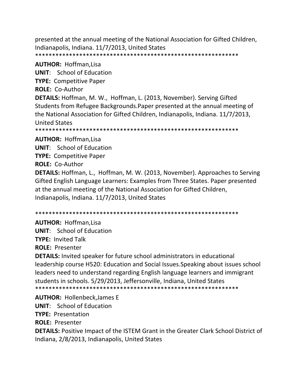presented at the annual meeting of the National Association for Gifted Children, Indianapolis, Indiana. 11/7/2013, United States \*\*\*\*\*\*\*\*\*\*\*\*\*\*\*\*\*\*\*\*\*\*\*\*\*\*\*\*\*\*\*\*\*\*\*\*\*\*\*\*\*\*\*\*\*\*\*\*\*\*\*\*\*\*\*\*\*\*\*\*

**AUTHOR:** Hoffman,Lisa **UNIT**: School of Education **TYPE:** Competitive Paper **ROLE:** Co‐Author **DETAILS:** Hoffman, M. W., Hoffman, L. (2013, November). Serving Gifted Students from Refugee Backgrounds.Paper presented at the annual meeting of the National Association for Gifted Children, Indianapolis, Indiana. 11/7/2013, United States \*\*\*\*\*\*\*\*\*\*\*\*\*\*\*\*\*\*\*\*\*\*\*\*\*\*\*\*\*\*\*\*\*\*\*\*\*\*\*\*\*\*\*\*\*\*\*\*\*\*\*\*\*\*\*\*\*\*\*\* **AUTHOR:** Hoffman,Lisa

**UNIT**: School of Education

**TYPE:** Competitive Paper

**ROLE:** Co‐Author

**DETAILS:** Hoffman, L., Hoffman, M. W. (2013, November). Approaches to Serving Gifted English Language Learners: Examples from Three States. Paper presented at the annual meeting of the National Association for Gifted Children, Indianapolis, Indiana. 11/7/2013, United States

\*\*\*\*\*\*\*\*\*\*\*\*\*\*\*\*\*\*\*\*\*\*\*\*\*\*\*\*\*\*\*\*\*\*\*\*\*\*\*\*\*\*\*\*\*\*\*\*\*\*\*\*\*\*\*\*\*\*\*\*

**AUTHOR:** Hoffman,Lisa **UNIT**: School of Education

**TYPE:** Invited Talk

**ROLE:** Presenter

**DETAILS:** Invited speaker for future school administrators in educational leadership course H520: Education and Social Issues.Speaking about issues school leaders need to understand regarding English language learners and immigrant students in schools. 5/29/2013, Jeffersonville, Indiana, United States \*\*\*\*\*\*\*\*\*\*\*\*\*\*\*\*\*\*\*\*\*\*\*\*\*\*\*\*\*\*\*\*\*\*\*\*\*\*\*\*\*\*\*\*\*\*\*\*\*\*\*\*\*\*\*\*\*\*\*\*

**AUTHOR:** Hollenbeck,James E **UNIT**: School of Education **TYPE:** Presentation **ROLE:** Presenter **DETAILS:** Positive Impact of the ISTEM Grant in the Greater Clark School District of Indiana, 2/8/2013, Indianapolis, United States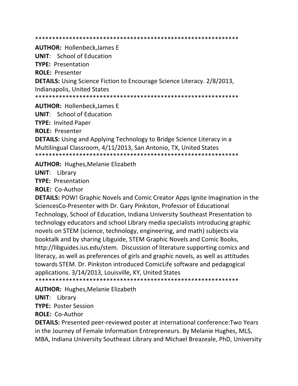**AUTHOR: Hollenbeck.James E** 

**UNIT:** School of Education **TYPE: Presentation ROLE: Presenter DETAILS:** Using Science Fiction to Encourage Science Literacy. 2/8/2013, Indianapolis, United States \*\*\*\*\*\*\*\*\*\*\*\*\*\*\*\*\*\*\*\*\* 

**AUTHOR: Hollenbeck, James E** 

**UNIT:** School of Education

**TYPE: Invited Paper** 

**ROLE: Presenter** 

**DETAILS:** Using and Applying Technology to Bridge Science Literacy in a Multilingual Classroom, 4/11/2013, San Antonio, TX, United States 

**AUTHOR: Hughes, Melanie Elizabeth** 

**UNIT:** Library

**TYPE: Presentation** 

**ROLE: Co-Author** 

**DETAILS:** POW! Graphic Novels and Comic Creator Apps Ignite Imagination in the SciencesCo-Presenter with Dr. Gary Pinkston, Professor of Educational Technology, School of Education, Indiana University Southeast Presentation to technology educators and school Library media specialists introducing graphic novels on STEM (science, technology, engineering, and math) subjects via booktalk and by sharing Libguide, STEM Graphic Novels and Comic Books, http://libguides.ius.edu/stem. Discussion of literature supporting comics and literacy, as well as preferences of girls and graphic novels, as well as attitudes towards STEM. Dr. Pinkston introduced ComicLife software and pedagogical applications. 3/14/2013, Louisville, KY, United States

**AUTHOR: Hughes, Melanie Elizabeth** 

**UNIT:** Library

**TYPE: Poster Session** 

**ROLE: Co-Author** 

**DETAILS:** Presented peer-reviewed poster at international conference: Two Years in the Journey of Female Information Entrepreneurs. By Melanie Hughes, MLS, MBA, Indiana University Southeast Library and Michael Breazeale, PhD, University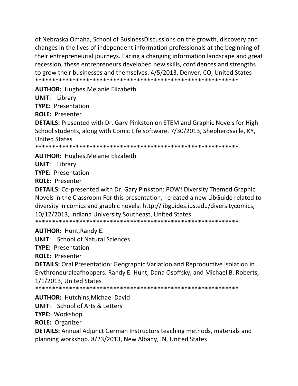of Nebraska Omaha, School of BusinessDiscussions on the growth, discovery and changes in the lives of independent information professionals at the beginning of their entrepreneurial journeys. Facing a changing information landscape and great recession, these entrepreneurs developed new skills, confidences and strengths to grow their businesses and themselves. 4/5/2013, Denver, CO, United States \*\*\*\*\*\*\*\*\*\*\*\*\*\*\*\*\*\*\*\*\*\*\*\*\*\*\*\*\*\*\*\*\*\*\*\*\*\*\*\*\*\*\*\*\*\*\*\*\*\*\*\*\*\*\*\*\*\*\*\*

**AUTHOR:** Hughes,Melanie Elizabeth

**UNIT**: Library

**TYPE:** Presentation

**ROLE:** Presenter

**DETAILS:** Presented with Dr. Gary Pinkston on STEM and Graphic Novels for High School students, along with Comic Life software. 7/30/2013, Shepherdsville, KY, United States

\*\*\*\*\*\*\*\*\*\*\*\*\*\*\*\*\*\*\*\*\*\*\*\*\*\*\*\*\*\*\*\*\*\*\*\*\*\*\*\*\*\*\*\*\*\*\*\*\*\*\*\*\*\*\*\*\*\*\*\*

**AUTHOR:** Hughes,Melanie Elizabeth

**UNIT**: Library

**TYPE:** Presentation

**ROLE:** Presenter

**DETAILS:** Co‐presented with Dr. Gary Pinkston: POW! Diversity Themed Graphic Novels in the Classroom For this presentation, I created a new LibGuide related to diversity in comics and graphic novels: http://libguides.ius.edu/diversitycomics, 10/12/2013, Indiana University Southeast, United States \*\*\*\*\*\*\*\*\*\*\*\*\*\*\*\*\*\*\*\*\*\*\*\*\*\*\*\*\*\*\*\*\*\*\*\*\*\*\*\*\*\*\*\*\*\*\*\*\*\*\*\*\*\*\*\*\*\*\*\*

**AUTHOR:** Hunt,Randy E.

**UNIT**: School of Natural Sciences

**TYPE:** Presentation

**ROLE:** Presenter

**DETAILS:** Oral Presentation: Geographic Variation and Reproductive Isolation in Erythroneuraleafhoppers. Randy E. Hunt, Dana Osoffsky, and Michael B. Roberts, 1/1/2013, United States

\*\*\*\*\*\*\*\*\*\*\*\*\*\*\*\*\*\*\*\*\*\*\*\*\*\*\*\*\*\*\*\*\*\*\*\*\*\*\*\*\*\*\*\*\*\*\*\*\*\*\*\*\*\*\*\*\*\*\*\*

**AUTHOR:** Hutchins,Michael David

**UNIT**: School of Arts & Letters

**TYPE:** Workshop

**ROLE:** Organizer

**DETAILS:** Annual Adjunct German Instructors teaching methods, materials and planning workshop. 8/23/2013, New Albany, IN, United States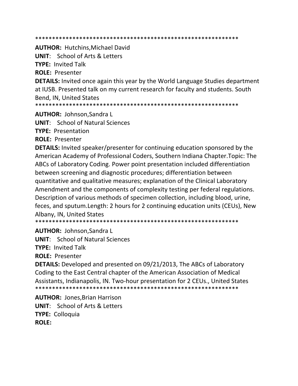#### 

**AUTHOR: Hutchins.Michael David** 

**UNIT:** School of Arts & Letters

**TYPE: Invited Talk** 

**ROLE: Presenter** 

**DETAILS:** Invited once again this year by the World Language Studies department at IUSB. Presented talk on my current research for faculty and students. South Bend, IN, United States

**AUTHOR: Johnson, Sandra L** 

**UNIT:** School of Natural Sciences

**TYPE: Presentation** 

**ROLE: Presenter** 

**DETAILS:** Invited speaker/presenter for continuing education sponsored by the American Academy of Professional Coders, Southern Indiana Chapter. Topic: The ABCs of Laboratory Coding. Power point presentation included differentiation between screening and diagnostic procedures; differentiation between quantitative and qualitative measures; explanation of the Clinical Laboratory Amendment and the components of complexity testing per federal regulations. Description of various methods of specimen collection, including blood, urine, feces, and sputum. Length: 2 hours for 2 continuing education units (CEUs), New Albany, IN, United States

**AUTHOR: Johnson.Sandra L** 

**UNIT:** School of Natural Sciences

**TYPE: Invited Talk** 

**ROLE: Presenter** 

**DETAILS:** Developed and presented on 09/21/2013, The ABCs of Laboratory Coding to the East Central chapter of the American Association of Medical Assistants, Indianapolis, IN. Two-hour presentation for 2 CEUs., United States 

**AUTHOR: Jones, Brian Harrison UNIT:** School of Arts & Letters **TYPE: Colloquia ROLE:**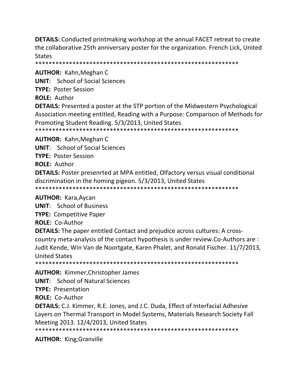**DETAILS:** Conducted printmaking workshop at the annual FACET retreat to create the collaborative 25th anniversary poster for the organization. French Lick, United **States** 

**AUTHOR: Kahn, Meghan C** 

**UNIT:** School of Social Sciences

**TYPE: Poster Session** 

**ROLE: Author** 

**DETAILS:** Presented a poster at the STP portion of the Midwestern Psychological Association meeting entitled, Reading with a Purpose: Comparison of Methods for Promoting Student Reading. 5/3/2013, United States 

**AUTHOR: Kahn, Meghan C** 

**UNIT:** School of Social Sciences

**TYPE: Poster Session** 

**ROLE: Author** 

**DETAILS:** Poster presenrted at MPA entitled, Olfactory versus visual conditional discrimination in the homing pigeon. 5/3/2013, United States 

**AUTHOR: Kara, Aycan** 

**UNIT:** School of Business

**TYPE: Competitive Paper** 

**ROLE: Co-Author** 

**DETAILS:** The paper entitled Contact and prejudice across cultures: A crosscountry meta-analysis of the contact hypothesis is under review. Co-Authors are : Judit Kende, Win Van de Noortgate, Karen Phalet, and Ronald Fischer. 11/7/2013, **United States** 

**AUTHOR:** Kimmer, Christopher James

**UNIT:** School of Natural Sciences

**TYPE: Presentation** 

**ROLE: Co-Author** 

**DETAILS:** C.J. Kimmer, R.E. Jones, and J.C. Duda, Effect of Interfacial Adhesive Layers on Thermal Transport in Model Systems, Materials Research Society Fall Meeting 2013. 12/4/2013, United States

**AUTHOR: King, Granville**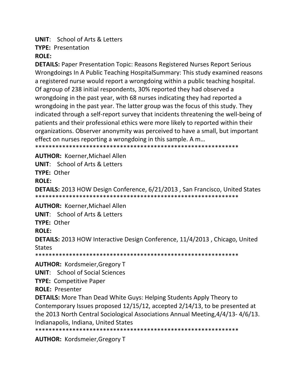# **UNIT:** School of Arts & Letters

**TYPE: Presentation** 

# **ROLE:**

**DETAILS:** Paper Presentation Topic: Reasons Registered Nurses Report Serious Wrongdoings In A Public Teaching HospitalSummary: This study examined reasons a registered nurse would report a wrongdoing within a public teaching hospital. Of agroup of 238 initial respondents, 30% reported they had observed a wrongdoing in the past year, with 68 nurses indicating they had reported a wrongdoing in the past year. The latter group was the focus of this study. They indicated through a self-report survey that incidents threatening the well-being of patients and their professional ethics were more likely to reported within their organizations. Observer anonymity was perceived to have a small, but important effect on nurses reporting a wrongdoing in this sample. A m...

**AUTHOR: Koerner, Michael Allen UNIT:** School of Arts & Letters

TYPF: Other

**ROLE:** 

**DETAILS:** 2013 HOW Design Conference, 6/21/2013, San Francisco, United States 

**AUTHOR: Koerner, Michael Allen** 

**UNIT:** School of Arts & Letters

TYPE: Other

# **ROLE:**

**DETAILS:** 2013 HOW Interactive Design Conference, 11/4/2013, Chicago, United **States** 

**AUTHOR: Kordsmeier, Gregory T** 

**UNIT:** School of Social Sciences

**TYPE: Competitive Paper** 

**ROLE: Presenter** 

**DETAILS:** More Than Dead White Guys: Helping Students Apply Theory to Contemporary Issues proposed 12/15/12, accepted 2/14/13, to be presented at the 2013 North Central Sociological Associations Annual Meeting, 4/4/13-4/6/13. Indianapolis, Indiana, United States

**AUTHOR: Kordsmeier, Gregory T**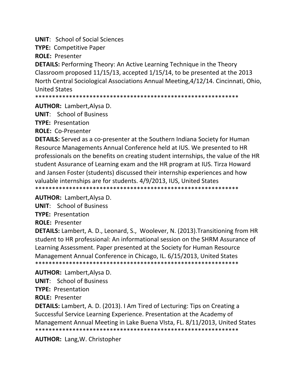**UNIT:** School of Social Sciences

**TYPE: Competitive Paper** 

**ROLE: Presenter** 

**DETAILS:** Performing Theory: An Active Learning Technique in the Theory Classroom proposed 11/15/13, accepted 1/15/14, to be presented at the 2013 North Central Sociological Associations Annual Meeting, 4/12/14. Cincinnati, Ohio, **United States** 

\*\*\*\*\*\*\*\*\*\*\*\*\*\*\*\*\* 

**AUTHOR: Lambert, Alysa D.** 

**UNIT:** School of Business

**TYPE: Presentation** 

**ROLE: Co-Presenter** 

**DETAILS:** Served as a co-presenter at the Southern Indiana Society for Human Resource Managements Annual Conference held at IUS. We presented to HR professionals on the benefits on creating student internships, the value of the HR student Assurance of Learning exam and the HR program at IUS. Tirza Howard and Jansen Foster (students) discussed their internship experiences and how valuable internships are for students. 4/9/2013, IUS, United States 

**AUTHOR:** Lambert, Alysa D.

**UNIT:** School of Business

**TYPE: Presentation** 

**ROLE: Presenter** 

DETAILS: Lambert, A. D., Leonard, S., Woolever, N. (2013). Transitioning from HR student to HR professional: An informational session on the SHRM Assurance of Learning Assessment. Paper presented at the Society for Human Resource Management Annual Conference in Chicago, IL. 6/15/2013, United States 

**AUTHOR:** Lambert, Alysa D.

**UNIT:** School of Business

**TYPE: Presentation** 

**ROLE: Presenter** 

**DETAILS:** Lambert, A. D. (2013). I Am Tired of Lecturing: Tips on Creating a Successful Service Learning Experience. Presentation at the Academy of Management Annual Meeting in Lake Buena VIsta, FL. 8/11/2013, United States 

**AUTHOR: Lang, W. Christopher**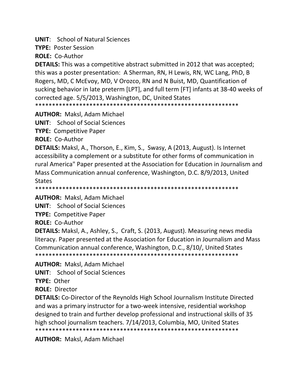**UNIT**: School of Natural Sciences

**TYPE:** Poster Session

**ROLE:** Co‐Author

**DETAILS:** This was a competitive abstract submitted in 2012 that was accepted; this was a poster presentation: A Sherman, RN, H Lewis, RN, WC Lang, PhD, B Rogers, MD, C McEvoy, MD, V Orozco, RN and N Buist, MD, Quantification of sucking behavior in late preterm [LPT], and full term [FT] infants at 38‐40 weeks of corrected age. 5/5/2013, Washington, DC, United States

\*\*\*\*\*\*\*\*\*\*\*\*\*\*\*\*\*\*\*\*\*\*\*\*\*\*\*\*\*\*\*\*\*\*\*\*\*\*\*\*\*\*\*\*\*\*\*\*\*\*\*\*\*\*\*\*\*\*\*\*

**AUTHOR:** Maksl, Adam Michael

**UNIT**: School of Social Sciences

**TYPE:** Competitive Paper

**ROLE:** Co‐Author

**DETAILS:** Maksl, A., Thorson, E., Kim, S., Swasy, A (2013, August). Is Internet accessibility a complement or a substitute for other forms of communication in rural America" Paper presented at the Association for Education in Journalism and Mass Communication annual conference, Washington, D.C. 8/9/2013, United States

\*\*\*\*\*\*\*\*\*\*\*\*\*\*\*\*\*\*\*\*\*\*\*\*\*\*\*\*\*\*\*\*\*\*\*\*\*\*\*\*\*\*\*\*\*\*\*\*\*\*\*\*\*\*\*\*\*\*\*\*

**AUTHOR:** Maksl, Adam Michael

**UNIT**: School of Social Sciences

**TYPE:** Competitive Paper

**ROLE:** Co‐Author

**DETAILS:** Maksl, A., Ashley, S., Craft, S. (2013, August). Measuring news media literacy. Paper presented at the Association for Education in Journalism and Mass Communication annual conference, Washington, D.C., 8/10/, United States \*\*\*\*\*\*\*\*\*\*\*\*\*\*\*\*\*\*\*\*\*\*\*\*\*\*\*\*\*\*\*\*\*\*\*\*\*\*\*\*\*\*\*\*\*\*\*\*\*\*\*\*\*\*\*\*\*\*\*\*

**AUTHOR:** Maksl, Adam Michael

**UNIT**: School of Social Sciences

**TYPE:** Other

**ROLE:** Director

**DETAILS:** Co-Director of the Reynolds High School Journalism Institute Directed and was a primary instructor for a two-week intensive, residential workshop designed to train and further develop professional and instructional skills of 35 high school journalism teachers. 7/14/2013, Columbia, MO, United States \*\*\*\*\*\*\*\*\*\*\*\*\*\*\*\*\*\*\*\*\*\*\*\*\*\*\*\*\*\*\*\*\*\*\*\*\*\*\*\*\*\*\*\*\*\*\*\*\*\*\*\*\*\*\*\*\*\*\*\*

**AUTHOR:** Maksl, Adam Michael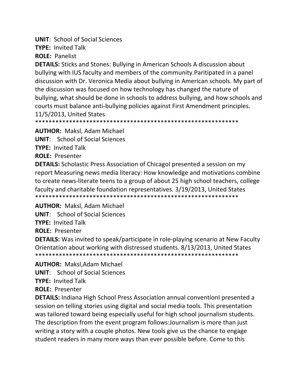**UNIT: School of Social Sciences** 

**TYPE: Invited Talk** 

**ROLE: Panelist** 

**DETAILS:** Sticks and Stones: Bullying in American Schools A discussion about bullying with IUS faculty and members of the community. Paritipated in a panel discussion with Dr. Veronica Media about bullying in American schools. My part of the discussion was focused on how technology has changed the nature of bullying, what should be done in schools to address bullying, and how schools and courts must balance anti-bullying policies against First Amendment principles. 11/5/2013, United States

**AUTHOR: Maksl, Adam Michael** 

**UNIT:** School of Social Sciences

**TYPE: Invited Talk** 

**ROLE: Presenter** 

**DETAILS:** Scholastic Press Association of Chicagol presented a session on my report Measuring news media literacy: How knowledge and motivations combine to create news-literate teens to a group of about 25 high school teachers, college faculty and charitable foundation representatives. 3/19/2013, United States 

**AUTHOR: Maksl, Adam Michael** 

**UNIT:** School of Social Sciences

**TYPE: Invited Talk** 

**ROLE: Presenter** 

**DETAILS:** Was invited to speak/participate in role-playing scenario at New Faculty Orientation about working with distressed students. 8/13/2013, United States 

**AUTHOR: Maksl.Adam Michael** 

**UNIT:** School of Social Sciences

**TYPE: Invited Talk** 

**ROLE: Presenter** 

**DETAILS:** Indiana High School Press Association annual conventionl presented a session on telling stories using digital and social media tools. This presentation was tailored toward being especially useful for high school journalism students. The description from the event program follows: Journalism is more than just writing a story with a couple photos. New tools give us the chance to engage student readers in many more ways than ever possible before. Come to this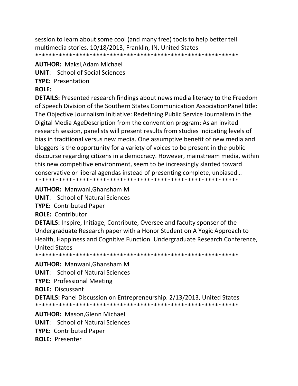session to learn about some cool (and many free) tools to help better tell multimedia stories. 10/18/2013, Franklin, IN, United States 

## **AUTHOR: Maksl, Adam Michael UNIT:** School of Social Sciences **TYPE: Presentation ROLE:**

**DETAILS:** Presented research findings about news media literacy to the Freedom of Speech Division of the Southern States Communication Association Panel title: The Objective Journalism Initiative: Redefining Public Service Journalism in the Digital Media AgeDescription from the convention program: As an invited research session, panelists will present results from studies indicating levels of bias in traditional versus new media. One assumptive benefit of new media and bloggers is the opportunity for a variety of voices to be present in the public discourse regarding citizens in a democracy. However, mainstream media, within this new competitive environment, seem to be increasingly slanted toward conservative or liberal agendas instead of presenting complete, unbiased... 

**AUTHOR: Manwani, Ghansham M** 

**UNIT:** School of Natural Sciences

**TYPE: Contributed Paper** 

**ROLE: Contributor** 

**DETAILS:** Inspire, Initiage, Contribute, Oversee and faculty sponser of the Undergraduate Research paper with a Honor Student on A Yogic Approach to Health, Happiness and Cognitive Function. Undergraduate Research Conference, **United States** 

**AUTHOR:** Manwani.Ghansham M

**UNIT:** School of Natural Sciences

**TYPE: Professional Meeting** 

**ROLE: Discussant** 

**DETAILS:** Panel Discussion on Entrepreneurship. 2/13/2013, United States 

**AUTHOR: Mason, Glenn Michael UNIT:** School of Natural Sciences **TYPE: Contributed Paper ROLE: Presenter**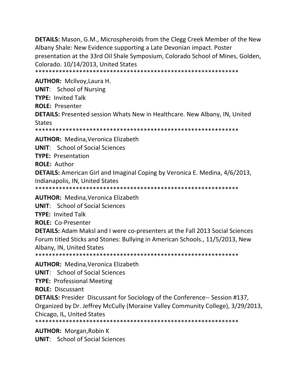**DETAILS:** Mason, G.M., Microspheroids from the Clegg Creek Member of the New Albany Shale: New Evidence supporting a Late Devonian impact. Poster presentation at the 33rd Oil Shale Symposium, Colorado School of Mines, Golden, Colorado. 10/14/2013, United States \*\*\*\*\*\*\*\*\*\*\*\*\*\*\*\*\*\*\*\*\*\*\*\*\*\*\*\*\*\*\*\*\*\*\*\*\*\*\*\*\*\*\*\*\*\*\*\*\*\*\*\*\*\*\*\*\*\*\*\*

**AUTHOR:** McIlvoy,Laura H. **UNIT**: School of Nursing **TYPE:** Invited Talk **ROLE:** Presenter **DETAILS:** Presented session Whats New in Healthcare. New Albany, IN, United States \*\*\*\*\*\*\*\*\*\*\*\*\*\*\*\*\*\*\*\*\*\*\*\*\*\*\*\*\*\*\*\*\*\*\*\*\*\*\*\*\*\*\*\*\*\*\*\*\*\*\*\*\*\*\*\*\*\*\*\* **AUTHOR:** Medina,Veronica Elizabeth

**UNIT**: School of Social Sciences **TYPE:** Presentation **ROLE:** Author **DETAILS:** American Girl and Imaginal Coping by Veronica E. Medina, 4/6/2013, Indianapolis, IN, United States \*\*\*\*\*\*\*\*\*\*\*\*\*\*\*\*\*\*\*\*\*\*\*\*\*\*\*\*\*\*\*\*\*\*\*\*\*\*\*\*\*\*\*\*\*\*\*\*\*\*\*\*\*\*\*\*\*\*\*\*

**AUTHOR:** Medina,Veronica Elizabeth **UNIT**: School of Social Sciences

**TYPE:** Invited Talk

**ROLE:** Co‐Presenter

**DETAILS:** Adam Maksl and I were co‐presenters at the Fall 2013 Social Sciences Forum titled Sticks and Stones: Bullying in American Schools., 11/5/2013, New Albany, IN, United States

\*\*\*\*\*\*\*\*\*\*\*\*\*\*\*\*\*\*\*\*\*\*\*\*\*\*\*\*\*\*\*\*\*\*\*\*\*\*\*\*\*\*\*\*\*\*\*\*\*\*\*\*\*\*\*\*\*\*\*\*

**AUTHOR:** Medina,Veronica Elizabeth

**UNIT**: School of Social Sciences

**TYPE:** Professional Meeting

**ROLE:** Discussant

**DETAILS:** Presider Discussant for Sociology of the Conference-- Session #137, Organized by Dr. Jeffrey McCully (Moraine Valley Community College), 3/29/2013, Chicago, IL, United States

\*\*\*\*\*\*\*\*\*\*\*\*\*\*\*\*\*\*\*\*\*\*\*\*\*\*\*\*\*\*\*\*\*\*\*\*\*\*\*\*\*\*\*\*\*\*\*\*\*\*\*\*\*\*\*\*\*\*\*\*

**AUTHOR:** Morgan,Robin K

**UNIT**: School of Social Sciences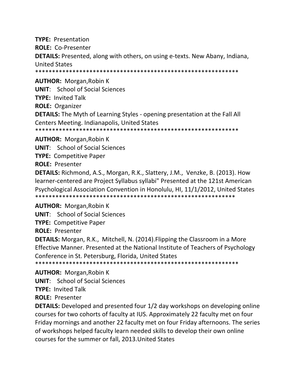**TYPE: Presentation ROLE: Co-Presenter DETAILS:** Presented, along with others, on using e-texts. New Abany, Indiana, **United States** 

**AUTHOR:** Morgan, Robin K

**UNIT:** School of Social Sciences

**TYPE: Invited Talk** 

**ROLE: Organizer** 

**DETAILS:** The Myth of Learning Styles - opening presentation at the Fall All Centers Meeting. Indianapolis, United States

**AUTHOR: Morgan, Robin K** 

**UNIT:** School of Social Sciences

**TYPE: Competitive Paper** 

**ROLE: Presenter** 

DETAILS: Richmond, A.S., Morgan, R.K., Slattery, J.M., Venzke, B. (2013). How learner-centered are Project Syllabus syllabi" Presented at the 121st American Psychological Association Convention in Honolulu, HI, 11/1/2012, United States 

**AUTHOR: Morgan, Robin K** 

**UNIT:** School of Social Sciences

**TYPE: Competitive Paper** 

**ROLE: Presenter** 

**DETAILS:** Morgan, R.K., Mitchell, N. (2014). Flipping the Classroom in a More Effective Manner. Presented at the National Institute of Teachers of Psychology Conference in St. Petersburg, Florida, United States

**AUTHOR:** Morgan, Robin K

**UNIT:** School of Social Sciences

**TYPE: Invited Talk** 

**ROLE: Presenter** 

**DETAILS:** Developed and presented four 1/2 day workshops on developing online courses for two cohorts of faculty at IUS. Approximately 22 faculty met on four Friday mornings and another 22 faculty met on four Friday afternoons. The series of workshops helped faculty learn needed skills to develop their own online courses for the summer or fall, 2013. United States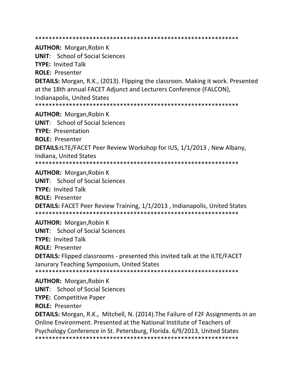\*\*\*\*\*\*\*\*\*\*\*\*\*\*\*\*\*\*\*\*\*\*\*\*\*\*\*\*\*\*\*\*\*\*\*\*\*\*\*\*\*\*\*\*\*\*\*\*\*\*\*\*\*\*\*\*\*\*\*\* **AUTHOR:** Morgan,Robin K **UNIT**: School of Social Sciences **TYPE:** Invited Talk **ROLE:** Presenter **DETAILS:** Morgan, R.K., (2013). Flipping the classroon. Making it work. Presented at the 18th annual FACET Adjunct and Lecturers Conference (FALCON), Indianapolis, United States \*\*\*\*\*\*\*\*\*\*\*\*\*\*\*\*\*\*\*\*\*\*\*\*\*\*\*\*\*\*\*\*\*\*\*\*\*\*\*\*\*\*\*\*\*\*\*\*\*\*\*\*\*\*\*\*\*\*\*\* **AUTHOR:** Morgan,Robin K **UNIT**: School of Social Sciences **TYPE:** Presentation **ROLE:** Presenter **DETAILS:**ILTE/FACET Peer Review Workshop for IUS, 1/1/2013 , New Albany, Indiana, United States \*\*\*\*\*\*\*\*\*\*\*\*\*\*\*\*\*\*\*\*\*\*\*\*\*\*\*\*\*\*\*\*\*\*\*\*\*\*\*\*\*\*\*\*\*\*\*\*\*\*\*\*\*\*\*\*\*\*\*\* **AUTHOR:** Morgan,Robin K **UNIT**: School of Social Sciences **TYPE:** Invited Talk **ROLE:** Presenter **DETAILS:** FACET Peer Review Training, 1/1/2013 , Indianapolis, United States \*\*\*\*\*\*\*\*\*\*\*\*\*\*\*\*\*\*\*\*\*\*\*\*\*\*\*\*\*\*\*\*\*\*\*\*\*\*\*\*\*\*\*\*\*\*\*\*\*\*\*\*\*\*\*\*\*\*\*\* **AUTHOR:** Morgan,Robin K **UNIT**: School of Social Sciences **TYPE:** Invited Talk **ROLE:** Presenter **DETAILS:** Flipped classrooms ‐ presented this invited talk at the ILTE/FACET Janurary Teaching Symposium, United States \*\*\*\*\*\*\*\*\*\*\*\*\*\*\*\*\*\*\*\*\*\*\*\*\*\*\*\*\*\*\*\*\*\*\*\*\*\*\*\*\*\*\*\*\*\*\*\*\*\*\*\*\*\*\*\*\*\*\*\* **AUTHOR:** Morgan,Robin K **UNIT**: School of Social Sciences **TYPE:** Competitive Paper **ROLE:** Presenter **DETAILS:** Morgan, R.K., Mitchell, N. (2014).The Failure of F2F Assignments in an Online Environment. Presented at the National Institute of Teachers of Psychology Conference in St. Petersburg, Florida. 6/9/2013, United States

\*\*\*\*\*\*\*\*\*\*\*\*\*\*\*\*\*\*\*\*\*\*\*\*\*\*\*\*\*\*\*\*\*\*\*\*\*\*\*\*\*\*\*\*\*\*\*\*\*\*\*\*\*\*\*\*\*\*\*\*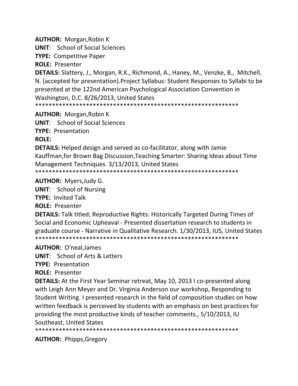**AUTHOR:** Morgan,Robin K

**UNIT**: School of Social Sciences

**TYPE:** Competitive Paper

**ROLE:** Presenter

**DETAILS:** Slattery, J., Morgan, R.K., Richmond, A., Haney, M., Venzke, B., Mitchell, N. (accepted for presentation).Project Syllabus: Student Responses to Syllabi to be presented at the 122nd American Psychological Association Convention in Washington, D.C. 8/26/2013, United States

\*\*\*\*\*\*\*\*\*\*\*\*\*\*\*\*\*\*\*\*\*\*\*\*\*\*\*\*\*\*\*\*\*\*\*\*\*\*\*\*\*\*\*\*\*\*\*\*\*\*\*\*\*\*\*\*\*\*\*\*

**AUTHOR:** Morgan,Robin K

**UNIT**: School of Social Sciences **TYPE:** Presentation

**ROLE:**

**DETAILS:** Helped design and served as co‐facilitator, along with Jamie Kauffman,for Brown Bag Discussion,Teaching Smarter: Sharing Ideas about Time Management Techniques. 3/13/2013, United States \*\*\*\*\*\*\*\*\*\*\*\*\*\*\*\*\*\*\*\*\*\*\*\*\*\*\*\*\*\*\*\*\*\*\*\*\*\*\*\*\*\*\*\*\*\*\*\*\*\*\*\*\*\*\*\*\*\*\*\*

**AUTHOR:** Myers,Judy G.

**UNIT**: School of Nursing

**TYPE:** Invited Talk

**ROLE:** Presenter

**DETAILS:** Talk titled; Reproductive Rights: Historically Targeted During Times of Social and Economic Upheaval ‐ Presented dissertation research to students in graduate course ‐ Narrative in Qualitative Research. 1/30/2013, IUS, United States \*\*\*\*\*\*\*\*\*\*\*\*\*\*\*\*\*\*\*\*\*\*\*\*\*\*\*\*\*\*\*\*\*\*\*\*\*\*\*\*\*\*\*\*\*\*\*\*\*\*\*\*\*\*\*\*\*\*\*\*

**AUTHOR:** O'neal,James

**UNIT**: School of Arts & Letters

**TYPE:** Presentation

**ROLE:** Presenter

**DETAILS:** At the First Year Seminar retreat, May 10, 2013 I co-presented along with Leigh Ann Meyer and Dr. Virginia Anderson our workshop, Responding to Student Writing. I presented research in the field of composition studies on how written feedback is perceived by students with an emphasis on best practices for providing the most productive kinds of teacher comments., 5/10/2013, IU Southeast, United States

\*\*\*\*\*\*\*\*\*\*\*\*\*\*\*\*\*\*\*\*\*\*\*\*\*\*\*\*\*\*\*\*\*\*\*\*\*\*\*\*\*\*\*\*\*\*\*\*\*\*\*\*\*\*\*\*\*\*\*\*

**AUTHOR:** Phipps,Gregory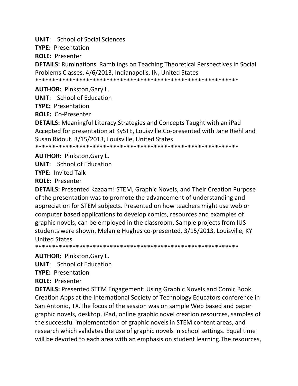**UNIT:** School of Social Sciences

**TYPE: Presentation** 

**ROLE: Presenter** 

**DETAILS:** Ruminations Ramblings on Teaching Theoretical Perspectives in Social Problems Classes. 4/6/2013, Indianapolis, IN, United States

**AUTHOR: Pinkston, Gary L.** 

**UNIT:** School of Education

**TYPE: Presentation** 

**ROLE: Co-Presenter** 

**DETAILS:** Meaningful Literacy Strategies and Concepts Taught with an iPad Accepted for presentation at KySTE, Louisville.Co-presented with Jane Riehl and Susan Ridout. 3/15/2013, Louisville, United States

**AUTHOR: Pinkston, Gary L.** 

**UNIT:** School of Education

**TYPE: Invited Talk** 

**ROLE: Presenter** 

**DETAILS:** Presented Kazaam! STEM, Graphic Novels, and Their Creation Purpose of the presentation was to promote the advancement of understanding and appreciation for STEM subjects. Presented on how teachers might use web or computer based applications to develop comics, resources and examples of graphic novels, can be employed in the classroom. Sample projects from IUS students were shown. Melanie Hughes co-presented. 3/15/2013, Louisville, KY **United States** 

**AUTHOR: Pinkston, Gary L.** 

**UNIT:** School of Education

**TYPE: Presentation** 

**ROLE: Presenter** 

**DETAILS:** Presented STEM Engagement: Using Graphic Novels and Comic Book Creation Apps at the International Society of Technology Educators conference in San Antonio, TX. The focus of the session was on sample Web based and paper graphic novels, desktop, iPad, online graphic novel creation resources, samples of the successful implementation of graphic novels in STEM content areas, and research which validates the use of graphic novels in school settings. Equal time will be devoted to each area with an emphasis on student learning. The resources,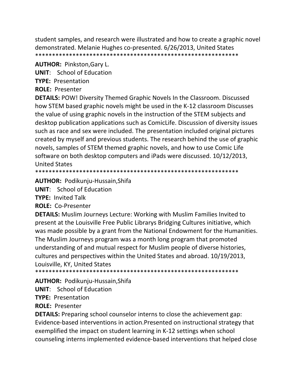student samples, and research were illustrated and how to create a graphic novel demonstrated. Melanie Hughes co-presented. 6/26/2013, United States 

**AUTHOR: Pinkston, Gary L.** 

**UNIT:** School of Education

**TYPE: Presentation** 

**ROLE: Presenter** 

**DETAILS: POW! Diversity Themed Graphic Novels In the Classroom. Discussed** how STEM based graphic novels might be used in the K-12 classroom Discusses the value of using graphic novels in the instruction of the STEM subjects and desktop publication applications such as ComicLife. Discussion of diversity issues such as race and sex were included. The presentation included original pictures created by myself and previous students. The research behind the use of graphic novels, samples of STEM themed graphic novels, and how to use Comic Life software on both desktop computers and iPads were discussed. 10/12/2013, **United States** 

**AUTHOR: Podikunju-Hussain, Shifa** 

**UNIT:** School of Education

**TYPE: Invited Talk** 

ROLE: Co-Presenter

**DETAILS:** Muslim Journeys Lecture: Working with Muslim Families Invited to present at the Louisville Free Public Librarys Bridging Cultures initiative, which was made possible by a grant from the National Endowment for the Humanities. The Muslim Journeys program was a month long program that promoted understanding of and mutual respect for Muslim people of diverse histories, cultures and perspectives within the United States and abroad. 10/19/2013, Louisville, KY, United States

\*\*\*\*\*\*\*\*\*\*\*\*\*\*\*\*\*\*\*\* 

AUTHOR: Podikunju-Hussain, Shifa

**UNIT:** School of Education

**TYPE: Presentation** 

**ROLE: Presenter** 

**DETAILS:** Preparing school counselor interns to close the achievement gap: Evidence-based interventions in action. Presented on instructional strategy that exemplified the impact on student learning in K-12 settings when school counseling interns implemented evidence-based interventions that helped close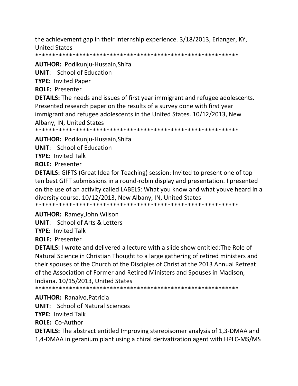the achievement gap in their internship experience. 3/18/2013, Erlanger, KY, **United States** 

**AUTHOR: Podikunju-Hussain, Shifa** 

**UNIT:** School of Education

**TYPE: Invited Paper** 

**ROLE: Presenter** 

**DETAILS:** The needs and issues of first year immigrant and refugee adolescents. Presented research paper on the results of a survey done with first year immigrant and refugee adolescents in the United States. 10/12/2013, New Albany, IN, United States

**AUTHOR: Podikunju-Hussain, Shifa** 

**UNIT:** School of Education

**TYPE: Invited Talk** 

**ROLE: Presenter** 

**DETAILS:** GIFTS (Great Idea for Teaching) session: Invited to present one of top ten best GIFT submissions in a round-robin display and presentation. I presented on the use of an activity called LABELS: What you know and what youve heard in a diversity course. 10/12/2013, New Albany, IN, United States 

**AUTHOR: Ramey, John Wilson** 

**UNIT:** School of Arts & Letters

**TYPE: Invited Talk** 

**ROLE: Presenter** 

**DETAILS:** I wrote and delivered a lecture with a slide show entitled: The Role of Natural Science in Christian Thought to a large gathering of retired ministers and their spouses of the Church of the Disciples of Christ at the 2013 Annual Retreat of the Association of Former and Retired Ministers and Spouses in Madison, Indiana. 10/15/2013, United States

**AUTHOR: Ranaivo, Patricia** 

**UNIT:** School of Natural Sciences

**TYPE: Invited Talk** 

**ROLE: Co-Author** 

**DETAILS:** The abstract entitled Improving stereoisomer analysis of 1,3-DMAA and 1,4-DMAA in geranium plant using a chiral derivatization agent with HPLC-MS/MS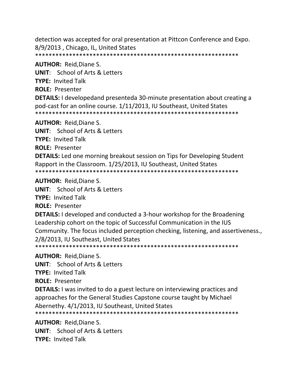detection was accepted for oral presentation at Pittcon Conference and Expo. 8/9/2013, Chicago, IL, United States 

**AUTHOR: Reid, Diane S. UNIT:** School of Arts & Letters **TYPE: Invited Talk ROLE: Presenter DETAILS:** I developedand presenteda 30-minute presentation about creating a pod-cast for an online course. 1/11/2013, IU Southeast, United States 

**AUTHOR: Reid, Diane S. UNIT:** School of Arts & Letters

**TYPE: Invited Talk** 

**ROLE: Presenter** 

**DETAILS:** Led one morning breakout session on Tips for Developing Student Rapport in the Classroom. 1/25/2013, IU Southeast, United States 

**AUTHOR: Reid, Diane S.** 

**UNIT:** School of Arts & Letters

**TYPE: Invited Talk** 

**ROLE: Presenter** 

**DETAILS:** I developed and conducted a 3-hour workshop for the Broadening Leadership cohort on the topic of Successful Communication in the IUS Community. The focus included perception checking, listening, and assertiveness., 2/8/2013, IU Southeast, United States

**AUTHOR: Reid, Diane S.** 

**UNIT:** School of Arts & Letters

**TYPE: Invited Talk** 

**ROLE: Presenter** 

**DETAILS:** I was invited to do a guest lecture on interviewing practices and approaches for the General Studies Capstone course taught by Michael Abernethy. 4/1/2013, IU Southeast, United States

**AUTHOR: Reid.Diane S. UNIT:** School of Arts & Letters **TYPE: Invited Talk**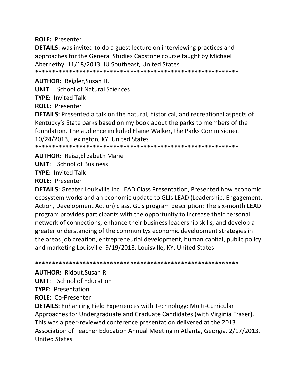**ROLE: Presenter** 

**DETAILS:** was invited to do a guest lecture on interviewing practices and approaches for the General Studies Capstone course taught by Michael Abernethy. 11/18/2013, IU Southeast, United States 

**AUTHOR: Reigler, Susan H.** 

**UNIT:** School of Natural Sciences

**TYPE: Invited Talk** 

**ROLE: Presenter** 

**DETAILS:** Presented a talk on the natural, historical, and recreational aspects of Kentucky's State parks based on my book about the parks to members of the foundation. The audience included Elaine Walker, the Parks Commisioner. 10/24/2013, Lexington, KY, United States 

**AUTHOR: Reisz, Elizabeth Marie** 

**UNIT:** School of Business

**TYPE: Invited Talk** 

**ROLE: Presenter** 

**DETAILS:** Greater Louisville Inc LEAD Class Presentation, Presented how economic ecosystem works and an economic update to GLIs LEAD (Leadership, Engagement, Action, Development Action) class. GLIs program description: The six-month LEAD program provides participants with the opportunity to increase their personal network of connections, enhance their business leadership skills, and develop a greater understanding of the communitys economic development strategies in the areas job creation, entrepreneurial development, human capital, public policy and marketing Louisville. 9/19/2013, Louisville, KY, United States

**AUTHOR: Ridout, Susan R.** 

**UNIT:** School of Education

**TYPE: Presentation** 

**ROLE: Co-Presenter** 

**DETAILS:** Enhancing Field Experiences with Technology: Multi-Curricular Approaches for Undergraduate and Graduate Candidates (with Virginia Fraser). This was a peer-reviewed conference presentation delivered at the 2013 Association of Teacher Education Annual Meeting in Atlanta, Georgia. 2/17/2013, **United States**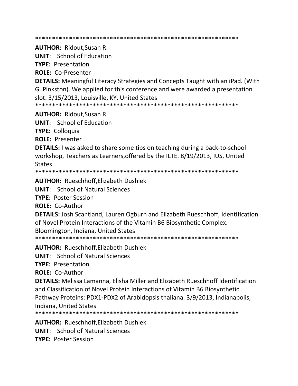**AUTHOR: Ridout, Susan R.** 

**UNIT:** School of Education

**TYPE: Presentation** 

**ROLE: Co-Presenter** 

**DETAILS:** Meaningful Literacy Strategies and Concepts Taught with an iPad. (With G. Pinkston). We applied for this conference and were awarded a presentation slot. 3/15/2013, Louisville, KY, United States

**AUTHOR: Ridout, Susan R.** 

**UNIT:** School of Education

**TYPE: Colloguia** 

**ROLE: Presenter** 

**DETAILS:** I was asked to share some tips on teaching during a back-to-school workshop, Teachers as Learners, offered by the ILTE. 8/19/2013, IUS, United **States** 

**AUTHOR: Rueschhoff, Elizabeth Dushlek** 

**UNIT:** School of Natural Sciences

**TYPE: Poster Session** 

ROLE: Co-Author

**DETAILS:** Josh Scantland, Lauren Ogburn and Elizabeth Rueschhoff, Identification of Novel Protein Interactions of the Vitamin B6 Biosynthetic Complex. Bloomington, Indiana, United States

**AUTHOR: Rueschhoff, Elizabeth Dushlek** 

**UNIT:** School of Natural Sciences

**TYPE: Presentation** 

**ROLE: Co-Author** 

**DETAILS:** Melissa Lamanna, Elisha Miller and Elizabeth Rueschhoff Identification and Classification of Novel Protein Interactions of Vitamin B6 Biosynthetic Pathway Proteins: PDX1-PDX2 of Arabidopsis thaliana. 3/9/2013, Indianapolis, Indiana. United States

**AUTHOR: Rueschhoff.Elizabeth Dushlek** 

**UNIT:** School of Natural Sciences

**TYPE: Poster Session**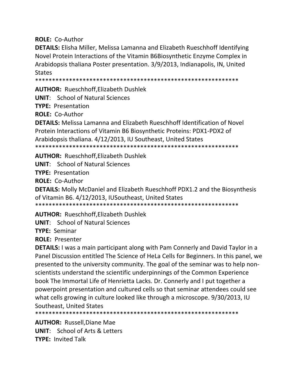**ROLE:** Co‐Author

**DETAILS:** Elisha Miller, Melissa Lamanna and Elizabeth Rueschhoff Identifying Novel Protein Interactions of the Vitamin B6Biosynthetic Enzyme Complex in Arabidopsis thaliana Poster presentation. 3/9/2013, Indianapolis, IN, United **States** 

\*\*\*\*\*\*\*\*\*\*\*\*\*\*\*\*\*\*\*\*\*\*\*\*\*\*\*\*\*\*\*\*\*\*\*\*\*\*\*\*\*\*\*\*\*\*\*\*\*\*\*\*\*\*\*\*\*\*\*\*

**AUTHOR:** Rueschhoff,Elizabeth Dushlek

**UNIT**: School of Natural Sciences

**TYPE:** Presentation

**ROLE:** Co‐Author

**DETAILS:** Melissa Lamanna and Elizabeth Rueschhoff Identification of Novel Protein Interactions of Vitamin B6 Biosynthetic Proteins: PDX1‐PDX2 of Arabidopsis thaliana. 4/12/2013, IU Southeast, United States \*\*\*\*\*\*\*\*\*\*\*\*\*\*\*\*\*\*\*\*\*\*\*\*\*\*\*\*\*\*\*\*\*\*\*\*\*\*\*\*\*\*\*\*\*\*\*\*\*\*\*\*\*\*\*\*\*\*\*\*

**AUTHOR:** Rueschhoff,Elizabeth Dushlek

**UNIT**: School of Natural Sciences

**TYPE:** Presentation

**ROLE:** Co‐Author

**DETAILS:** Molly McDaniel and Elizabeth Rueschhoff PDX1.2 and the Biosynthesis of Vitamin B6. 4/12/2013, IUSoutheast, United States \*\*\*\*\*\*\*\*\*\*\*\*\*\*\*\*\*\*\*\*\*\*\*\*\*\*\*\*\*\*\*\*\*\*\*\*\*\*\*\*\*\*\*\*\*\*\*\*\*\*\*\*\*\*\*\*\*\*\*\*

**AUTHOR:** Rueschhoff,Elizabeth Dushlek

**UNIT**: School of Natural Sciences

**TYPE:** Seminar

**ROLE:** Presenter

**DETAILS:** I was a main participant along with Pam Connerly and David Taylor in a Panel Discussion entitled The Science of HeLa Cells for Beginners. In this panel, we presented to the university community. The goal of the seminar was to help non‐ scientists understand the scientific underpinnings of the Common Experience book The Immortal Life of Henrietta Lacks. Dr. Connerly and I put together a powerpoint presentation and cultured cells so that seminar attendees could see what cells growing in culture looked like through a microscope. 9/30/2013, IU Southeast, United States

\*\*\*\*\*\*\*\*\*\*\*\*\*\*\*\*\*\*\*\*\*\*\*\*\*\*\*\*\*\*\*\*\*\*\*\*\*\*\*\*\*\*\*\*\*\*\*\*\*\*\*\*\*\*\*\*\*\*\*\*

**AUTHOR:** Russell,Diane Mae **UNIT**: School of Arts & Letters **TYPE:** Invited Talk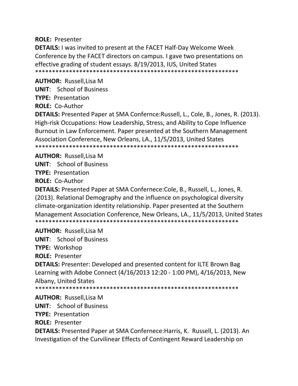**ROLE:** Presenter

**DETAILS:** I was invited to present at the FACET Half‐Day Welcome Week Conference by the FACET directors on campus. I gave two presentations on effective grading of student essays. 8/19/2013, IUS, United States \*\*\*\*\*\*\*\*\*\*\*\*\*\*\*\*\*\*\*\*\*\*\*\*\*\*\*\*\*\*\*\*\*\*\*\*\*\*\*\*\*\*\*\*\*\*\*\*\*\*\*\*\*\*\*\*\*\*\*\*

**AUTHOR:** Russell,Lisa M

**UNIT**: School of Business

**TYPE:** Presentation

**ROLE:** Co‐Author

**DETAILS:** Presented Paper at SMA Confernce:Russell, L., Cole, B., Jones, R. (2013). High-risk Occupations: How Leadership, Stress, and Ability to Cope Influence Burnout in Law Enforcement. Paper presented at the Southern Management Association Conference, New Orleans, LA., 11/5/2013, United States \*\*\*\*\*\*\*\*\*\*\*\*\*\*\*\*\*\*\*\*\*\*\*\*\*\*\*\*\*\*\*\*\*\*\*\*\*\*\*\*\*\*\*\*\*\*\*\*\*\*\*\*\*\*\*\*\*\*\*\*

**AUTHOR:** Russell,Lisa M **UNIT**: School of Business **TYPE:** Presentation

**ROLE:** Co‐Author

**DETAILS:** Presented Paper at SMA Confernece:Cole, B., Russell, L., Jones, R. (2013). Relational Demography and the influence on psychological diversity climate‐organization identity relationship. Paper presented at the Southern Management Association Conference, New Orleans, LA., 11/5/2013, United States \*\*\*\*\*\*\*\*\*\*\*\*\*\*\*\*\*\*\*\*\*\*\*\*\*\*\*\*\*\*\*\*\*\*\*\*\*\*\*\*\*\*\*\*\*\*\*\*\*\*\*\*\*\*\*\*\*\*\*\*

**AUTHOR:** Russell,Lisa M

**UNIT**: School of Business

**TYPE:** Workshop

**ROLE:** Presenter

**DETAILS:** Presenter: Developed and presented content for ILTE Brown Bag Learning with Adobe Connect (4/16/2013 12:20 ‐ 1:00 PM), 4/16/2013, New Albany, United States

\*\*\*\*\*\*\*\*\*\*\*\*\*\*\*\*\*\*\*\*\*\*\*\*\*\*\*\*\*\*\*\*\*\*\*\*\*\*\*\*\*\*\*\*\*\*\*\*\*\*\*\*\*\*\*\*\*\*\*\*

**AUTHOR:** Russell,Lisa M

**UNIT**: School of Business

**TYPE:** Presentation

**ROLE:** Presenter

**DETAILS:** Presented Paper at SMA Confernece:Harris, K. Russell, L. (2013). An Investigation of the Curvilinear Effects of Contingent Reward Leadership on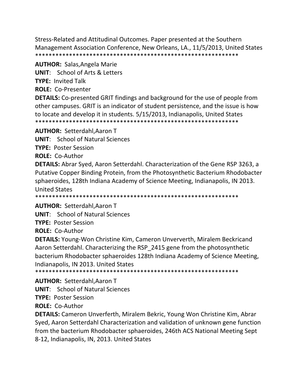Stress‐Related and Attitudinal Outcomes. Paper presented at the Southern Management Association Conference, New Orleans, LA., 11/5/2013, United States \*\*\*\*\*\*\*\*\*\*\*\*\*\*\*\*\*\*\*\*\*\*\*\*\*\*\*\*\*\*\*\*\*\*\*\*\*\*\*\*\*\*\*\*\*\*\*\*\*\*\*\*\*\*\*\*\*\*\*\*

**AUTHOR:** Salas,Angela Marie

**UNIT**: School of Arts & Letters

**TYPE:** Invited Talk

**ROLE:** Co‐Presenter

**DETAILS:** Co-presented GRIT findings and background for the use of people from other campuses. GRIT is an indicator of student persistence, and the issue is how to locate and develop it in students. 5/15/2013, Indianapolis, United States \*\*\*\*\*\*\*\*\*\*\*\*\*\*\*\*\*\*\*\*\*\*\*\*\*\*\*\*\*\*\*\*\*\*\*\*\*\*\*\*\*\*\*\*\*\*\*\*\*\*\*\*\*\*\*\*\*\*\*\*

**AUTHOR:** Setterdahl,Aaron T

**UNIT**: School of Natural Sciences

**TYPE:** Poster Session

**ROLE:** Co‐Author

**DETAILS:** Abrar Syed, Aaron Setterdahl. Characterization of the Gene RSP 3263, a Putative Copper Binding Protein, from the Photosynthetic Bacterium Rhodobacter sphaeroides, 128th Indiana Academy of Science Meeting, Indianapolis, IN 2013. United States

\*\*\*\*\*\*\*\*\*\*\*\*\*\*\*\*\*\*\*\*\*\*\*\*\*\*\*\*\*\*\*\*\*\*\*\*\*\*\*\*\*\*\*\*\*\*\*\*\*\*\*\*\*\*\*\*\*\*\*\*

**AUTHOR:** Setterdahl,Aaron T

**UNIT**: School of Natural Sciences

**TYPE:** Poster Session

**ROLE:** Co‐Author

**DETAILS:** Young‐Won Christine Kim, Cameron Unververth, Miralem Beckricand Aaron Setterdahl. Characterizing the RSP\_2415 gene from the photosynthetic bacterium Rhodobacter sphaeroides 128th Indiana Academy of Science Meeting, Indianapolis, IN 2013. United States

\*\*\*\*\*\*\*\*\*\*\*\*\*\*\*\*\*\*\*\*\*\*\*\*\*\*\*\*\*\*\*\*\*\*\*\*\*\*\*\*\*\*\*\*\*\*\*\*\*\*\*\*\*\*\*\*\*\*\*\*

**AUTHOR:** Setterdahl,Aaron T

**UNIT**: School of Natural Sciences

**TYPE:** Poster Session

**ROLE:** Co‐Author

**DETAILS:** Cameron Unverferth, Miralem Bekric, Young Won Christine Kim, Abrar Syed, Aaron Setterdahl Characterization and validation of unknown gene function from the bacterium Rhodobacter sphaeroides, 246th ACS National Meeting Sept 8‐12, Indianapolis, IN, 2013. United States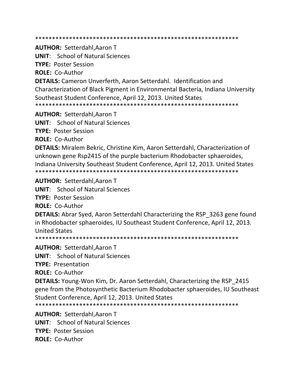\*\*\*\*\*\*\*\*\*\*\*\*\*\*\*\*\*\*\*\*\*\*\*\*\*\*\*\*\*\*\*\*\*\*\*\*\*\*\*\*\*\*\*\*\*\*\*\*\*\*\*\*\*\*\*\*\*\*\*\*

**AUTHOR:** Setterdahl,Aaron T

**UNIT**: School of Natural Sciences

**TYPE:** Poster Session

**ROLE:** Co‐Author

**DETAILS:** Cameron Unverferth, Aaron Setterdahl. Identification and Characterization of Black Pigment in Environmental Bacteria, Indiana University Southeast Student Conference, April 12, 2013. United States \*\*\*\*\*\*\*\*\*\*\*\*\*\*\*\*\*\*\*\*\*\*\*\*\*\*\*\*\*\*\*\*\*\*\*\*\*\*\*\*\*\*\*\*\*\*\*\*\*\*\*\*\*\*\*\*\*\*\*\*

**AUTHOR:** Setterdahl,Aaron T

**UNIT**: School of Natural Sciences

**TYPE:** Poster Session

**ROLE:** Co‐Author

**DETAILS:** Miralem Bekric, Christine Kim, Aaron Setterdahl, Characterization of unknown gene Rsp2415 of the purple bacterium Rhodobacter sphaeroides, Indiana University Southeast Student Conference, April 12, 2013. United States \*\*\*\*\*\*\*\*\*\*\*\*\*\*\*\*\*\*\*\*\*\*\*\*\*\*\*\*\*\*\*\*\*\*\*\*\*\*\*\*\*\*\*\*\*\*\*\*\*\*\*\*\*\*\*\*\*\*\*\*

**AUTHOR:** Setterdahl,Aaron T

**UNIT**: School of Natural Sciences

**TYPE:** Poster Session

**ROLE:** Co‐Author

**DETAILS:** Abrar Syed, Aaron Setterdahl Characterizing the RSP\_3263 gene found in Rhodobacter sphaeroides, IU Southeast Student Conference, April 12, 2013. United States

\*\*\*\*\*\*\*\*\*\*\*\*\*\*\*\*\*\*\*\*\*\*\*\*\*\*\*\*\*\*\*\*\*\*\*\*\*\*\*\*\*\*\*\*\*\*\*\*\*\*\*\*\*\*\*\*\*\*\*\*

**AUTHOR:** Setterdahl,Aaron T

**UNIT**: School of Natural Sciences

**TYPE:** Presentation

**ROLE:** Co‐Author

**DETAILS:** Young-Won Kim, Dr. Aaron Setterdahl, Characterizing the RSP 2415 gene from the Photosynthetic Bacterium Rhodobacter sphaeroides, IU Southeast Student Conference, April 12, 2013. United States

\*\*\*\*\*\*\*\*\*\*\*\*\*\*\*\*\*\*\*\*\*\*\*\*\*\*\*\*\*\*\*\*\*\*\*\*\*\*\*\*\*\*\*\*\*\*\*\*\*\*\*\*\*\*\*\*\*\*\*\*

**AUTHOR:** Setterdahl,Aaron T **UNIT**: School of Natural Sciences **TYPE:** Poster Session **ROLE:** Co‐Author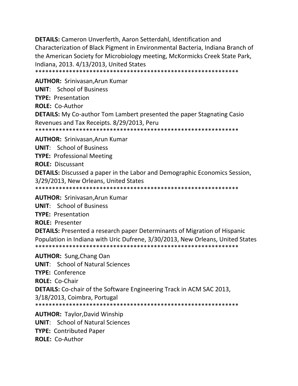**DETAILS:** Cameron Unverferth, Aaron Setterdahl, Identification and Characterization of Black Pigment in Environmental Bacteria, Indiana Branch of the American Society for Microbiology meeting, McKormicks Creek State Park, Indiana, 2013. 4/13/2013, United States

**AUTHOR: Srinivasan, Arun Kumar UNIT:** School of Business **TYPE: Presentation ROLE: Co-Author DETAILS:** My Co-author Tom Lambert presented the paper Stagnating Casio Revenues and Tax Receipts. 8/29/2013, Peru **AUTHOR: Srinivasan, Arun Kumar UNIT:** School of Business **TYPE: Professional Meeting ROLE: Discussant DETAILS:** Discussed a paper in the Labor and Demographic Economics Session, 3/29/2013, New Orleans, United States 

**AUTHOR: Srinivasan, Arun Kumar UNIT:** School of Business **TYPE: Presentation ROLE: Presenter DETAILS:** Presented a research paper Determinants of Migration of Hispanic Population in Indiana with Uric Dufrene, 3/30/2013, New Orleans, United States **AUTHOR: Sung, Chang Oan UNIT:** School of Natural Sciences **TYPE: Conference** ROLE: Co-Chair **DETAILS:** Co-chair of the Software Engineering Track in ACM SAC 2013, 3/18/2013, Coimbra, Portugal **AUTHOR: Taylor, David Winship UNIT:** School of Natural Sciences

**TYPE: Contributed Paper** 

**ROLE: Co-Author**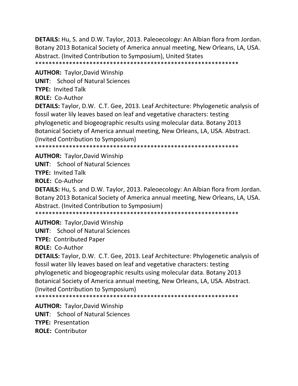**DETAILS:** Hu, S. and D.W. Taylor, 2013. Paleoecology: An Albian flora from Jordan. Botany 2013 Botanical Society of America annual meeting, New Orleans, LA, USA. Abstract. (Invited Contribution to Symposium), United States \*\*\*\*\*\*\*\*\*\*\*\*\*\*\*\*\*\*\*\*\*\*\*\*\*\*\*\*\*\*\*\*\*\*\*\*\*\*\*\*\*\*\*\*\*\*\*\*\*\*\*\*\*\*\*\*\*\*\*\*

**AUTHOR:** Taylor,David Winship **UNIT**: School of Natural Sciences **TYPE:** Invited Talk

**ROLE:** Co‐Author

**DETAILS:** Taylor, D.W. C.T. Gee, 2013. Leaf Architecture: Phylogenetic analysis of fossil water lily leaves based on leaf and vegetative characters: testing phylogenetic and biogeographic results using molecular data. Botany 2013 Botanical Society of America annual meeting, New Orleans, LA, USA. Abstract. (Invited Contribution to Symposium)

\*\*\*\*\*\*\*\*\*\*\*\*\*\*\*\*\*\*\*\*\*\*\*\*\*\*\*\*\*\*\*\*\*\*\*\*\*\*\*\*\*\*\*\*\*\*\*\*\*\*\*\*\*\*\*\*\*\*\*\*

**AUTHOR:** Taylor,David Winship

**UNIT**: School of Natural Sciences

**TYPE:** Invited Talk

**ROLE:** Co‐Author

**DETAILS:** Hu, S. and D.W. Taylor, 2013. Paleoecology: An Albian flora from Jordan. Botany 2013 Botanical Society of America annual meeting, New Orleans, LA, USA. Abstract. (Invited Contribution to Symposium)

\*\*\*\*\*\*\*\*\*\*\*\*\*\*\*\*\*\*\*\*\*\*\*\*\*\*\*\*\*\*\*\*\*\*\*\*\*\*\*\*\*\*\*\*\*\*\*\*\*\*\*\*\*\*\*\*\*\*\*\*

**AUTHOR:** Taylor,David Winship

**UNIT**: School of Natural Sciences

**TYPE:** Contributed Paper

**ROLE:** Co‐Author

**DETAILS:** Taylor, D.W. C.T. Gee, 2013. Leaf Architecture: Phylogenetic analysis of fossil water lily leaves based on leaf and vegetative characters: testing phylogenetic and biogeographic results using molecular data. Botany 2013 Botanical Society of America annual meeting, New Orleans, LA, USA. Abstract. (Invited Contribution to Symposium)

\*\*\*\*\*\*\*\*\*\*\*\*\*\*\*\*\*\*\*\*\*\*\*\*\*\*\*\*\*\*\*\*\*\*\*\*\*\*\*\*\*\*\*\*\*\*\*\*\*\*\*\*\*\*\*\*\*\*\*\*

**AUTHOR:** Taylor,David Winship **UNIT**: School of Natural Sciences **TYPE:** Presentation **ROLE:** Contributor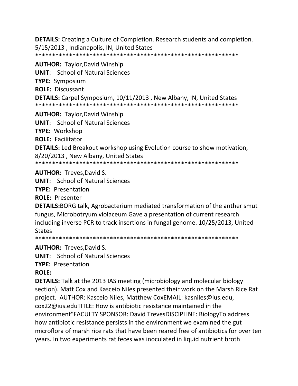**DETAILS:** Creating a Culture of Completion. Research students and completion. 5/15/2013, Indianapolis, IN, United States 

**AUTHOR: Taylor, David Winship UNIT:** School of Natural Sciences **TYPE: Symposium ROLE: Discussant DETAILS:** Carpel Symposium, 10/11/2013, New Albany, IN, United States **AUTHOR:** Taylor, David Winship

**UNIT:** School of Natural Sciences

**TYPE: Workshop** 

**ROLE: Facilitator** 

**DETAILS:** Led Breakout workshop using Evolution course to show motivation, 8/20/2013, New Albany, United States

## **AUTHOR: Treves, David S.**

**UNIT:** School of Natural Sciences

**TYPE: Presentation** 

**ROLE: Presenter** 

**DETAILS:**BORG talk, Agrobacterium mediated transformation of the anther smut fungus, Microbotryum violaceum Gave a presentation of current research including inverse PCR to track insertions in fungal genome. 10/25/2013, United **States** 

**AUTHOR: Treves, David S.** 

**UNIT:** School of Natural Sciences

**TYPE: Presentation** 

## **ROLE:**

**DETAILS:** Talk at the 2013 IAS meeting (microbiology and molecular biology section). Matt Cox and Kasceio Niles presented their work on the Marsh Rice Rat project. AUTHOR: Kasceio Niles, Matthew CoxEMAIL: kasniles@ius.edu, cox22@ius.eduTITLE: How is antibiotic resistance maintained in the environment"FACULTY SPONSOR: David TrevesDISCIPLINE: BiologyTo address how antibiotic resistance persists in the environment we examined the gut microflora of marsh rice rats that have been reared free of antibiotics for over ten years. In two experiments rat feces was inoculated in liquid nutrient broth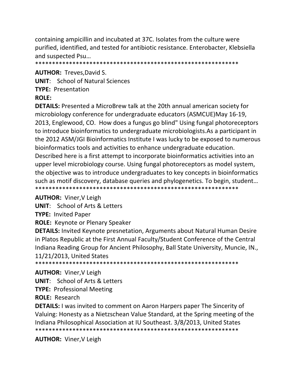containing ampicillin and incubated at 37C. Isolates from the culture were purified, identified, and tested for antibiotic resistance. Enterobacter, Klebsiella and suspected Psu...

**AUTHOR: Treves, David S.** 

**UNIT:** School of Natural Sciences **TYPE: Presentation ROLF:** 

**DETAILS:** Presented a MicroBrew talk at the 20th annual american society for microbiology conference for undergraduate educators (ASMCUE) May 16-19, 2013, Englewood, CO. How does a fungus go blind" Using fungal photoreceptors to introduce bioinformatics to undergraduate microbiologists. As a participant in the 2012 ASM/JGI Bioinformatics Institute I was lucky to be exposed to numerous bioinformatics tools and activities to enhance undergraduate education. Described here is a first attempt to incorporate bioinformatics activities into an upper level microbiology course. Using fungal photoreceptors as model system, the objective was to introduce undergraduates to key concepts in bioinformatics such as motif discovery, database queries and phylogenetics. To begin, student... 

**AUTHOR:** Viner, V Leigh

**UNIT:** School of Arts & Letters

**TYPE: Invited Paper** 

**ROLE:** Keynote or Plenary Speaker

**DETAILS:** Invited Keynote presnetation, Arguments about Natural Human Desire in Platos Republic at the First Annual Faculty/Student Conference of the Central Indiana Reading Group for Ancient Philosophy, Ball State University, Muncie, IN., 11/21/2013. United States

**AUTHOR:** Viner, V Leigh

**UNIT:** School of Arts & Letters

**TYPE: Professional Meeting** 

**ROLE: Research** 

**DETAILS:** I was invited to comment on Aaron Harpers paper The Sincerity of Valuing: Honesty as a Nietzschean Value Standard, at the Spring meeting of the Indiana Philosophical Association at IU Southeast. 3/8/2013, United States 

**AUTHOR: Viner, V Leigh**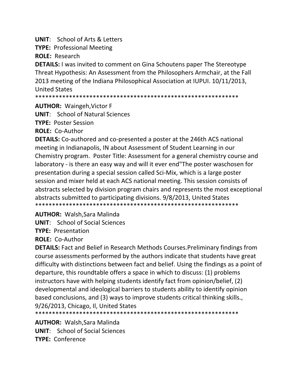**UNIT:** School of Arts & Letters

**TYPE: Professional Meeting** 

**ROLE: Research** 

**DETAILS:** I was invited to comment on Gina Schoutens paper The Stereotype Threat Hypothesis: An Assessment from the Philosophers Armchair, at the Fall 2013 meeting of the Indiana Philosophical Association at IUPUI. 10/11/2013, **United States** 

\*\*\*\*\*\*\*\*\*\*\*\*\*\*\* 

**AUTHOR: Waingeh, Victor F** 

**UNIT:** School of Natural Sciences

**TYPE: Poster Session** 

**ROLE: Co-Author** 

**DETAILS:** Co-authored and co-presented a poster at the 246th ACS national meeting in Indianapolis, IN about Assessment of Student Learning in our Chemistry program. Poster Title: Assessment for a general chemistry course and laboratory - is there an easy way and will it ever end"The poster waschosen for presentation during a special session called Sci-Mix, which is a large poster session and mixer held at each ACS national meeting. This session consists of abstracts selected by division program chairs and represents the most exceptional abstracts submitted to participating divisions. 9/8/2013, United States 

**AUTHOR: Walsh, Sara Malinda** 

**UNIT:** School of Social Sciences

**TYPE: Presentation** 

**ROLE: Co-Author** 

**DETAILS:** Fact and Belief in Research Methods Courses. Preliminary findings from course assessments performed by the authors indicate that students have great difficulty with distinctions between fact and belief. Using the findings as a point of departure, this roundtable offers a space in which to discuss: (1) problems instructors have with helping students identify fact from opinion/belief, (2) developmental and ideological barriers to students ability to identify opinion based conclusions, and (3) ways to improve students critical thinking skills. 9/26/2013, Chicago, Il, United States

**AUTHOR: Walsh, Sara Malinda UNIT:** School of Social Sciences **TYPE: Conference**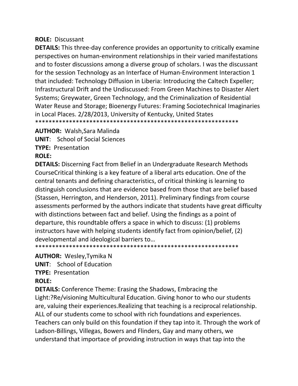## **ROLE: Discussant**

**DETAILS:** This three-day conference provides an opportunity to critically examine perspectives on human-environment relationships in their varied manifestations and to foster discussions among a diverse group of scholars. I was the discussant for the session Technology as an Interface of Human-Environment Interaction 1 that included: Technology Diffusion in Liberia: Introducing the Caltech Expeller; Infrastructural Drift and the Undiscussed: From Green Machines to Disaster Alert Systems; Greywater, Green Technology, and the Criminalization of Residential Water Reuse and Storage; Bioenergy Futures: Framing Sociotechnical Imaginaries in Local Places. 2/28/2013, University of Kentucky, United States 

**AUTHOR: Walsh, Sara Malinda** 

**UNIT:** School of Social Sciences **TYPE: Presentation** 

## **ROLE:**

**DETAILS:** Discerning Fact from Belief in an Undergraduate Research Methods Course Critical thinking is a key feature of a liberal arts education. One of the central tenants and defining characteristics, of critical thinking is learning to distinguish conclusions that are evidence based from those that are belief based (Stassen, Herrington, and Henderson, 2011). Preliminary findings from course assessments performed by the authors indicate that students have great difficulty with distinctions between fact and belief. Using the findings as a point of departure, this roundtable offers a space in which to discuss: (1) problems instructors have with helping students identify fact from opinion/belief, (2) developmental and ideological barriers to...

## **AUTHOR: Wesley, Tymika N**

**UNIT:** School of Education

**TYPE: Presentation** 

## **ROLE:**

**DETAILS:** Conference Theme: Erasing the Shadows, Embracing the Light:?Re/visioning Multicultural Education. Giving honor to who our students are, valuing their experiences. Realizing that teaching is a reciprocal relationship. ALL of our students come to school with rich foundations and experiences. Teachers can only build on this foundation if they tap into it. Through the work of Ladson-Billings, Villegas, Bowers and Flinders, Gay and many others, we understand that importace of providing instruction in ways that tap into the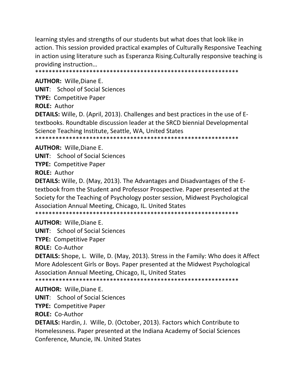learning styles and strengths of our students but what does that look like in action. This session provided practical examples of Culturally Responsive Teaching in action using literature such as Esperanza Rising. Culturally responsive teaching is providing instruction...

**AUTHOR:** Wille, Diane E.

**UNIT:** School of Social Sciences

**TYPE:** Competitive Paper

**ROLE: Author** 

**DETAILS:** Wille, D. (April, 2013). Challenges and best practices in the use of Etextbooks. Roundtable discussion leader at the SRCD biennial Developmental Science Teaching Institute, Seattle, WA, United States \*\*\*\*\*\*\*\*\*\*\*\*\*\*\*\*\*\*\*\*\*\*\*\*\*\*\*\*\*\*\*\*\*\*\*\* \*\*\*\*\*\*\*\*\*\*\*\*\*\*\*\*\*\*

**AUTHOR: Wille.Diane E.** 

**UNIT:** School of Social Sciences **TYPE: Competitive Paper** 

**ROLE: Author** 

**DETAILS:** Wille, D. (May, 2013). The Advantages and Disadvantages of the Etextbook from the Student and Professor Prospective. Paper presented at the Society for the Teaching of Psychology poster session, Midwest Psychological Association Annual Meeting, Chicago, IL. United States 

**AUTHOR: Wille, Diane E.** 

**UNIT:** School of Social Sciences

**TYPE: Competitive Paper** 

ROLE: Co-Author

**DETAILS:** Shope, L. Wille, D. (May, 2013). Stress in the Family: Who does it Affect More Adolescent Girls or Boys. Paper presented at the Midwest Psychological Association Annual Meeting, Chicago, IL, United States

\*\*\*\*\*\*\*\*\*\*\*\*\*\*\*\*\*\*\*\*\*\* \*\*\*\*\*\*\*\*\*\*\*\*\*\*\*\*\*

**AUTHOR: Wille, Diane E.** 

**UNIT:** School of Social Sciences

**TYPE: Competitive Paper** 

**ROLE: Co-Author** 

**DETAILS:** Hardin, J. Wille, D. (October, 2013). Factors which Contribute to Homelessness. Paper presented at the Indiana Academy of Social Sciences Conference, Muncie, IN. United States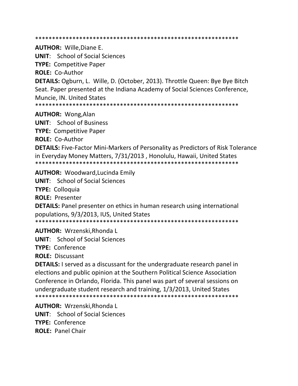\*\*\*\*\*\*\*\*\*\*\*\*\*\*\*\*\*\*\*\*\*\*\*\*\*\*\*\*\*\*\*\*\*\*\*\*\*\*\*\*\*\*\*\*\*\*\*\*\*\*\*\*\*\*\*\*\*\*\*\*

**AUTHOR:** Wille,Diane E.

**UNIT**: School of Social Sciences

**TYPE:** Competitive Paper

**ROLE:** Co‐Author

**DETAILS:** Ogburn, L. Wille, D. (October, 2013). Throttle Queen: Bye Bye Bitch Seat. Paper presented at the Indiana Academy of Social Sciences Conference, Muncie, IN. United States

\*\*\*\*\*\*\*\*\*\*\*\*\*\*\*\*\*\*\*\*\*\*\*\*\*\*\*\*\*\*\*\*\*\*\*\*\*\*\*\*\*\*\*\*\*\*\*\*\*\*\*\*\*\*\*\*\*\*\*\*

**AUTHOR:** Wong,Alan

**UNIT**: School of Business

**TYPE:** Competitive Paper

**ROLE:** Co‐Author

**DETAILS:** Five‐Factor Mini‐Markers of Personality as Predictors of Risk Tolerance in Everyday Money Matters, 7/31/2013 , Honolulu, Hawaii, United States \*\*\*\*\*\*\*\*\*\*\*\*\*\*\*\*\*\*\*\*\*\*\*\*\*\*\*\*\*\*\*\*\*\*\*\*\*\*\*\*\*\*\*\*\*\*\*\*\*\*\*\*\*\*\*\*\*\*\*\*

**AUTHOR:** Woodward,Lucinda Emily

**UNIT**: School of Social Sciences

**TYPE:** Colloquia

**ROLE:** Presenter

**DETAILS:** Panel presenter on ethics in human research using international populations, 9/3/2013, IUS, United States

\*\*\*\*\*\*\*\*\*\*\*\*\*\*\*\*\*\*\*\*\*\*\*\*\*\*\*\*\*\*\*\*\*\*\*\*\*\*\*\*\*\*\*\*\*\*\*\*\*\*\*\*\*\*\*\*\*\*\*\*

**AUTHOR:** Wrzenski,Rhonda L

**UNIT**: School of Social Sciences

**TYPE:** Conference

**ROLE:** Discussant

**DETAILS:** I served as a discussant for the undergraduate research panel in elections and public opinion at the Southern Political Science Association Conference in Orlando, Florida. This panel was part of several sessions on undergraduate student research and training, 1/3/2013, United States \*\*\*\*\*\*\*\*\*\*\*\*\*\*\*\*\*\*\*\*\*\*\*\*\*\*\*\*\*\*\*\*\*\*\*\*\*\*\*\*\*\*\*\*\*\*\*\*\*\*\*\*\*\*\*\*\*\*\*\*

**AUTHOR:** Wrzenski,Rhonda L **UNIT**: School of Social Sciences **TYPE:** Conference **ROLE:** Panel Chair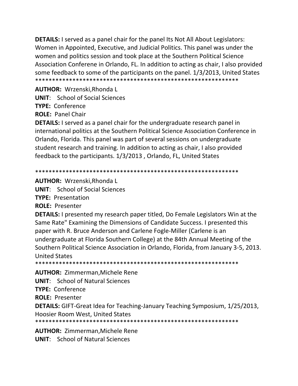**DETAILS:** I served as a panel chair for the panel Its Not All About Legislators: Women in Appointed, Executive, and Judicial Politics. This panel was under the women and politics session and took place at the Southern Political Science Association Conferene in Orlando, FL. In addition to acting as chair, I also provided some feedback to some of the participants on the panel. 1/3/2013, United States 

AUTHOR: Wrzenski, Rhonda L

**UNIT:** School of Social Sciences

TYPF: Conference

**ROLE: Panel Chair** 

**DETAILS:** I served as a panel chair for the undergraduate research panel in international politics at the Southern Political Science Association Conference in Orlando, Florida. This panel was part of several sessions on undergraduate student research and training. In addition to acting as chair, I also provided feedback to the participants. 1/3/2013, Orlando, FL, United States

**AUTHOR: Wrzenski, Rhonda L** 

**UNIT:** School of Social Sciences

**TYPE: Presentation** 

**ROLE: Presenter** 

**DETAILS:** I presented my research paper titled, Do Female Legislators Win at the Same Rate" Examining the Dimensions of Candidate Success. I presented this paper with R. Bruce Anderson and Carlene Fogle-Miller (Carlene is an undergraduate at Florida Southern College) at the 84th Annual Meeting of the Southern Political Science Association in Orlando, Florida, from January 3-5, 2013. **United States** 

**AUTHOR:** Zimmerman, Michele Rene

**UNIT:** School of Natural Sciences

TYPE: Conference

**ROLE: Presenter** 

**DETAILS:** GIFT-Great Idea for Teaching-January Teaching Symposium, 1/25/2013, Hoosier Room West, United States

**AUTHOR: Zimmerman, Michele Rene UNIT:** School of Natural Sciences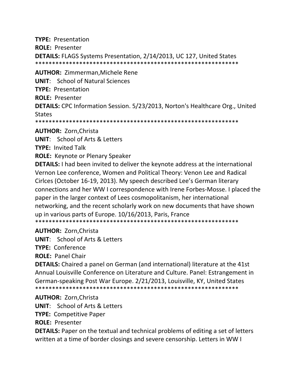**TYPE: Presentation ROLE: Presenter DETAILS: FLAGS Systems Presentation, 2/14/2013, UC 127, United States AUTHOR: Zimmerman, Michele Rene UNIT:** School of Natural Sciences **TYPE: Presentation ROLE: Presenter DETAILS:** CPC Information Session. 5/23/2013, Norton's Healthcare Org., United **States** 

**AUTHOR: Zorn, Christa** 

**UNIT:** School of Arts & Letters

**TYPE: Invited Talk** 

**ROLE:** Keynote or Plenary Speaker

**DETAILS:** I had been invited to deliver the keynote address at the international Vernon Lee conference, Women and Political Theory: Venon Lee and Radical Cirlces (October 16-19, 2013). My speech described Lee's German literary connections and her WWI correspondence with Irene Forbes-Mosse. I placed the paper in the larger context of Lees cosmopolitanism, her international networking, and the recent scholarly work on new documents that have shown up in various parts of Europe. 10/16/2013, Paris, France 

**AUTHOR: Zorn.Christa** 

**UNIT:** School of Arts & Letters

TYPE: Conference

**ROLE: Panel Chair** 

**DETAILS:** Chaired a panel on German (and international) literature at the 41st Annual Louisville Conference on Literature and Culture. Panel: Estrangement in German-speaking Post War Europe. 2/21/2013, Louisville, KY, United States 

**AUTHOR: Zorn, Christa** 

**UNIT:** School of Arts & Letters

**TYPE: Competitive Paper** 

**ROLE: Presenter** 

**DETAILS:** Paper on the textual and technical problems of editing a set of letters written at a time of border closings and severe censorship. Letters in WW I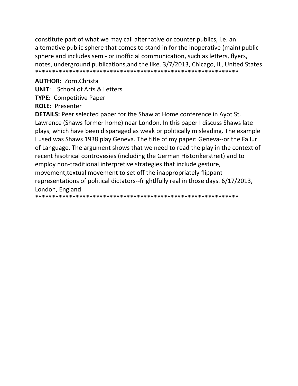constitute part of what we may call alternative or counter publics, i.e. an alternative public sphere that comes to stand in for the inoperative (main) public sphere and includes semi- or inofficial communication, such as letters, flyers, notes, underground publications, and the like. 3/7/2013, Chicago, IL, United States 

**AUTHOR: Zorn, Christa** 

**UNIT:** School of Arts & Letters

**TYPE: Competitive Paper** 

**ROLE: Presenter** 

**DETAILS:** Peer selected paper for the Shaw at Home conference in Ayot St. Lawrence (Shaws former home) near London. In this paper I discuss Shaws late plays, which have been disparaged as weak or politically misleading. The example I used was Shaws 1938 play Geneva. The title of my paper: Geneva--or the Failur of Language. The argument shows that we need to read the play in the context of recent hisotrical controvesies (including the German Historikerstreit) and to employ non-traditional interpretive strategies that include gesture, movement, textual movement to set off the inappropriately flippant representations of political dictators--frightlfully real in those days. 6/17/2013, London, England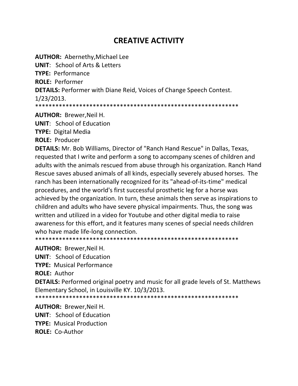# **CREATIVE ACTIVITY**

**AUTHOR: Abernethy, Michael Lee UNIT:** School of Arts & Letters TYPF: Performance **ROLE: Performer DETAILS: Performer with Diane Reid, Voices of Change Speech Contest.**  $1/23/2013.$ 

**AUTHOR: Brewer, Neil H.** 

**UNIT:** School of Education **TYPE:** Digital Media

**ROLE: Producer** 

DETAILS: Mr. Bob Williams, Director of "Ranch Hand Rescue" in Dallas, Texas, requested that I write and perform a song to accompany scenes of children and adults with the animals rescued from abuse through his organization. Ranch Hand Rescue saves abused animals of all kinds, especially severely abused horses. The ranch has been internationally recognized for its "ahead-of-its-time" medical procedures, and the world's first successful prosthetic leg for a horse was achieved by the organization. In turn, these animals then serve as inspirations to children and adults who have severe physical impairments. Thus, the song was written and utilized in a video for Youtube and other digital media to raise awareness for this effort, and it features many scenes of special needs children who have made life-long connection.

**AUTHOR: Brewer, Neil H.** 

**UNIT:** School of Education

**TYPE:** Musical Performance

**ROLE: Author** 

**DETAILS:** Performed original poetry and music for all grade levels of St. Matthews Elementary School, in Louisville KY. 10/3/2013.

**AUTHOR: Brewer, Neil H. UNIT:** School of Education **TYPE: Musical Production** ROLE: Co-Author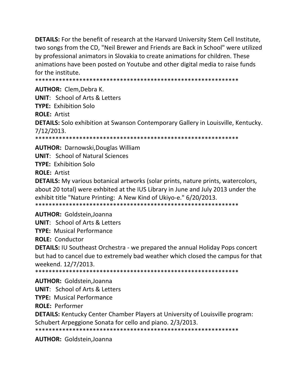**DETAILS:** For the benefit of research at the Harvard University Stem Cell Institute, two songs from the CD, "Neil Brewer and Friends are Back in School" were utilized by professional animators in Slovakia to create animations for children. These animations have been posted on Youtube and other digital media to raise funds for the institute.

**AUTHOR: Clem.Debra K. UNIT: School of Arts & Letters TYPE: Exhibition Solo ROLE: Artist DETAILS:** Solo exhibition at Swanson Contemporary Gallery in Louisville, Kentucky. 7/12/2013. \*\*\*\*\*\*\*\*\*\* \*\*\*\*\*\*\*\*\*\*\*\*\*\*\*\*\*\*\*\*\*\*\*\*\*\*\*\*\*\*\*\*\*\*\*\*\*

**AUTHOR: Darnowski, Douglas William UNIT: School of Natural Sciences TYPE: Exhibition Solo ROLE: Artist** 

**DETAILS:** My various botanical artworks (solar prints, nature prints, watercolors, about 20 total) were exhbited at the IUS Library in June and July 2013 under the exhibit title "Nature Printing: A New Kind of Ukiyo-e." 6/20/2013. 

**AUTHOR: Goldstein, Joanna** 

**UNIT: School of Arts & Letters** 

**TYPE: Musical Performance** 

**ROLE: Conductor** 

**DETAILS: IU Southeast Orchestra - we prepared the annual Holiday Pops concert** but had to cancel due to extremely bad weather which closed the campus for that weekend. 12/7/2013.

**AUTHOR: Goldstein, Joanna** 

**UNIT:** School of Arts & Letters

**TYPE:** Musical Performance

**ROLE: Performer** 

**DETAILS:** Kentucky Center Chamber Players at University of Louisville program: Schubert Arpeggione Sonata for cello and piano. 2/3/2013.

**AUTHOR: Goldstein, Joanna**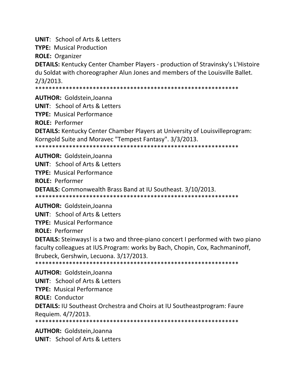**UNIT**: School of Arts & Letters

**TYPE:** Musical Production

**ROLE:** Organizer

**DETAILS:** Kentucky Center Chamber Players ‐ production of Stravinsky's L'Histoire du Soldat with choreographer Alun Jones and members of the Louisville Ballet. 2/3/2013.

\*\*\*\*\*\*\*\*\*\*\*\*\*\*\*\*\*\*\*\*\*\*\*\*\*\*\*\*\*\*\*\*\*\*\*\*\*\*\*\*\*\*\*\*\*\*\*\*\*\*\*\*\*\*\*\*\*\*\*\*

**AUTHOR:** Goldstein,Joanna **UNIT**: School of Arts & Letters **TYPE:** Musical Performance **ROLE:** Performer **DETAILS:** Kentucky Center Chamber Players at University of Louisvilleprogram: Korngold Suite and Moravec "Tempest Fantasy". 3/3/2013. \*\*\*\*\*\*\*\*\*\*\*\*\*\*\*\*\*\*\*\*\*\*\*\*\*\*\*\*\*\*\*\*\*\*\*\*\*\*\*\*\*\*\*\*\*\*\*\*\*\*\*\*\*\*\*\*\*\*\*\*

**AUTHOR:** Goldstein,Joanna **UNIT**: School of Arts & Letters **TYPE:** Musical Performance **ROLE:** Performer **DETAILS:** Commonwealth Brass Band at IU Southeast. 3/10/2013. \*\*\*\*\*\*\*\*\*\*\*\*\*\*\*\*\*\*\*\*\*\*\*\*\*\*\*\*\*\*\*\*\*\*\*\*\*\*\*\*\*\*\*\*\*\*\*\*\*\*\*\*\*\*\*\*\*\*\*\*

**AUTHOR:** Goldstein,Joanna **UNIT**: School of Arts & Letters **TYPE:** Musical Performance **ROLE:** Performer **DETAILS:** Steinways! is a two and three-piano concert I performed with two piano faculty colleagues at IUS.Program: works by Bach, Chopin, Cox, Rachmaninoff, Brubeck, Gershwin, Lecuona. 3/17/2013. \*\*\*\*\*\*\*\*\*\*\*\*\*\*\*\*\*\*\*\*\*\*\*\*\*\*\*\*\*\*\*\*\*\*\*\*\*\*\*\*\*\*\*\*\*\*\*\*\*\*\*\*\*\*\*\*\*\*\*\*

**AUTHOR:** Goldstein,Joanna **UNIT**: School of Arts & Letters **TYPE:** Musical Performance **ROLE:** Conductor **DETAILS:** IU Southeast Orchestra and Choirs at IU Southeastprogram: Faure Requiem. 4/7/2013. \*\*\*\*\*\*\*\*\*\*\*\*\*\*\*\*\*\*\*\*\*\*\*\*\*\*\*\*\*\*\*\*\*\*\*\*\*\*\*\*\*\*\*\*\*\*\*\*\*\*\*\*\*\*\*\*\*\*\*\*

**AUTHOR:** Goldstein,Joanna **UNIT**: School of Arts & Letters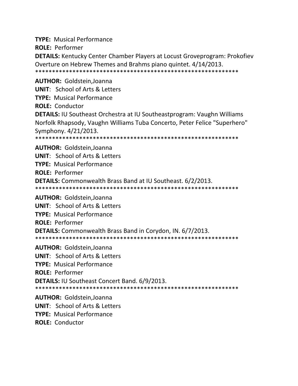**TYPE:** Musical Performance **ROLE:** Performer **DETAILS:** Kentucky Center Chamber Players at Locust Groveprogram: Prokofiev Overture on Hebrew Themes and Brahms piano quintet. 4/14/2013. \*\*\*\*\*\*\*\*\*\*\*\*\*\*\*\*\*\*\*\*\*\*\*\*\*\*\*\*\*\*\*\*\*\*\*\*\*\*\*\*\*\*\*\*\*\*\*\*\*\*\*\*\*\*\*\*\*\*\*\* **AUTHOR:** Goldstein,Joanna **UNIT**: School of Arts & Letters **TYPE:** Musical Performance

**ROLE:** Conductor

**DETAILS:** IU Southeast Orchestra at IU Southeastprogram: Vaughn Williams Norfolk Rhapsody, Vaughn Williams Tuba Concerto, Peter Felice "Superhero" Symphony. 4/21/2013.

\*\*\*\*\*\*\*\*\*\*\*\*\*\*\*\*\*\*\*\*\*\*\*\*\*\*\*\*\*\*\*\*\*\*\*\*\*\*\*\*\*\*\*\*\*\*\*\*\*\*\*\*\*\*\*\*\*\*\*\*

**AUTHOR:** Goldstein,Joanna **UNIT**: School of Arts & Letters **TYPE:** Musical Performance **ROLE:** Performer **DETAILS:** Commonwealth Brass Band at IU Southeast. 6/2/2013. \*\*\*\*\*\*\*\*\*\*\*\*\*\*\*\*\*\*\*\*\*\*\*\*\*\*\*\*\*\*\*\*\*\*\*\*\*\*\*\*\*\*\*\*\*\*\*\*\*\*\*\*\*\*\*\*\*\*\*\*

**AUTHOR:** Goldstein,Joanna **UNIT**: School of Arts & Letters **TYPE:** Musical Performance **ROLE:** Performer **DETAILS:** Commonwealth Brass Band in Corydon, IN. 6/7/2013. \*\*\*\*\*\*\*\*\*\*\*\*\*\*\*\*\*\*\*\*\*\*\*\*\*\*\*\*\*\*\*\*\*\*\*\*\*\*\*\*\*\*\*\*\*\*\*\*\*\*\*\*\*\*\*\*\*\*\*\*

**AUTHOR:** Goldstein,Joanna **UNIT**: School of Arts & Letters **TYPE:** Musical Performance **ROLE:** Performer **DETAILS:** IU Southeast Concert Band. 6/9/2013. \*\*\*\*\*\*\*\*\*\*\*\*\*\*\*\*\*\*\*\*\*\*\*\*\*\*\*\*\*\*\*\*\*\*\*\*\*\*\*\*\*\*\*\*\*\*\*\*\*\*\*\*\*\*\*\*\*\*\*\*

**AUTHOR:** Goldstein,Joanna **UNIT**: School of Arts & Letters **TYPE:** Musical Performance **ROLE:** Conductor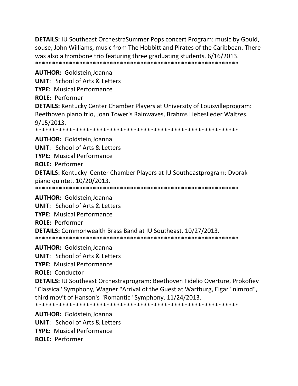**DETAILS:** IU Southeast OrchestraSummer Pops concert Program: music by Gould, souse, John Williams, music from The Hobbitt and Pirates of the Caribbean. There was also a trombone trio featuring three graduating students. 6/16/2013. \*\*\*\*\*\*\*\*\*\*\*\*\*\*\*\*\*\*\*\*\*\*\*\*\*\*\*\*\*\*\*\*\*\*\*\*\*\*\*\*\*\*\*\*\*\*\*\*\*\*\*\*\*\*\*\*\*\*\*\*

**AUTHOR:** Goldstein,Joanna **UNIT**: School of Arts & Letters **TYPE:** Musical Performance **ROLE:** Performer **DETAILS:** Kentucky Center Chamber Players at University of Louisvilleprogram: Beethoven piano trio, Joan Tower's Rainwaves, Brahms Liebeslieder Waltzes. 9/15/2013. \*\*\*\*\*\*\*\*\*\*\*\*\*\*\*\*\*\*\*\*\*\*\*\*\*\*\*\*\*\*\*\*\*\*\*\*\*\*\*\*\*\*\*\*\*\*\*\*\*\*\*\*\*\*\*\*\*\*\*\*

**AUTHOR:** Goldstein,Joanna **UNIT**: School of Arts & Letters **TYPE:** Musical Performance **ROLE:** Performer **DETAILS:** Kentucky Center Chamber Players at IU Southeastprogram: Dvorak piano quintet. 10/20/2013. \*\*\*\*\*\*\*\*\*\*\*\*\*\*\*\*\*\*\*\*\*\*\*\*\*\*\*\*\*\*\*\*\*\*\*\*\*\*\*\*\*\*\*\*\*\*\*\*\*\*\*\*\*\*\*\*\*\*\*\*

**AUTHOR:** Goldstein,Joanna **UNIT**: School of Arts & Letters **TYPE:** Musical Performance **ROLE:** Performer **DETAILS:** Commonwealth Brass Band at IU Southeast. 10/27/2013. \*\*\*\*\*\*\*\*\*\*\*\*\*\*\*\*\*\*\*\*\*\*\*\*\*\*\*\*\*\*\*\*\*\*\*\*\*\*\*\*\*\*\*\*\*\*\*\*\*\*\*\*\*\*\*\*\*\*\*\*

**AUTHOR:** Goldstein,Joanna

**UNIT**: School of Arts & Letters

**TYPE:** Musical Performance

**ROLE:** Conductor

**DETAILS:** IU Southeast Orchestraprogram: Beethoven Fidelio Overture, Prokofiev "Classical' Symphony, Wagner "Arrival of the Guest at Wartburg, Elgar "nimrod", third mov't of Hanson's "Romantic" Symphony. 11/24/2013. \*\*\*\*\*\*\*\*\*\*\*\*\*\*\*\*\*\*\*\*\*\*\*\*\*\*\*\*\*\*\*\*\*\*\*\*\*\*\*\*\*\*\*\*\*\*\*\*\*\*\*\*\*\*\*\*\*\*\*\*

**AUTHOR:** Goldstein,Joanna **UNIT**: School of Arts & Letters **TYPE:** Musical Performance **ROLE:** Performer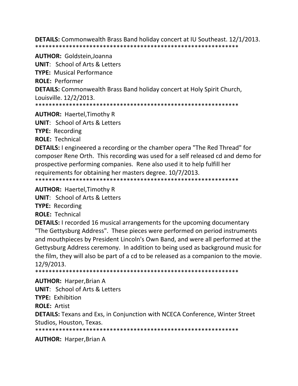**DETAILS:** Commonwealth Brass Band holiday concert at IU Southeast. 12/1/2013. 

**AUTHOR: Goldstein, Joanna UNIT:** School of Arts & Letters **TYPE: Musical Performance ROLE: Performer DETAILS:** Commonwealth Brass Band holiday concert at Holy Spirit Church, Louisville. 12/2/2013. 

**AUTHOR:** Haertel, Timothy R

**UNIT: School of Arts & Letters** 

**TYPE: Recording** 

**ROLE: Technical** 

**DETAILS:** I engineered a recording or the chamber opera "The Red Thread" for composer Rene Orth. This recording was used for a self released cd and demo for prospective performing companies. Rene also used it to help fulfill her requirements for obtaining her masters degree. 10/7/2013. 

**AUTHOR: Haertel, Timothy R** 

**UNIT: School of Arts & Letters** 

**TYPE:** Recording

**ROLE: Technical** 

**DETAILS:** I recorded 16 musical arrangements for the upcoming documentary "The Gettysburg Address". These pieces were performed on period instruments and mouthpieces by President Lincoln's Own Band, and were all performed at the Gettysburg Address ceremony. In addition to being used as background music for the film, they will also be part of a cd to be released as a companion to the movie. 12/9/2013.

\*\*\*\*\*\*\*\*\*\*\*\*\*\*\*\* 

**AUTHOR: Harper, Brian A** 

**UNIT: School of Arts & Letters** 

**TYPE: Exhibition** 

**ROLE: Artist** 

**DETAILS:** Texans and Exs, in Conjunction with NCECA Conference, Winter Street Studios, Houston, Texas.

**AUTHOR: Harper, Brian A**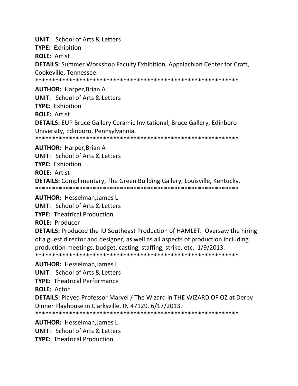**UNIT**: School of Arts & Letters **TYPE:** Exhibition **ROLE:** Artist **DETAILS:** Summer Workshop Faculty Exhibition, Appalachian Center for Craft, Cookeville, Tennessee. \*\*\*\*\*\*\*\*\*\*\*\*\*\*\*\*\*\*\*\*\*\*\*\*\*\*\*\*\*\*\*\*\*\*\*\*\*\*\*\*\*\*\*\*\*\*\*\*\*\*\*\*\*\*\*\*\*\*\*\* **AUTHOR:** Harper,Brian A **UNIT**: School of Arts & Letters

**TYPE:** Exhibition

**ROLE:** Artist

**DETAILS:** EUP Bruce Gallery Ceramic Invitational, Bruce Gallery, Edinboro University, Edinboro, Pennsylvannia.

\*\*\*\*\*\*\*\*\*\*\*\*\*\*\*\*\*\*\*\*\*\*\*\*\*\*\*\*\*\*\*\*\*\*\*\*\*\*\*\*\*\*\*\*\*\*\*\*\*\*\*\*\*\*\*\*\*\*\*\*

#### **AUTHOR:** Harper,Brian A

**UNIT**: School of Arts & Letters **TYPE:** Exhibition **ROLE:** Artist **DETAILS:** Complimentary, The Green Building Gallery, Louisville, Kentucky. \*\*\*\*\*\*\*\*\*\*\*\*\*\*\*\*\*\*\*\*\*\*\*\*\*\*\*\*\*\*\*\*\*\*\*\*\*\*\*\*\*\*\*\*\*\*\*\*\*\*\*\*\*\*\*\*\*\*\*\*

**AUTHOR:** Hesselman,James L

**UNIT**: School of Arts & Letters

**TYPE:** Theatrical Production

**ROLE:** Producer

**DETAILS:** Produced the IU Southeast Production of HAMLET. Oversaw the hiring of a guest director and designer, as well as all aspects of production including production meetings, budget, casting, staffing, strike, etc. 1/9/2013. \*\*\*\*\*\*\*\*\*\*\*\*\*\*\*\*\*\*\*\*\*\*\*\*\*\*\*\*\*\*\*\*\*\*\*\*\*\*\*\*\*\*\*\*\*\*\*\*\*\*\*\*\*\*\*\*\*\*\*\*

**AUTHOR:** Hesselman,James L **UNIT**: School of Arts & Letters **TYPE:** Theatrical Performance **ROLE:** Actor **DETAILS:** Played Professor Marvel / The Wizard in THE WIZARD OF OZ at Derby Dinner Playhouse in Clarksville, IN 47129. 6/17/2013. \*\*\*\*\*\*\*\*\*\*\*\*\*\*\*\*\*\*\*\*\*\*\*\*\*\*\*\*\*\*\*\*\*\*\*\*\*\*\*\*\*\*\*\*\*\*\*\*\*\*\*\*\*\*\*\*\*\*\*\*

**AUTHOR:** Hesselman,James L **UNIT**: School of Arts & Letters

**TYPE:** Theatrical Production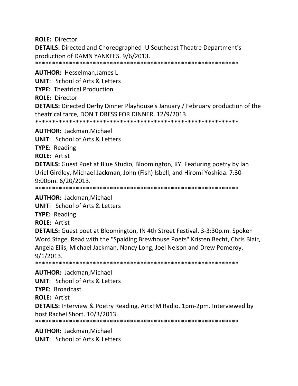**ROLE:** Director

**DETAILS:** Directed and Choreographed IU Southeast Theatre Department's production of DAMN YANKEES. 9/6/2013.

\*\*\*\*\*\*\*\*\*\*\*\*\*\*\*\*\*\*\*\*\*\*\*\*\*\*\*\*\*\*\*\*\*\*\*\*\*\*\*\*\*\*\*\*\*\*\*\*\*\*\*\*\*\*\*\*\*\*\*\*

**AUTHOR:** Hesselman,James L **UNIT**: School of Arts & Letters **TYPE:** Theatrical Production **ROLE:** Director **DETAILS:** Directed Derby Dinner Playhouse's January / February production of the theatrical farce, DON'T DRESS FOR DINNER. 12/9/2013. \*\*\*\*\*\*\*\*\*\*\*\*\*\*\*\*\*\*\*\*\*\*\*\*\*\*\*\*\*\*\*\*\*\*\*\*\*\*\*\*\*\*\*\*\*\*\*\*\*\*\*\*\*\*\*\*\*\*\*\*

**AUTHOR:** Jackman,Michael

**UNIT**: School of Arts & Letters

**TYPE:** Reading

**ROLE:** Artist

**DETAILS:** Guest Poet at Blue Studio, Bloomington, KY. Featuring poetry by Ian Uriel Girdley, Michael Jackman, John (Fish) Isbell, and Hiromi Yoshida. 7:30‐ 9:00pm. 6/20/2013.

\*\*\*\*\*\*\*\*\*\*\*\*\*\*\*\*\*\*\*\*\*\*\*\*\*\*\*\*\*\*\*\*\*\*\*\*\*\*\*\*\*\*\*\*\*\*\*\*\*\*\*\*\*\*\*\*\*\*\*\*

**AUTHOR:** Jackman,Michael

**UNIT**: School of Arts & Letters

**TYPE:** Reading

**ROLE:** Artist

**DETAILS:** Guest poet at Bloomington, IN 4th Street Festival. 3‐3:30p.m. Spoken Word Stage. Read with the "Spalding Brewhouse Poets" Kristen Becht, Chris Blair, Angela Ellis, Michael Jackman, Nancy Long, Joel Nelson and Drew Pomeroy. 9/1/2013.

\*\*\*\*\*\*\*\*\*\*\*\*\*\*\*\*\*\*\*\*\*\*\*\*\*\*\*\*\*\*\*\*\*\*\*\*\*\*\*\*\*\*\*\*\*\*\*\*\*\*\*\*\*\*\*\*\*\*\*\*

**AUTHOR:** Jackman,Michael

**UNIT**: School of Arts & Letters

**TYPE:** Broadcast

**ROLE:** Artist

**DETAILS:** Interview & Poetry Reading, ArtxFM Radio, 1pm‐2pm. Interviewed by host Rachel Short. 10/3/2013.

\*\*\*\*\*\*\*\*\*\*\*\*\*\*\*\*\*\*\*\*\*\*\*\*\*\*\*\*\*\*\*\*\*\*\*\*\*\*\*\*\*\*\*\*\*\*\*\*\*\*\*\*\*\*\*\*\*\*\*\*

**AUTHOR:** Jackman,Michael **UNIT**: School of Arts & Letters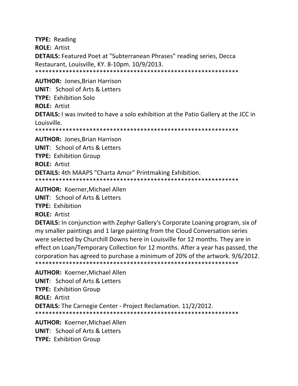**TYPE:** Reading **ROLE:** Artist **DETAILS:** Featured Poet at "Subterranean Phrases" reading series, Decca Restaurant, Louisville, KY. 8‐10pm. 10/9/2013. \*\*\*\*\*\*\*\*\*\*\*\*\*\*\*\*\*\*\*\*\*\*\*\*\*\*\*\*\*\*\*\*\*\*\*\*\*\*\*\*\*\*\*\*\*\*\*\*\*\*\*\*\*\*\*\*\*\*\*\* **AUTHOR:** Jones,Brian Harrison **UNIT**: School of Arts & Letters **TYPE:** Exhibition Solo **ROLE:** Artist **DETAILS:** I was invited to have a solo exhibition at the Patio Gallery at the JCC in Louisville. \*\*\*\*\*\*\*\*\*\*\*\*\*\*\*\*\*\*\*\*\*\*\*\*\*\*\*\*\*\*\*\*\*\*\*\*\*\*\*\*\*\*\*\*\*\*\*\*\*\*\*\*\*\*\*\*\*\*\*\* **AUTHOR:** Jones,Brian Harrison **UNIT**: School of Arts & Letters **TYPE:** Exhibition Group **ROLE:** Artist **DETAILS:** 4th MAAPS "Charta Amor" Printmaking Exhibition. \*\*\*\*\*\*\*\*\*\*\*\*\*\*\*\*\*\*\*\*\*\*\*\*\*\*\*\*\*\*\*\*\*\*\*\*\*\*\*\*\*\*\*\*\*\*\*\*\*\*\*\*\*\*\*\*\*\*\*\* **AUTHOR:** Koerner,Michael Allen **UNIT**: School of Arts & Letters **TYPE:** Exhibition

**ROLE:** Artist

**DETAILS:** In conjunction with Zephyr Gallery's Corporate Loaning program, six of my smaller paintings and 1 large painting from the Cloud Conversation series were selected by Churchill Downs here in Louisville for 12 months. They are in effect on Loan/Temporary Collection for 12 months. After a year has passed, the corporation has agreed to purchase a minimum of 20% of the artwork. 9/6/2012. \*\*\*\*\*\*\*\*\*\*\*\*\*\*\*\*\*\*\*\*\*\*\*\*\*\*\*\*\*\*\*\*\*\*\*\*\*\*\*\*\*\*\*\*\*\*\*\*\*\*\*\*\*\*\*\*\*\*\*\*

**AUTHOR:** Koerner,Michael Allen **UNIT**: School of Arts & Letters **TYPE:** Exhibition Group **ROLE:** Artist **DETAILS:** The Carnegie Center ‐ Project Reclamation. 11/2/2012. \*\*\*\*\*\*\*\*\*\*\*\*\*\*\*\*\*\*\*\*\*\*\*\*\*\*\*\*\*\*\*\*\*\*\*\*\*\*\*\*\*\*\*\*\*\*\*\*\*\*\*\*\*\*\*\*\*\*\*\* **AUTHOR:** Koerner,Michael Allen

**UNIT**: School of Arts & Letters **TYPE:** Exhibition Group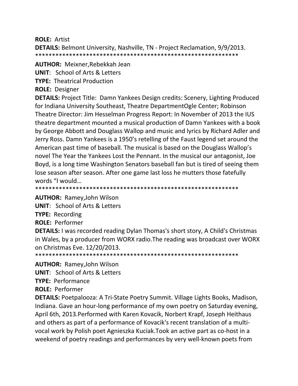**ROLE: Artist** 

**DETAILS:** Belmont University, Nashville, TN - Project Reclamation, 9/9/2013. 

**AUTHOR: Meixner, Rebekkah Jean UNIT: School of Arts & Letters** 

**TYPE: Theatrical Production** 

**ROLE: Designer** 

**DETAILS:** Project Title: Damn Yankees Design credits: Scenery, Lighting Produced for Indiana University Southeast, Theatre DepartmentOgle Center; Robinson Theatre Director: Jim Hesselman Progress Report: In November of 2013 the IUS theatre department mounted a musical production of Damn Yankees with a book by George Abbott and Douglass Wallop and music and lyrics by Richard Adler and Jerry Ross. Damn Yankees is a 1950's retelling of the Faust legend set around the American past time of baseball. The musical is based on the Douglass Wallop's novel The Year the Yankees Lost the Pennant. In the musical our antagonist, Joe Boyd, is a long time Washington Senators baseball fan but is tired of seeing them lose season after season. After one game last loss he mutters those fatefully words "I would...

**AUTHOR:** Ramey, John Wilson

**UNIT:** School of Arts & Letters

**TYPE: Recording** 

**ROLE: Performer** 

**DETAILS:** I was recorded reading Dylan Thomas's short story, A Child's Christmas in Wales, by a producer from WORX radio. The reading was broadcast over WORX on Christmas Eve. 12/20/2013.

**AUTHOR: Ramey, John Wilson** 

**UNIT:** School of Arts & Letters

**TYPE: Performance** 

**ROLE: Performer** 

**DETAILS:** Poetpalooza: A Tri-State Poetry Summit. Village Lights Books, Madison, Indiana. Gave an hour-long performance of my own poetry on Saturday evening, April 6th, 2013. Performed with Karen Kovacik, Norbert Krapf, Joseph Heithaus and others as part of a performance of Kovacik's recent translation of a multivocal work by Polish poet Agnieszka Kuciak. Took an active part as co-host in a weekend of poetry readings and performances by very well-known poets from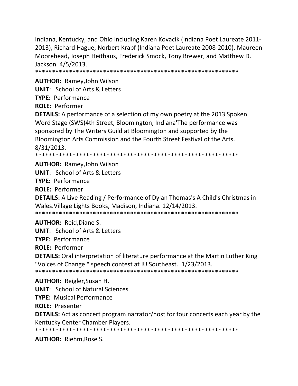Indiana, Kentucky, and Ohio including Karen Kovacik (Indiana Poet Laureate 2011‐ 2013), Richard Hague, Norbert Krapf (Indiana Poet Laureate 2008‐2010), Maureen Moorehead, Joseph Heithaus, Frederick Smock, Tony Brewer, and Matthew D. Jackson. 4/5/2013.

\*\*\*\*\*\*\*\*\*\*\*\*\*\*\*\*\*\*\*\*\*\*\*\*\*\*\*\*\*\*\*\*\*\*\*\*\*\*\*\*\*\*\*\*\*\*\*\*\*\*\*\*\*\*\*\*\*\*\*\*

**AUTHOR:** Ramey,John Wilson **UNIT**: School of Arts & Letters

**TYPE:** Performance

**ROLE:** Performer

**DETAILS:** A performance of a selection of my own poetry at the 2013 Spoken Word Stage (SWS)4th Street, Bloomington, Indiana'The performance was sponsored by The Writers Guild at Bloomington and supported by the Bloomington Arts Commission and the Fourth Street Festival of the Arts. 8/31/2013.

\*\*\*\*\*\*\*\*\*\*\*\*\*\*\*\*\*\*\*\*\*\*\*\*\*\*\*\*\*\*\*\*\*\*\*\*\*\*\*\*\*\*\*\*\*\*\*\*\*\*\*\*\*\*\*\*\*\*\*\*

**AUTHOR:** Ramey,John Wilson

**UNIT**: School of Arts & Letters

**TYPE:** Performance

**ROLE:** Performer

**DETAILS:** A Live Reading / Performance of Dylan Thomas's A Child's Christmas in Wales.Village Lights Books, Madison, Indiana. 12/14/2013. \*\*\*\*\*\*\*\*\*\*\*\*\*\*\*\*\*\*\*\*\*\*\*\*\*\*\*\*\*\*\*\*\*\*\*\*\*\*\*\*\*\*\*\*\*\*\*\*\*\*\*\*\*\*\*\*\*\*\*\*

**AUTHOR:** Reid,Diane S.

**UNIT**: School of Arts & Letters

**TYPE:** Performance

**ROLE:** Performer

**DETAILS:** Oral interpretation of literature performance at the Martin Luther King "Voices of Change " speech contest at IU Southeast. 1/23/2013.

\*\*\*\*\*\*\*\*\*\*\*\*\*\*\*\*\*\*\*\*\*\*\*\*\*\*\*\*\*\*\*\*\*\*\*\*\*\*\*\*\*\*\*\*\*\*\*\*\*\*\*\*\*\*\*\*\*\*\*\*

**AUTHOR:** Reigler,Susan H.

**UNIT**: School of Natural Sciences

**TYPE:** Musical Performance

**ROLE:** Presenter

**DETAILS:** Act as concert program narrator/host for four concerts each year by the Kentucky Center Chamber Players.

\*\*\*\*\*\*\*\*\*\*\*\*\*\*\*\*\*\*\*\*\*\*\*\*\*\*\*\*\*\*\*\*\*\*\*\*\*\*\*\*\*\*\*\*\*\*\*\*\*\*\*\*\*\*\*\*\*\*\*\*

**AUTHOR:** Riehm,Rose S.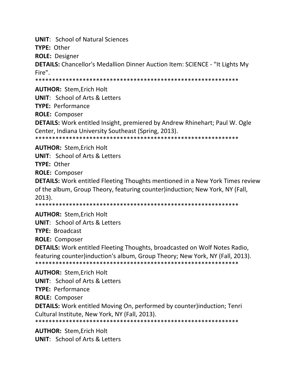**UNIT**: School of Natural Sciences

**TYPE:** Other

**ROLE:** Designer

**DETAILS:** Chancellor's Medallion Dinner Auction Item: SCIENCE ‐ "It Lights My Fire".

\*\*\*\*\*\*\*\*\*\*\*\*\*\*\*\*\*\*\*\*\*\*\*\*\*\*\*\*\*\*\*\*\*\*\*\*\*\*\*\*\*\*\*\*\*\*\*\*\*\*\*\*\*\*\*\*\*\*\*\*

**AUTHOR:** Stem,Erich Holt

**UNIT**: School of Arts & Letters

**TYPE:** Performance

**ROLE:** Composer

**DETAILS:** Work entitled Insight, premiered by Andrew Rhinehart; Paul W. Ogle Center, Indiana University Southeast (Spring, 2013).

\*\*\*\*\*\*\*\*\*\*\*\*\*\*\*\*\*\*\*\*\*\*\*\*\*\*\*\*\*\*\*\*\*\*\*\*\*\*\*\*\*\*\*\*\*\*\*\*\*\*\*\*\*\*\*\*\*\*\*\*

**AUTHOR:** Stem,Erich Holt

**UNIT**: School of Arts & Letters

**TYPE:** Other

**ROLE:** Composer

**DETAILS:** Work entitled Fleeting Thoughts mentioned in a New York Times review of the album, Group Theory, featuring counter)induction; New York, NY (Fall, 2013).

\*\*\*\*\*\*\*\*\*\*\*\*\*\*\*\*\*\*\*\*\*\*\*\*\*\*\*\*\*\*\*\*\*\*\*\*\*\*\*\*\*\*\*\*\*\*\*\*\*\*\*\*\*\*\*\*\*\*\*\*

**AUTHOR:** Stem,Erich Holt

**UNIT**: School of Arts & Letters

**TYPE:** Broadcast

**ROLE:** Composer

**DETAILS:** Work entitled Fleeting Thoughts, broadcasted on Wolf Notes Radio, featuring counter)induction's album, Group Theory; New York, NY (Fall, 2013). \*\*\*\*\*\*\*\*\*\*\*\*\*\*\*\*\*\*\*\*\*\*\*\*\*\*\*\*\*\*\*\*\*\*\*\*\*\*\*\*\*\*\*\*\*\*\*\*\*\*\*\*\*\*\*\*\*\*\*\*

**AUTHOR:** Stem,Erich Holt **UNIT**: School of Arts & Letters **TYPE:** Performance **ROLE:** Composer **DETAILS:** Work entitled Moving On, performed by counter)induction; Tenri Cultural Institute, New York, NY (Fall, 2013). \*\*\*\*\*\*\*\*\*\*\*\*\*\*\*\*\*\*\*\*\*\*\*\*\*\*\*\*\*\*\*\*\*\*\*\*\*\*\*\*\*\*\*\*\*\*\*\*\*\*\*\*\*\*\*\*\*\*\*\*

**AUTHOR:** Stem,Erich Holt **UNIT**: School of Arts & Letters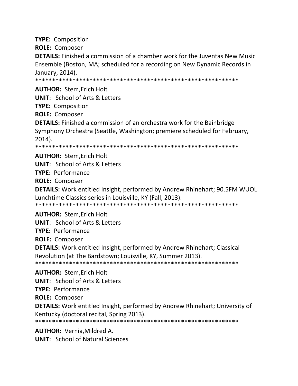**TYPE:** Composition **ROLE:** Composer **DETAILS:** Finished a commission of a chamber work for the Juventas New Music Ensemble (Boston, MA; scheduled for a recording on New Dynamic Records in January, 2014). \*\*\*\*\*\*\*\*\*\*\*\*\*\*\*\*\*\*\*\*\*\*\*\*\*\*\*\*\*\*\*\*\*\*\*\*\*\*\*\*\*\*\*\*\*\*\*\*\*\*\*\*\*\*\*\*\*\*\*\* **AUTHOR:** Stem,Erich Holt **UNIT**: School of Arts & Letters **TYPE:** Composition **ROLE:** Composer **DETAILS:** Finished a commission of an orchestra work for the Bainbridge Symphony Orchestra (Seattle, Washington; premiere scheduled for February, 2014). \*\*\*\*\*\*\*\*\*\*\*\*\*\*\*\*\*\*\*\*\*\*\*\*\*\*\*\*\*\*\*\*\*\*\*\*\*\*\*\*\*\*\*\*\*\*\*\*\*\*\*\*\*\*\*\*\*\*\*\* **AUTHOR:** Stem,Erich Holt **UNIT**: School of Arts & Letters **TYPE:** Performance **ROLE:** Composer **DETAILS:** Work entitled Insight, performed by Andrew Rhinehart; 90.5FM WUOL Lunchtime Classics series in Louisville, KY (Fall, 2013). \*\*\*\*\*\*\*\*\*\*\*\*\*\*\*\*\*\*\*\*\*\*\*\*\*\*\*\*\*\*\*\*\*\*\*\*\*\*\*\*\*\*\*\*\*\*\*\*\*\*\*\*\*\*\*\*\*\*\*\* **AUTHOR:** Stem,Erich Holt **UNIT**: School of Arts & Letters **TYPE:** Performance **ROLE:** Composer **DETAILS:** Work entitled Insight, performed by Andrew Rhinehart; Classical Revolution (at The Bardstown; Louisville, KY, Summer 2013). \*\*\*\*\*\*\*\*\*\*\*\*\*\*\*\*\*\*\*\*\*\*\*\*\*\*\*\*\*\*\*\*\*\*\*\*\*\*\*\*\*\*\*\*\*\*\*\*\*\*\*\*\*\*\*\*\*\*\*\*

**AUTHOR:** Stem,Erich Holt

**UNIT**: School of Arts & Letters **TYPE:** Performance **ROLE:** Composer **DETAILS:** Work entitled Insight, performed by Andrew Rhinehart; University of Kentucky (doctoral recital, Spring 2013). \*\*\*\*\*\*\*\*\*\*\*\*\*\*\*\*\*\*\*\*\*\*\*\*\*\*\*\*\*\*\*\*\*\*\*\*\*\*\*\*\*\*\*\*\*\*\*\*\*\*\*\*\*\*\*\*\*\*\*\*

**AUTHOR:** Vernia,Mildred A. **UNIT**: School of Natural Sciences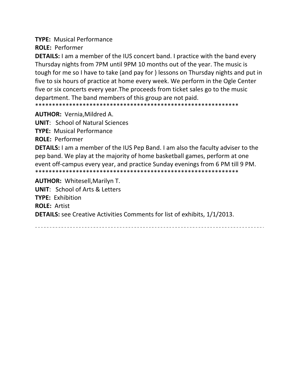**TYPE:** Musical Performance

**ROLE:** Performer

**DETAILS:** I am a member of the IUS concert band. I practice with the band every Thursday nights from 7PM until 9PM 10 months out of the year. The music is tough for me so I have to take (and pay for ) lessons on Thursday nights and put in five to six hours of practice at home every week. We perform in the Ogle Center five or six concerts every year.The proceeds from ticket sales go to the music department. The band members of this group are not paid.

\*\*\*\*\*\*\*\*\*\*\*\*\*\*\*\*\*\*\*\*\*\*\*\*\*\*\*\*\*\*\*\*\*\*\*\*\*\*\*\*\*\*\*\*\*\*\*\*\*\*\*\*\*\*\*\*\*\*\*\*

**AUTHOR:** Vernia,Mildred A.

**UNIT**: School of Natural Sciences

**TYPE:** Musical Performance

**ROLE:** Performer

**DETAILS:** I am a member of the IUS Pep Band. I am also the faculty adviser to the pep band. We play at the majority of home basketball games, perform at one event off-campus every year, and practice Sunday evenings from 6 PM till 9 PM. \*\*\*\*\*\*\*\*\*\*\*\*\*\*\*\*\*\*\*\*\*\*\*\*\*\*\*\*\*\*\*\*\*\*\*\*\*\*\*\*\*\*\*\*\*\*\*\*\*\*\*\*\*\*\*\*\*\*\*\*

**AUTHOR:** Whitesell,Marilyn T.

**UNIT**: School of Arts & Letters **TYPE:** Exhibition **ROLE:** Artist **DETAILS:** see Creative Activities Comments for list of exhibits, 1/1/2013.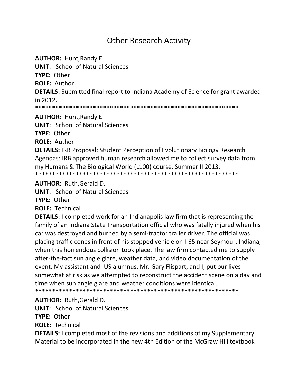## **Other Research Activity**

**AUTHOR: Hunt, Randy E.** 

**UNIT: School of Natural Sciences** 

TYPE: Other

**ROLE: Author** 

**DETAILS:** Submitted final report to Indiana Academy of Science for grant awarded in 2012.

**AUTHOR: Hunt, Randy E.** 

**UNIT:** School of Natural Sciences

TYPE: Other

**ROLE: Author** 

**DETAILS: IRB Proposal: Student Perception of Evolutionary Biology Research** Agendas: IRB approved human research allowed me to collect survey data from my Humans & The Biological World (L100) course. Summer II 2013. 

**AUTHOR: Ruth, Gerald D.** 

**UNIT:** School of Natural Sciences

TYPF: Other

**ROLE: Technical** 

**DETAILS:** I completed work for an Indianapolis law firm that is representing the family of an Indiana State Transportation official who was fatally injured when his car was destroyed and burned by a semi-tractor trailer driver. The official was placing traffic cones in front of his stopped vehicle on I-65 near Seymour, Indiana, when this horrendous collision took place. The law firm contacted me to supply after-the-fact sun angle glare, weather data, and video documentation of the event. My assistant and IUS alumnus, Mr. Gary Flispart, and I, put our lives somewhat at risk as we attempted to reconstruct the accident scene on a day and time when sun angle glare and weather conditions were identical.

**AUTHOR: Ruth, Gerald D.** 

**UNIT: School of Natural Sciences** 

TYPE: Other

**ROLE: Technical** 

**DETAILS:** I completed most of the revisions and additions of my Supplementary Material to be incorporated in the new 4th Edition of the McGraw Hill textbook